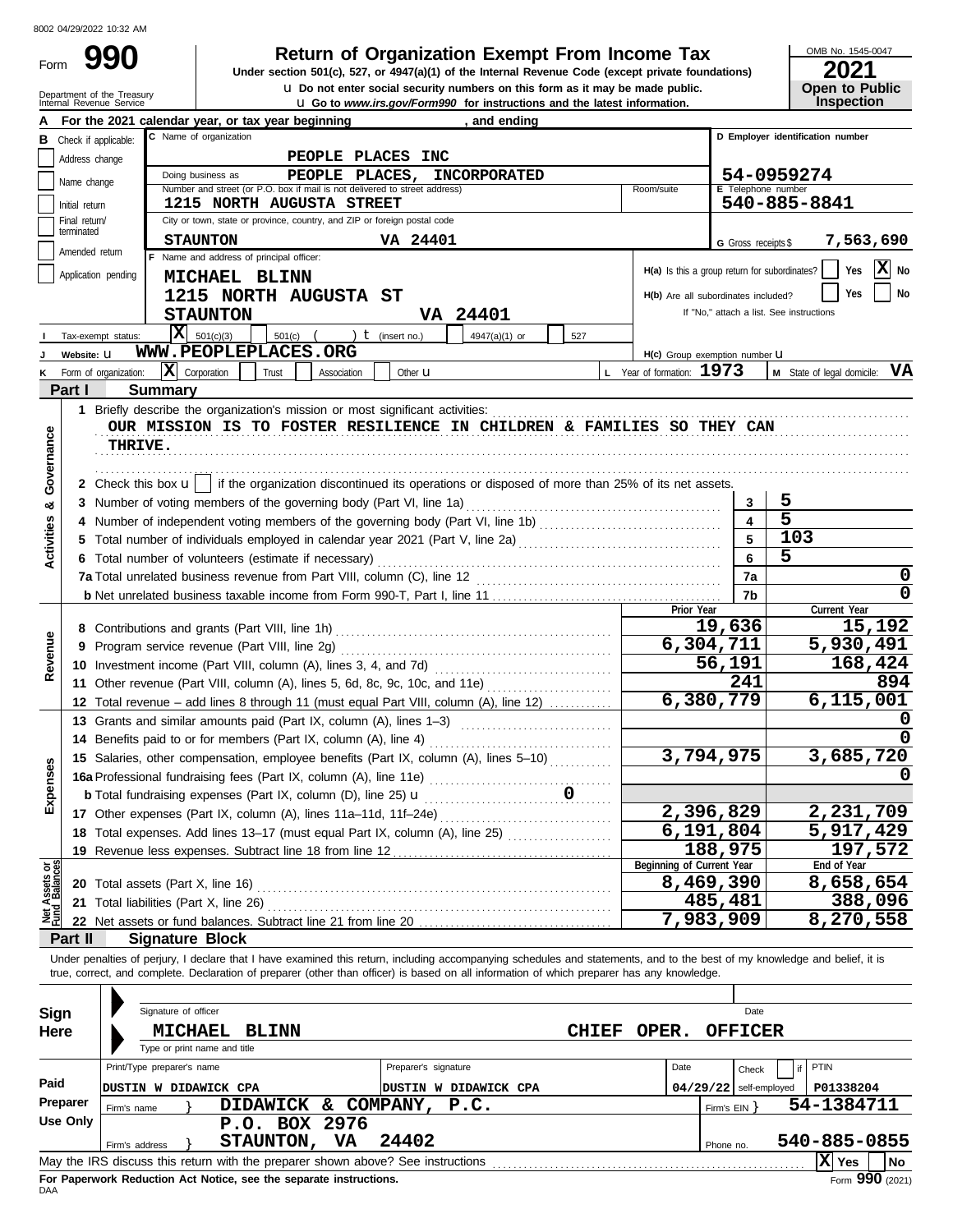Form 990

**990 2011 2018 2021 2021 Dimer section 501(c), 527, or 4947(a)(1) of the Internal Revenue Code (except private foundations)** 

OMB No. 1545-0047

|                                | Department of the Treasury<br>Internal Revenue Service |                            |                                                                                                                                                                                                                                                                                                                          | <b>u</b> Do not enter social security numbers on this form as it may be made public.<br><b>u</b> Go to <i>www.irs.gov/Form990</i> for instructions and the latest information. |                     |                                               |                          | <b>Open to Public</b><br><b>Inspection</b> |
|--------------------------------|--------------------------------------------------------|----------------------------|--------------------------------------------------------------------------------------------------------------------------------------------------------------------------------------------------------------------------------------------------------------------------------------------------------------------------|--------------------------------------------------------------------------------------------------------------------------------------------------------------------------------|---------------------|-----------------------------------------------|--------------------------|--------------------------------------------|
|                                |                                                        |                            | For the 2021 calendar year, or tax year beginning                                                                                                                                                                                                                                                                        | , and ending                                                                                                                                                                   |                     |                                               |                          |                                            |
| в                              | Check if applicable:                                   |                            | C Name of organization                                                                                                                                                                                                                                                                                                   |                                                                                                                                                                                |                     |                                               |                          | D Employer identification number           |
|                                | Address change                                         |                            | PEOPLE PLACES INC                                                                                                                                                                                                                                                                                                        |                                                                                                                                                                                |                     |                                               |                          |                                            |
|                                |                                                        |                            | Doing business as<br>PEOPLE PLACES,                                                                                                                                                                                                                                                                                      | <b>INCORPORATED</b>                                                                                                                                                            |                     |                                               |                          | 54-0959274                                 |
|                                | Name change                                            |                            | Number and street (or P.O. box if mail is not delivered to street address)                                                                                                                                                                                                                                               |                                                                                                                                                                                |                     | Room/suite                                    | E Telephone number       |                                            |
|                                | Initial return                                         |                            | 1215 NORTH AUGUSTA STREET                                                                                                                                                                                                                                                                                                |                                                                                                                                                                                |                     |                                               |                          | 540-885-8841                               |
|                                | Final return/<br>terminated                            |                            | City or town, state or province, country, and ZIP or foreign postal code                                                                                                                                                                                                                                                 |                                                                                                                                                                                |                     |                                               |                          |                                            |
|                                | Amended return                                         |                            | <b>STAUNTON</b>                                                                                                                                                                                                                                                                                                          | VA 24401                                                                                                                                                                       |                     |                                               | G Gross receipts \$      | 7,563,690                                  |
|                                |                                                        |                            | F Name and address of principal officer:                                                                                                                                                                                                                                                                                 |                                                                                                                                                                                |                     | H(a) Is this a group return for subordinates? |                          | X No<br>Yes                                |
|                                | Application pending                                    |                            | MICHAEL BLINN                                                                                                                                                                                                                                                                                                            |                                                                                                                                                                                |                     |                                               |                          | No<br>Yes                                  |
|                                |                                                        |                            | 1215 NORTH AUGUSTA ST                                                                                                                                                                                                                                                                                                    |                                                                                                                                                                                |                     | H(b) Are all subordinates included?           |                          | If "No," attach a list. See instructions   |
|                                |                                                        |                            | <b>STAUNTON</b>                                                                                                                                                                                                                                                                                                          | VA 24401                                                                                                                                                                       |                     |                                               |                          |                                            |
|                                | Tax-exempt status:                                     |                            | $\overline{\mathbf{X}}$ 501(c)(3)<br>$501(c)$ (                                                                                                                                                                                                                                                                          | ) $t$ (insert no.)<br>4947(a)(1) or                                                                                                                                            | 527                 |                                               |                          |                                            |
|                                | Website: U                                             |                            | WWW.PEOPLEPLACES.ORG                                                                                                                                                                                                                                                                                                     |                                                                                                                                                                                |                     | H(c) Group exemption number LI                |                          |                                            |
| ĸ                              | Form of organization:                                  |                            | $\mathbf{X}$ Corporation<br>Trust<br>Association                                                                                                                                                                                                                                                                         | Other <b>u</b>                                                                                                                                                                 |                     | L Year of formation: 1973                     |                          | M State of legal domicile: VA              |
|                                | Part I                                                 | <b>Summary</b>             |                                                                                                                                                                                                                                                                                                                          |                                                                                                                                                                                |                     |                                               |                          |                                            |
|                                |                                                        |                            | 1 Briefly describe the organization's mission or most significant activities:                                                                                                                                                                                                                                            |                                                                                                                                                                                |                     |                                               |                          |                                            |
|                                |                                                        |                            | OUR MISSION IS TO FOSTER RESILIENCE IN CHILDREN & FAMILIES SO THEY CAN                                                                                                                                                                                                                                                   |                                                                                                                                                                                |                     |                                               |                          |                                            |
|                                | THRIVE.                                                |                            |                                                                                                                                                                                                                                                                                                                          |                                                                                                                                                                                |                     |                                               |                          |                                            |
|                                |                                                        |                            |                                                                                                                                                                                                                                                                                                                          |                                                                                                                                                                                |                     |                                               |                          |                                            |
| Governance                     |                                                        |                            | 2 Check this box $\mathbf{u}$   if the organization discontinued its operations or disposed of more than 25% of its net assets.                                                                                                                                                                                          |                                                                                                                                                                                |                     |                                               |                          |                                            |
| න්                             |                                                        |                            | 3 Number of voting members of the governing body (Part VI, line 1a)                                                                                                                                                                                                                                                      |                                                                                                                                                                                |                     |                                               | 3                        | 5                                          |
|                                |                                                        |                            |                                                                                                                                                                                                                                                                                                                          |                                                                                                                                                                                |                     |                                               | $\overline{\mathbf{4}}$  | $\overline{5}$                             |
| Activities                     |                                                        |                            |                                                                                                                                                                                                                                                                                                                          |                                                                                                                                                                                |                     |                                               | 5                        | 103                                        |
|                                |                                                        |                            | 6 Total number of volunteers (estimate if necessary)                                                                                                                                                                                                                                                                     |                                                                                                                                                                                |                     |                                               | 6                        | 5                                          |
|                                |                                                        |                            |                                                                                                                                                                                                                                                                                                                          |                                                                                                                                                                                |                     |                                               | 7a                       | 0                                          |
|                                |                                                        |                            |                                                                                                                                                                                                                                                                                                                          |                                                                                                                                                                                |                     |                                               | 7b                       | 0                                          |
|                                |                                                        |                            |                                                                                                                                                                                                                                                                                                                          |                                                                                                                                                                                |                     | Prior Year                                    |                          | Current Year                               |
|                                |                                                        |                            |                                                                                                                                                                                                                                                                                                                          |                                                                                                                                                                                |                     |                                               | 19,636                   | 15,192                                     |
| Revenue                        |                                                        |                            |                                                                                                                                                                                                                                                                                                                          |                                                                                                                                                                                |                     |                                               | 6,304,711                | 5,930,491                                  |
|                                |                                                        |                            |                                                                                                                                                                                                                                                                                                                          |                                                                                                                                                                                |                     |                                               | 56,191                   | 168,424                                    |
|                                |                                                        |                            | 11 Other revenue (Part VIII, column (A), lines 5, 6d, 8c, 9c, 10c, and 11e)                                                                                                                                                                                                                                              |                                                                                                                                                                                |                     |                                               | 241                      | 894                                        |
|                                |                                                        |                            | 12 Total revenue - add lines 8 through 11 (must equal Part VIII, column (A), line 12)                                                                                                                                                                                                                                    |                                                                                                                                                                                |                     |                                               | 6,380,779                | 6,115,001                                  |
|                                |                                                        |                            | 13 Grants and similar amounts paid (Part IX, column (A), lines 1-3)                                                                                                                                                                                                                                                      |                                                                                                                                                                                |                     |                                               |                          |                                            |
|                                |                                                        |                            |                                                                                                                                                                                                                                                                                                                          |                                                                                                                                                                                |                     |                                               |                          |                                            |
| <b>ISBS</b>                    |                                                        |                            | 15 Salaries, other compensation, employee benefits (Part IX, column (A), lines 5-10)                                                                                                                                                                                                                                     |                                                                                                                                                                                |                     |                                               | 3,794,975                | 3,685,720                                  |
|                                |                                                        |                            | 16a Professional fundraising fees (Part IX, column (A), line 11e)                                                                                                                                                                                                                                                        |                                                                                                                                                                                | $\ddot{\mathbf{0}}$ |                                               |                          | O                                          |
| Exper                          |                                                        |                            |                                                                                                                                                                                                                                                                                                                          |                                                                                                                                                                                |                     |                                               |                          |                                            |
|                                |                                                        |                            |                                                                                                                                                                                                                                                                                                                          |                                                                                                                                                                                |                     |                                               | 2,396,829                | 2,231,709                                  |
|                                |                                                        |                            | 18 Total expenses. Add lines 13-17 (must equal Part IX, column (A), line 25)                                                                                                                                                                                                                                             |                                                                                                                                                                                |                     |                                               | 6,191,804                | 5,917,429                                  |
|                                |                                                        |                            | 19 Revenue less expenses. Subtract line 18 from line 12                                                                                                                                                                                                                                                                  |                                                                                                                                                                                |                     |                                               | 188,975                  | 197,572                                    |
| Net Assets or<br>Fund Balances |                                                        |                            |                                                                                                                                                                                                                                                                                                                          |                                                                                                                                                                                |                     | Beginning of Current Year                     | 8,469,390                | End of Year<br>8,658,654                   |
|                                |                                                        |                            | 21 Total liabilities (Part X, line 26)                                                                                                                                                                                                                                                                                   |                                                                                                                                                                                |                     |                                               | 485,481                  | 388,096                                    |
|                                |                                                        |                            |                                                                                                                                                                                                                                                                                                                          |                                                                                                                                                                                |                     |                                               | 7,983,909                | 8,270,558                                  |
|                                |                                                        |                            |                                                                                                                                                                                                                                                                                                                          |                                                                                                                                                                                |                     |                                               |                          |                                            |
|                                | Part II                                                |                            | <b>Signature Block</b>                                                                                                                                                                                                                                                                                                   |                                                                                                                                                                                |                     |                                               |                          |                                            |
|                                |                                                        |                            | Under penalties of perjury, I declare that I have examined this return, including accompanying schedules and statements, and to the best of my knowledge and belief, it is<br>true, correct, and complete. Declaration of preparer (other than officer) is based on all information of which preparer has any knowledge. |                                                                                                                                                                                |                     |                                               |                          |                                            |
|                                |                                                        |                            |                                                                                                                                                                                                                                                                                                                          |                                                                                                                                                                                |                     |                                               |                          |                                            |
|                                |                                                        | Signature of officer       |                                                                                                                                                                                                                                                                                                                          |                                                                                                                                                                                |                     |                                               | Date                     |                                            |
|                                | Sign                                                   |                            |                                                                                                                                                                                                                                                                                                                          |                                                                                                                                                                                | <b>CHIEF</b>        |                                               |                          |                                            |
|                                | Here                                                   |                            | <b>MICHAEL</b><br><b>BLINN</b><br>Type or print name and title                                                                                                                                                                                                                                                           |                                                                                                                                                                                |                     | OPER.                                         | <b>OFFICER</b>           |                                            |
|                                |                                                        | Print/Type preparer's name |                                                                                                                                                                                                                                                                                                                          |                                                                                                                                                                                |                     | Date                                          |                          | <b>PTIN</b>                                |
| Paid                           |                                                        |                            |                                                                                                                                                                                                                                                                                                                          | Preparer's signature                                                                                                                                                           |                     |                                               | Check                    |                                            |
|                                | Preparer                                               |                            | DUSTIN W DIDAWICK CPA                                                                                                                                                                                                                                                                                                    | DUSTIN W DIDAWICK CPA                                                                                                                                                          |                     |                                               | $04/29/22$ self-employed | P01338204                                  |
|                                | Firm's name<br>Use Only                                |                            | DIDAWICK & COMPANY,                                                                                                                                                                                                                                                                                                      | P.C.                                                                                                                                                                           |                     |                                               | Firm's EIN               | 54-1384711                                 |
|                                |                                                        |                            | P.O. BOX 2976                                                                                                                                                                                                                                                                                                            |                                                                                                                                                                                |                     |                                               |                          |                                            |
|                                | Firm's address                                         |                            | STAUNTON, VA                                                                                                                                                                                                                                                                                                             | 24402                                                                                                                                                                          |                     |                                               | Phone no.                | 540-885-0855                               |
|                                |                                                        |                            |                                                                                                                                                                                                                                                                                                                          |                                                                                                                                                                                |                     |                                               |                          | $ X $ Yes<br><b>No</b>                     |

| Sign     | Signature of officer                                                            |                               |       | Date                     |              |
|----------|---------------------------------------------------------------------------------|-------------------------------|-------|--------------------------|--------------|
| Here     | <b>MICHAEL</b><br><b>BLINN</b>                                                  | CHIEF                         | OPER. | <b>OFFICER</b>           |              |
|          | Type or print name and title                                                    |                               |       |                          |              |
|          | Print/Type preparer's name                                                      | Preparer's signature          | Date  | Check                    | PTIN         |
| Paid     | DUSTIN W DIDAWICK CPA                                                           | <b>IDUSTIN W DIDAWICK CPA</b> |       | $04/29/22$ self-employed | P01338204    |
| Preparer | DIDAWICK & COMPANY, P.C.<br>Firm's name                                         |                               |       | Firm's EIN Y             | 54-1384711   |
| Use Only | BOX 2976<br>P.0.                                                                |                               |       |                          |              |
|          | VA<br>STAUNTON,<br>Firm's address                                               | 24402                         |       | Phone no.                | 540-885-0855 |
|          | May the IRS discuss this return with the preparer shown above? See instructions |                               |       |                          | No<br>Yes    |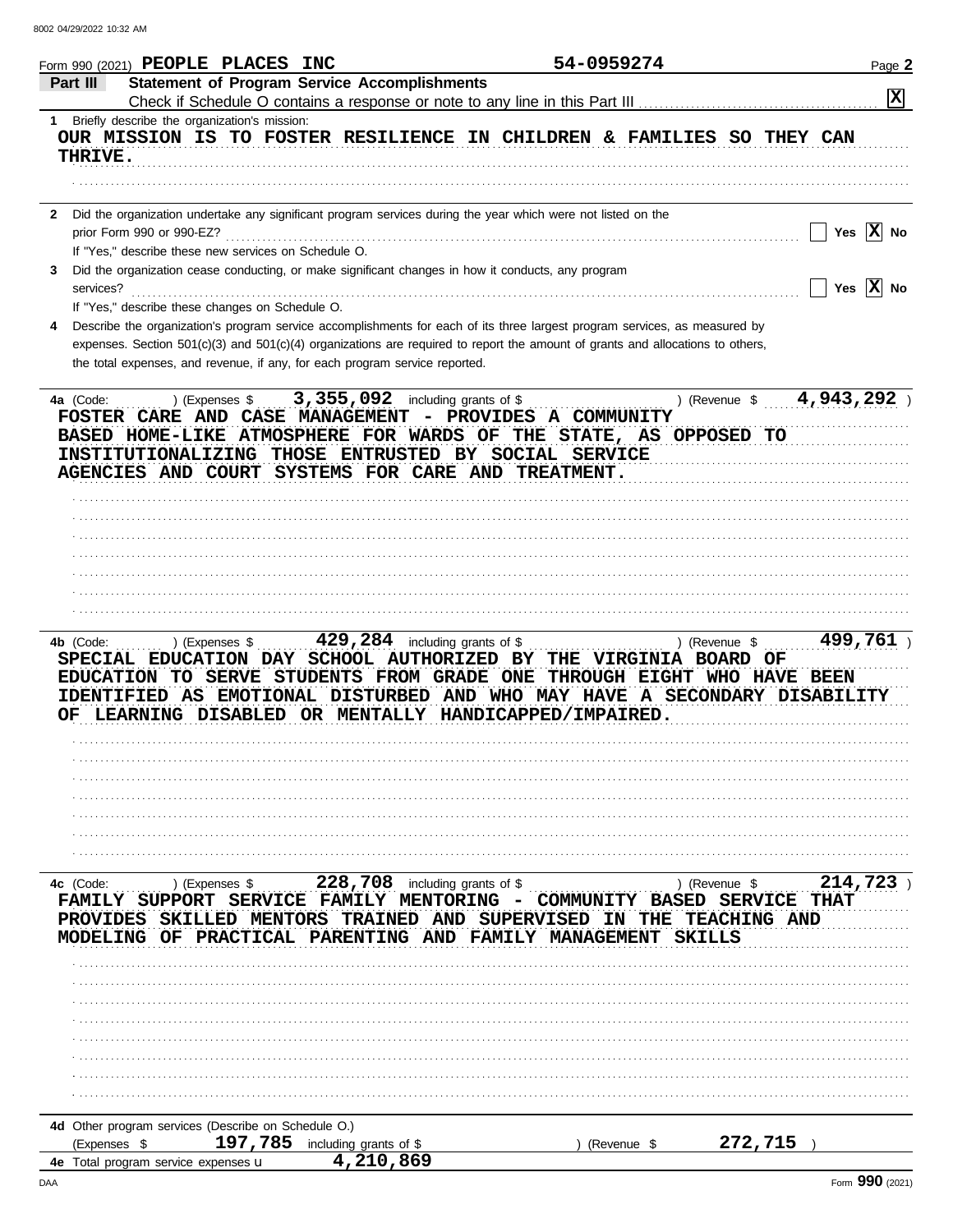|                                                                  | Form 990 (2021) PEOPLE PLACES INC                            |                                                                                                    | 54-0959274                                                                                                                                                                                                                                                                        |                                                                                       | Page 2                                                  |
|------------------------------------------------------------------|--------------------------------------------------------------|----------------------------------------------------------------------------------------------------|-----------------------------------------------------------------------------------------------------------------------------------------------------------------------------------------------------------------------------------------------------------------------------------|---------------------------------------------------------------------------------------|---------------------------------------------------------|
| Part III                                                         |                                                              | <b>Statement of Program Service Accomplishments</b>                                                |                                                                                                                                                                                                                                                                                   |                                                                                       | $\vert x \vert$                                         |
| THRIVE.                                                          | 1 Briefly describe the organization's mission:               |                                                                                                    | OUR MISSION IS TO FOSTER RESILIENCE IN CHILDREN & FAMILIES SO THEY CAN                                                                                                                                                                                                            |                                                                                       |                                                         |
|                                                                  |                                                              |                                                                                                    |                                                                                                                                                                                                                                                                                   |                                                                                       |                                                         |
| 2                                                                | If "Yes," describe these new services on Schedule O.         |                                                                                                    | Did the organization undertake any significant program services during the year which were not listed on the                                                                                                                                                                      |                                                                                       | Yes $\overline{X}$ No                                   |
| 3<br>services?                                                   |                                                              | Did the organization cease conducting, or make significant changes in how it conducts, any program |                                                                                                                                                                                                                                                                                   |                                                                                       | $\overline{\phantom{a}}$ Yes $\overline{\mathrm{X}}$ No |
| 4                                                                | If "Yes," describe these changes on Schedule O.              | the total expenses, and revenue, if any, for each program service reported.                        | Describe the organization's program service accomplishments for each of its three largest program services, as measured by<br>expenses. Section 501(c)(3) and 501(c)(4) organizations are required to report the amount of grants and allocations to others,                      |                                                                                       |                                                         |
| 4a (Code:                                                        | ) (Expenses \$                                               | 3, 355, 092 including grants of \$<br>AGENCIES AND COURT SYSTEMS FOR CARE AND TREATMENT.           | FOSTER CARE AND CASE MANAGEMENT - PROVIDES A COMMUNITY<br>BASED HOME-LIKE ATMOSPHERE FOR WARDS OF THE STATE, AS OPPOSED TO<br>INSTITUTIONALIZING THOSE ENTRUSTED BY SOCIAL SERVICE                                                                                                | ) (Revenue \$4,943,292                                                                |                                                         |
|                                                                  |                                                              |                                                                                                    |                                                                                                                                                                                                                                                                                   |                                                                                       |                                                         |
|                                                                  |                                                              |                                                                                                    |                                                                                                                                                                                                                                                                                   |                                                                                       |                                                         |
| 4b (Code:                                                        | ) (Expenses \$                                               | $429,284$ including grants of \$                                                                   | SPECIAL EDUCATION DAY SCHOOL AUTHORIZED BY THE VIRGINIA BOARD OF<br>EDUCATION TO SERVE STUDENTS FROM GRADE ONE THROUGH EIGHT WHO HAVE BEEN<br>IDENTIFIED AS EMOTIONAL DISTURBED AND WHO MAY HAVE A SECONDARY DISABILITY<br>OF LEARNING DISABLED OR MENTALLY HANDICAPPED/IMPAIRED. | ) (Revenue \$                                                                         | 499,761)                                                |
|                                                                  |                                                              |                                                                                                    |                                                                                                                                                                                                                                                                                   |                                                                                       |                                                         |
|                                                                  |                                                              |                                                                                                    |                                                                                                                                                                                                                                                                                   |                                                                                       |                                                         |
|                                                                  |                                                              |                                                                                                    |                                                                                                                                                                                                                                                                                   |                                                                                       |                                                         |
|                                                                  |                                                              |                                                                                                    |                                                                                                                                                                                                                                                                                   |                                                                                       |                                                         |
|                                                                  |                                                              |                                                                                                    |                                                                                                                                                                                                                                                                                   |                                                                                       |                                                         |
| 4c (Code:<br><b>FAMILY</b><br><b>PROVIDES</b><br><b>MODELING</b> | ) (Expenses \$<br><b>SKILLED MENTORS</b>                     | 228,708 including grants of \$<br>SUPPORT SERVICE FAMILY MENTORING                                 | <b>TRAINED AND SUPERVISED</b><br>IN<br>THE<br>OF PRACTICAL PARENTING AND FAMILY MANAGEMENT                                                                                                                                                                                        | ) (Revenue \$<br>COMMUNITY BASED SERVICE THAT<br><b>TEACHING AND</b><br><b>SKILLS</b> | 214,723                                                 |
|                                                                  |                                                              |                                                                                                    |                                                                                                                                                                                                                                                                                   |                                                                                       |                                                         |
|                                                                  |                                                              |                                                                                                    |                                                                                                                                                                                                                                                                                   |                                                                                       |                                                         |
|                                                                  |                                                              |                                                                                                    |                                                                                                                                                                                                                                                                                   |                                                                                       |                                                         |
|                                                                  |                                                              |                                                                                                    |                                                                                                                                                                                                                                                                                   |                                                                                       |                                                         |
|                                                                  |                                                              |                                                                                                    |                                                                                                                                                                                                                                                                                   |                                                                                       |                                                         |
|                                                                  |                                                              |                                                                                                    |                                                                                                                                                                                                                                                                                   |                                                                                       |                                                         |
|                                                                  |                                                              |                                                                                                    |                                                                                                                                                                                                                                                                                   |                                                                                       |                                                         |
|                                                                  | 4d Other program services (Describe on Schedule O.)          |                                                                                                    |                                                                                                                                                                                                                                                                                   |                                                                                       |                                                         |
| (Expenses \$                                                     | 197,785<br><b>4e</b> Total program service expenses <b>u</b> | including grants of \$<br>4,210,869                                                                | (Revenue \$                                                                                                                                                                                                                                                                       | 272,715                                                                               |                                                         |
|                                                                  |                                                              |                                                                                                    |                                                                                                                                                                                                                                                                                   |                                                                                       |                                                         |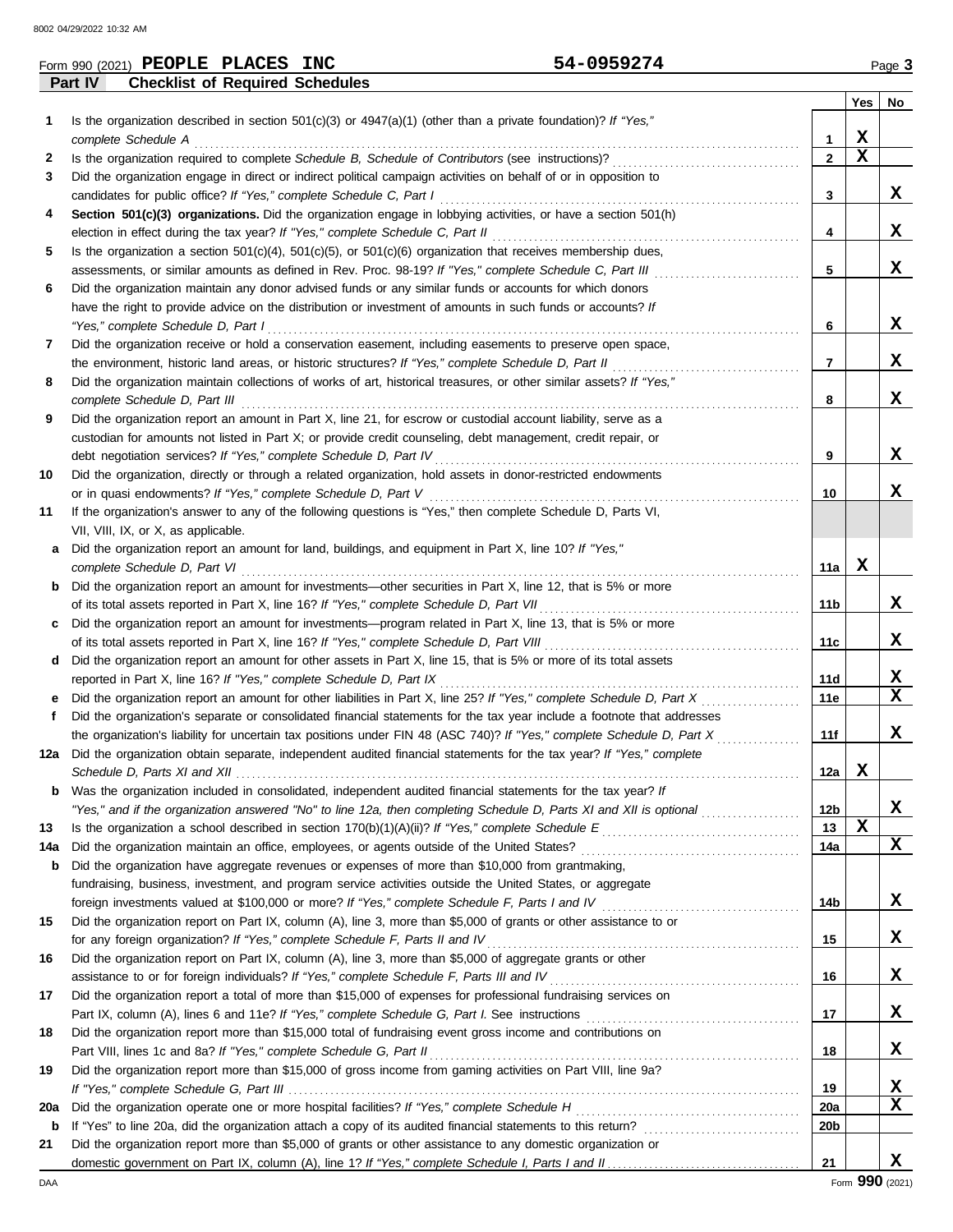**Part IV Checklist of Required Schedules**

|     |                                                                                                                                                                                                                                     |                 | Yes         | No              |
|-----|-------------------------------------------------------------------------------------------------------------------------------------------------------------------------------------------------------------------------------------|-----------------|-------------|-----------------|
| 1   | Is the organization described in section $501(c)(3)$ or $4947(a)(1)$ (other than a private foundation)? If "Yes,"                                                                                                                   |                 |             |                 |
|     | complete Schedule A                                                                                                                                                                                                                 | 1               | X           |                 |
| 2   |                                                                                                                                                                                                                                     | $\mathbf{2}$    | $\mathbf x$ |                 |
| 3   | Did the organization engage in direct or indirect political campaign activities on behalf of or in opposition to                                                                                                                    |                 |             |                 |
|     | candidates for public office? If "Yes," complete Schedule C, Part I                                                                                                                                                                 | 3               |             | x               |
| 4   | Section 501(c)(3) organizations. Did the organization engage in lobbying activities, or have a section 501(h)                                                                                                                       |                 |             |                 |
|     | election in effect during the tax year? If "Yes," complete Schedule C, Part II                                                                                                                                                      | 4               |             | x               |
| 5   | Is the organization a section $501(c)(4)$ , $501(c)(5)$ , or $501(c)(6)$ organization that receives membership dues,<br>assessments, or similar amounts as defined in Rev. Proc. 98-19? If "Yes," complete Schedule C, Part III     | 5               |             | x               |
| 6   | Did the organization maintain any donor advised funds or any similar funds or accounts for which donors                                                                                                                             |                 |             |                 |
|     | have the right to provide advice on the distribution or investment of amounts in such funds or accounts? If                                                                                                                         |                 |             |                 |
|     | "Yes," complete Schedule D, Part I                                                                                                                                                                                                  | 6               |             | x               |
| 7   | Did the organization receive or hold a conservation easement, including easements to preserve open space,                                                                                                                           |                 |             |                 |
|     | the environment, historic land areas, or historic structures? If "Yes," complete Schedule D, Part II                                                                                                                                | 7               |             | x               |
| 8   | Did the organization maintain collections of works of art, historical treasures, or other similar assets? If "Yes,"                                                                                                                 |                 |             |                 |
|     | complete Schedule D, Part III                                                                                                                                                                                                       | 8               |             | x               |
| 9   | Did the organization report an amount in Part X, line 21, for escrow or custodial account liability, serve as a                                                                                                                     |                 |             |                 |
|     | custodian for amounts not listed in Part X; or provide credit counseling, debt management, credit repair, or                                                                                                                        |                 |             |                 |
|     | debt negotiation services? If "Yes," complete Schedule D, Part IV                                                                                                                                                                   | 9               |             | x               |
| 10  | Did the organization, directly or through a related organization, hold assets in donor-restricted endowments                                                                                                                        |                 |             |                 |
|     | or in quasi endowments? If "Yes," complete Schedule D, Part V                                                                                                                                                                       | 10              |             | X.              |
| 11  | If the organization's answer to any of the following questions is "Yes," then complete Schedule D, Parts VI,                                                                                                                        |                 |             |                 |
|     | VII, VIII, IX, or X, as applicable.                                                                                                                                                                                                 |                 |             |                 |
| а   | Did the organization report an amount for land, buildings, and equipment in Part X, line 10? If "Yes,"                                                                                                                              |                 |             |                 |
|     | complete Schedule D, Part VI                                                                                                                                                                                                        | 11a             | x           |                 |
| b   | Did the organization report an amount for investments—other securities in Part X, line 12, that is 5% or more                                                                                                                       |                 |             | x               |
| c   | of its total assets reported in Part X, line 16? If "Yes," complete Schedule D, Part VII<br>Did the organization report an amount for investments—program related in Part X, line 13, that is 5% or more                            | 11 b            |             |                 |
|     | of its total assets reported in Part X, line 16? If "Yes," complete Schedule D, Part VIII                                                                                                                                           | 11c             |             | x               |
| d   | Did the organization report an amount for other assets in Part X, line 15, that is 5% or more of its total assets                                                                                                                   |                 |             |                 |
|     | reported in Part X, line 16? If "Yes," complete Schedule D, Part IX                                                                                                                                                                 | 11d             |             | X               |
| е   | Did the organization report an amount for other liabilities in Part X, line 25? If "Yes," complete Schedule D, Part X                                                                                                               | 11e             |             | X               |
| f   | Did the organization's separate or consolidated financial statements for the tax year include a footnote that addresses                                                                                                             |                 |             |                 |
|     | the organization's liability for uncertain tax positions under FIN 48 (ASC 740)? If "Yes," complete Schedule D, Part X                                                                                                              | 11f             |             | x               |
|     | 12a Did the organization obtain separate, independent audited financial statements for the tax year? If "Yes," complete                                                                                                             |                 |             |                 |
|     |                                                                                                                                                                                                                                     | 12a             | X           |                 |
|     | <b>b</b> Was the organization included in consolidated, independent audited financial statements for the tax year? If                                                                                                               |                 |             |                 |
|     | "Yes," and if the organization answered "No" to line 12a, then completing Schedule D, Parts XI and XII is optional                                                                                                                  | 12 <sub>b</sub> |             | X               |
| 13  |                                                                                                                                                                                                                                     | 13              | X           |                 |
| 14a |                                                                                                                                                                                                                                     | 14a             |             | x               |
| b   | Did the organization have aggregate revenues or expenses of more than \$10,000 from grantmaking,                                                                                                                                    |                 |             |                 |
|     | fundraising, business, investment, and program service activities outside the United States, or aggregate                                                                                                                           |                 |             | X               |
| 15  | foreign investments valued at \$100,000 or more? If "Yes," complete Schedule F, Parts I and IV [[[[[[[[[[[[[[[<br>Did the organization report on Part IX, column (A), line 3, more than \$5,000 of grants or other assistance to or | 14b             |             |                 |
|     | for any foreign organization? If "Yes," complete Schedule F, Parts II and IV [[[[[[[[[[[[[[[[[[[[[[[[[[[[[[[[                                                                                                                       | 15              |             | X               |
| 16  | Did the organization report on Part IX, column (A), line 3, more than \$5,000 of aggregate grants or other                                                                                                                          |                 |             |                 |
|     | assistance to or for foreign individuals? If "Yes," complete Schedule F, Parts III and IV [[[[[[[[[[[[[[[[[[[                                                                                                                       | 16              |             | X               |
| 17  | Did the organization report a total of more than \$15,000 of expenses for professional fundraising services on                                                                                                                      |                 |             |                 |
|     |                                                                                                                                                                                                                                     | 17              |             | X               |
| 18  | Did the organization report more than \$15,000 total of fundraising event gross income and contributions on                                                                                                                         |                 |             |                 |
|     |                                                                                                                                                                                                                                     | 18              |             | X               |
| 19  | Did the organization report more than \$15,000 of gross income from gaming activities on Part VIII, line 9a?                                                                                                                        |                 |             |                 |
|     |                                                                                                                                                                                                                                     | 19              |             | х               |
| 20a |                                                                                                                                                                                                                                     | <b>20a</b>      |             | X               |
| b   |                                                                                                                                                                                                                                     | 20 <sub>b</sub> |             |                 |
| 21  | Did the organization report more than \$5,000 of grants or other assistance to any domestic organization or                                                                                                                         |                 |             |                 |
|     |                                                                                                                                                                                                                                     | 21              |             | X.              |
| DAA |                                                                                                                                                                                                                                     |                 |             | Form 990 (2021) |

# **Form 990 (2021) PEOPLE PLACES INC 54-0959274** Page 3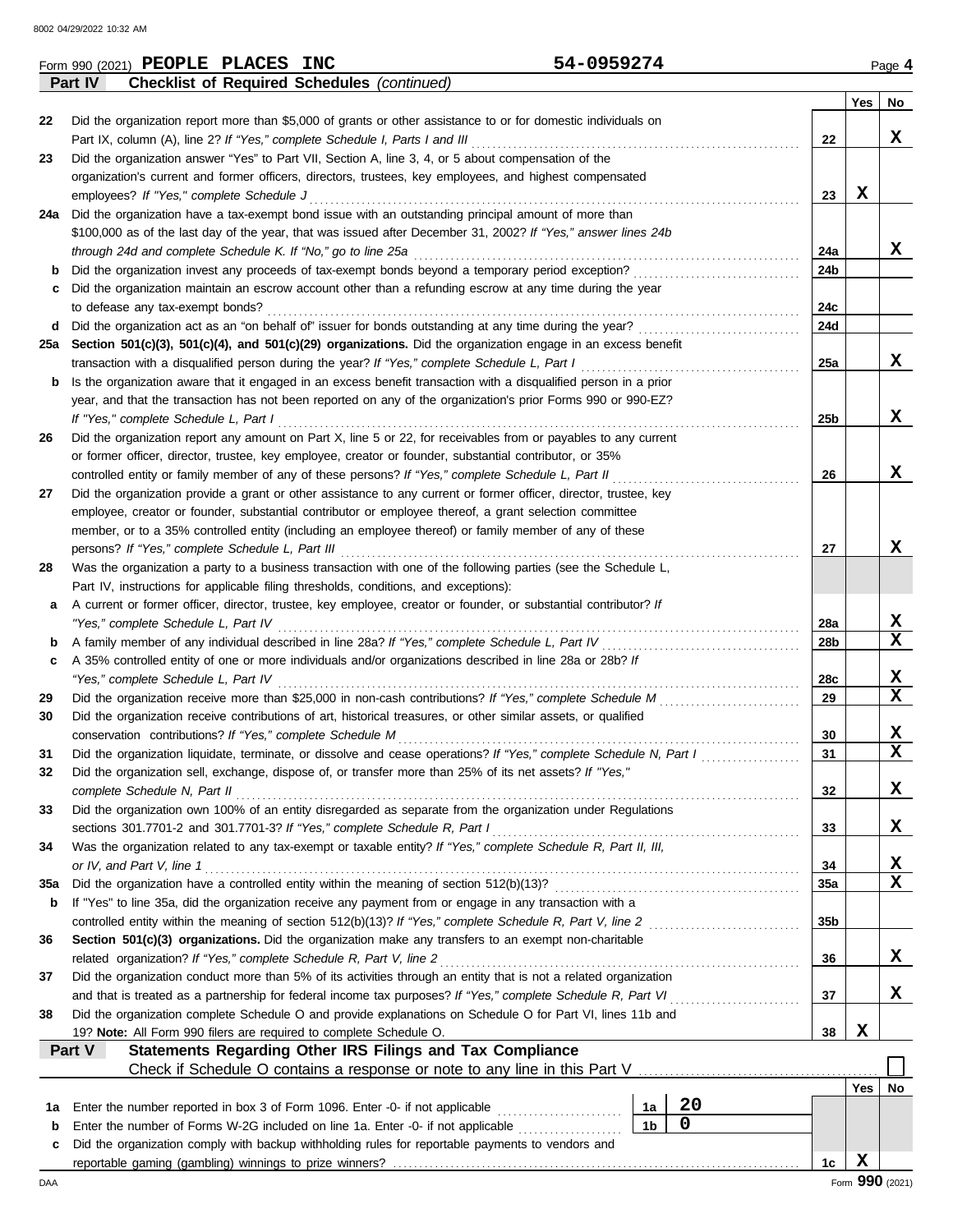|     | <b>Checklist of Required Schedules (continued)</b><br>Part IV                                                                                                                                                                    |                |             |                 |     |                 |
|-----|----------------------------------------------------------------------------------------------------------------------------------------------------------------------------------------------------------------------------------|----------------|-------------|-----------------|-----|-----------------|
|     |                                                                                                                                                                                                                                  |                |             |                 | Yes | No              |
| 22  | Did the organization report more than \$5,000 of grants or other assistance to or for domestic individuals on                                                                                                                    |                |             |                 |     | x               |
| 23  | Part IX, column (A), line 2? If "Yes," complete Schedule I, Parts I and III<br>Did the organization answer "Yes" to Part VII, Section A, line 3, 4, or 5 about compensation of the                                               |                |             | 22              |     |                 |
|     | organization's current and former officers, directors, trustees, key employees, and highest compensated                                                                                                                          |                |             |                 |     |                 |
|     | employees? If "Yes," complete Schedule J                                                                                                                                                                                         |                |             | 23              | X   |                 |
| 24a | Did the organization have a tax-exempt bond issue with an outstanding principal amount of more than                                                                                                                              |                |             |                 |     |                 |
|     | \$100,000 as of the last day of the year, that was issued after December 31, 2002? If "Yes," answer lines 24b                                                                                                                    |                |             |                 |     |                 |
|     | through 24d and complete Schedule K. If "No," go to line 25a                                                                                                                                                                     |                |             | 24a             |     | x               |
| b   |                                                                                                                                                                                                                                  |                |             | 24b             |     |                 |
| с   | Did the organization maintain an escrow account other than a refunding escrow at any time during the year                                                                                                                        |                |             |                 |     |                 |
|     | to defease any tax-exempt bonds?                                                                                                                                                                                                 |                |             | 24c             |     |                 |
| d   |                                                                                                                                                                                                                                  |                |             | 24d             |     |                 |
| 25a | Section 501(c)(3), 501(c)(4), and 501(c)(29) organizations. Did the organization engage in an excess benefit                                                                                                                     |                |             |                 |     | x               |
|     | transaction with a disqualified person during the year? If "Yes," complete Schedule L, Part I<br>Is the organization aware that it engaged in an excess benefit transaction with a disqualified person in a prior                |                |             | 25a             |     |                 |
| b   | year, and that the transaction has not been reported on any of the organization's prior Forms 990 or 990-EZ?                                                                                                                     |                |             |                 |     |                 |
|     | If "Yes," complete Schedule L, Part I                                                                                                                                                                                            |                |             | 25 <sub>b</sub> |     | x               |
| 26  | Did the organization report any amount on Part X, line 5 or 22, for receivables from or payables to any current                                                                                                                  |                |             |                 |     |                 |
|     | or former officer, director, trustee, key employee, creator or founder, substantial contributor, or 35%                                                                                                                          |                |             |                 |     |                 |
|     | controlled entity or family member of any of these persons? If "Yes," complete Schedule L, Part II                                                                                                                               |                |             | 26              |     | x               |
| 27  | Did the organization provide a grant or other assistance to any current or former officer, director, trustee, key                                                                                                                |                |             |                 |     |                 |
|     | employee, creator or founder, substantial contributor or employee thereof, a grant selection committee                                                                                                                           |                |             |                 |     |                 |
|     | member, or to a 35% controlled entity (including an employee thereof) or family member of any of these                                                                                                                           |                |             |                 |     |                 |
|     | persons? If "Yes," complete Schedule L, Part III                                                                                                                                                                                 |                |             | 27              |     | x               |
| 28  | Was the organization a party to a business transaction with one of the following parties (see the Schedule L,                                                                                                                    |                |             |                 |     |                 |
|     | Part IV, instructions for applicable filing thresholds, conditions, and exceptions):                                                                                                                                             |                |             |                 |     |                 |
| а   | A current or former officer, director, trustee, key employee, creator or founder, or substantial contributor? If                                                                                                                 |                |             |                 |     |                 |
|     | "Yes," complete Schedule L, Part IV                                                                                                                                                                                              |                |             | <b>28a</b>      |     | X               |
| b   |                                                                                                                                                                                                                                  |                |             | 28b             |     | x               |
| c   | A 35% controlled entity of one or more individuals and/or organizations described in line 28a or 28b? If<br>"Yes," complete Schedule L, Part IV                                                                                  |                |             |                 |     | х               |
| 29  |                                                                                                                                                                                                                                  |                |             | 28c<br>29       |     | $\mathbf x$     |
| 30  | Did the organization receive contributions of art, historical treasures, or other similar assets, or qualified                                                                                                                   |                |             |                 |     |                 |
|     | conservation contributions? If "Yes," complete Schedule M                                                                                                                                                                        |                |             | 30              |     | х               |
| 31  | Did the organization liquidate, terminate, or dissolve and cease operations? If "Yes," complete Schedule N, Part I                                                                                                               |                |             | 31              |     | $\mathbf x$     |
| 32  | Did the organization sell, exchange, dispose of, or transfer more than 25% of its net assets? If "Yes,"                                                                                                                          |                |             |                 |     |                 |
|     |                                                                                                                                                                                                                                  |                |             | 32              |     | X               |
| 33  | Did the organization own 100% of an entity disregarded as separate from the organization under Regulations                                                                                                                       |                |             |                 |     |                 |
|     |                                                                                                                                                                                                                                  |                |             | 33              |     | X               |
| 34  | Was the organization related to any tax-exempt or taxable entity? If "Yes," complete Schedule R, Part II, III,                                                                                                                   |                |             |                 |     |                 |
|     | or IV, and Part V, line 1                                                                                                                                                                                                        |                |             | 34              |     | х               |
| 35a |                                                                                                                                                                                                                                  |                |             | 35a             |     | $\mathbf x$     |
| b   | If "Yes" to line 35a, did the organization receive any payment from or engage in any transaction with a                                                                                                                          |                |             |                 |     |                 |
|     | controlled entity within the meaning of section 512(b)(13)? If "Yes," complete Schedule R, Part V, line 2 [[[[[ [ [ [ ]]]                                                                                                        |                |             | 35 <sub>b</sub> |     |                 |
| 36  | Section 501(c)(3) organizations. Did the organization make any transfers to an exempt non-charitable                                                                                                                             |                |             |                 |     | X               |
|     |                                                                                                                                                                                                                                  |                |             | 36              |     |                 |
| 37  | Did the organization conduct more than 5% of its activities through an entity that is not a related organization<br>and that is treated as a partnership for federal income tax purposes? If "Yes," complete Schedule R, Part VI |                |             | 37              |     | x               |
| 38  | Did the organization complete Schedule O and provide explanations on Schedule O for Part VI, lines 11b and                                                                                                                       |                |             |                 |     |                 |
|     | 19? Note: All Form 990 filers are required to complete Schedule O.                                                                                                                                                               |                |             | 38              | X   |                 |
|     | Part V<br><b>Statements Regarding Other IRS Filings and Tax Compliance</b>                                                                                                                                                       |                |             |                 |     |                 |
|     | Check if Schedule O contains a response or note to any line in this Part V                                                                                                                                                       |                |             |                 |     |                 |
|     |                                                                                                                                                                                                                                  |                |             |                 | Yes | No              |
| 1а  | Enter the number reported in box 3 of Form 1096. Enter -0- if not applicable [                                                                                                                                                   | 1a             | 20          |                 |     |                 |
| b   | Enter the number of Forms W-2G included on line 1a. Enter -0- if not applicable                                                                                                                                                  | 1 <sub>b</sub> | $\mathbf 0$ |                 |     |                 |
| c   | Did the organization comply with backup withholding rules for reportable payments to vendors and                                                                                                                                 |                |             |                 |     |                 |
|     |                                                                                                                                                                                                                                  |                |             | 1c              | X   |                 |
| DAA |                                                                                                                                                                                                                                  |                |             |                 |     | Form 990 (2021) |

Form 990 (2021) PEOPLE PLACES INC **54-0959274** Page 4 **PEOPLE PLACES INC 54-0959274**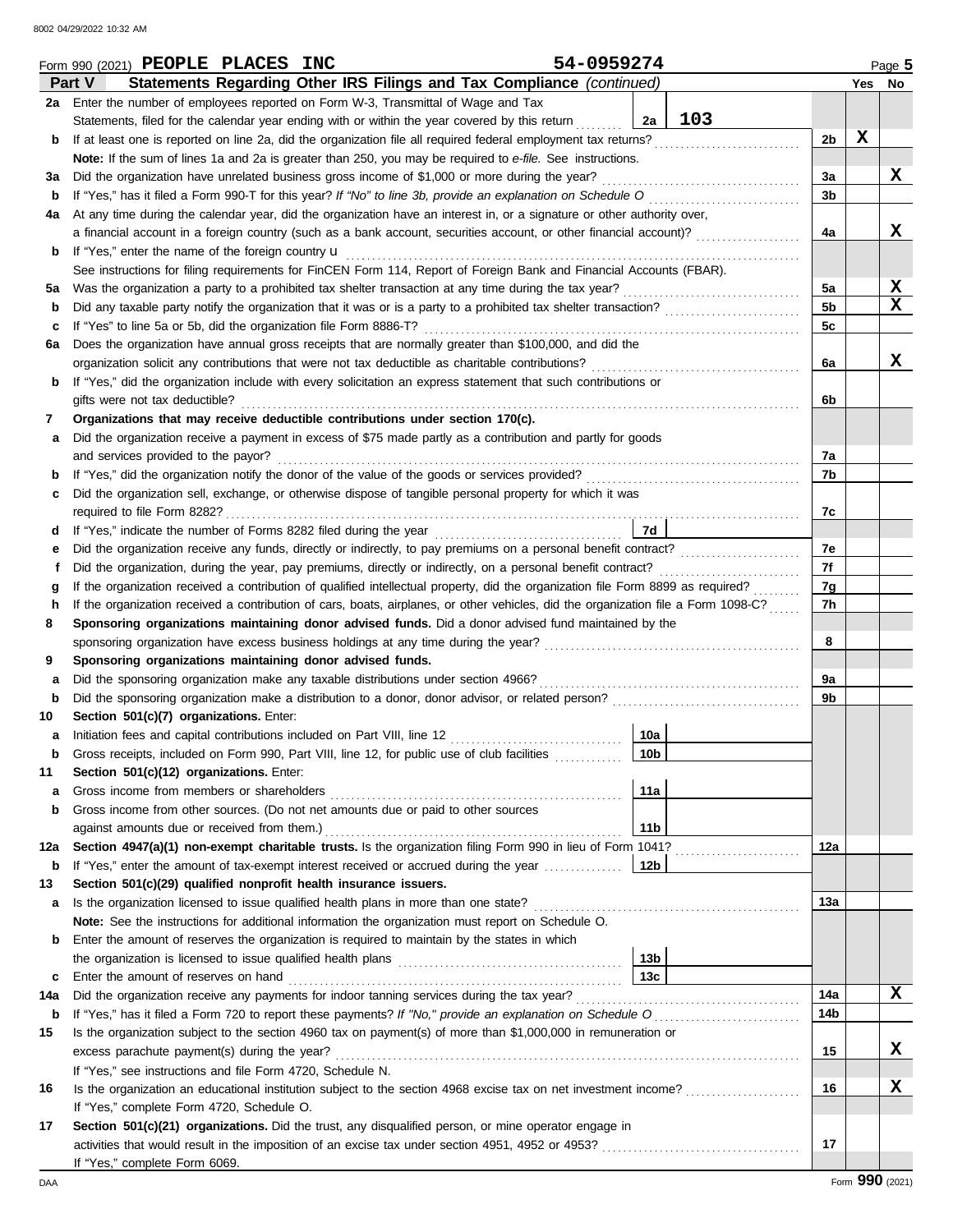|        | 54-0959274<br>Form 990 (2021) PEOPLE PLACES INC                                                                                         |                 |     |     |             | Page 5 |
|--------|-----------------------------------------------------------------------------------------------------------------------------------------|-----------------|-----|-----|-------------|--------|
|        | Statements Regarding Other IRS Filings and Tax Compliance (continued)<br>Part V                                                         |                 |     |     |             | Yes No |
| 2a     | Enter the number of employees reported on Form W-3, Transmittal of Wage and Tax                                                         |                 |     |     |             |        |
|        | Statements, filed for the calendar year ending with or within the year covered by this return                                           | 2a              | 103 |     |             |        |
| b      | If at least one is reported on line 2a, did the organization file all required federal employment tax returns?                          |                 |     | 2b  | $\mathbf x$ |        |
|        | Note: If the sum of lines 1a and 2a is greater than 250, you may be required to e-file. See instructions.                               |                 |     |     |             |        |
| за     | Did the organization have unrelated business gross income of \$1,000 or more during the year?                                           |                 |     | За  |             | X      |
| b      | If "Yes," has it filed a Form 990-T for this year? If "No" to line 3b, provide an explanation on Schedule O                             |                 |     | 3b  |             |        |
| 4a     | At any time during the calendar year, did the organization have an interest in, or a signature or other authority over,                 |                 |     |     |             |        |
|        | a financial account in a foreign country (such as a bank account, securities account, or other financial account)?                      |                 |     | 4a  |             | X      |
| b      | If "Yes," enter the name of the foreign country <b>u</b>                                                                                |                 |     |     |             |        |
|        | See instructions for filing requirements for FinCEN Form 114, Report of Foreign Bank and Financial Accounts (FBAR).                     |                 |     |     |             |        |
| 5а     | Was the organization a party to a prohibited tax shelter transaction at any time during the tax year?                                   |                 |     | 5a  |             | X      |
| b      |                                                                                                                                         |                 |     | 5b  |             | X      |
| c      | If "Yes" to line 5a or 5b, did the organization file Form 8886-T?                                                                       |                 |     | 5c  |             |        |
| 6а     | Does the organization have annual gross receipts that are normally greater than \$100,000, and did the                                  |                 |     |     |             |        |
|        | organization solicit any contributions that were not tax deductible as charitable contributions?                                        |                 |     | 6a  |             | x      |
| b      | If "Yes," did the organization include with every solicitation an express statement that such contributions or                          |                 |     |     |             |        |
|        | gifts were not tax deductible?                                                                                                          |                 |     | 6b  |             |        |
| 7      | Organizations that may receive deductible contributions under section 170(c).                                                           |                 |     |     |             |        |
| a      | Did the organization receive a payment in excess of \$75 made partly as a contribution and partly for goods                             |                 |     |     |             |        |
|        | and services provided to the payor?                                                                                                     |                 |     | 7a  |             |        |
| b      |                                                                                                                                         |                 |     | 7b  |             |        |
| c      | Did the organization sell, exchange, or otherwise dispose of tangible personal property for which it was<br>required to file Form 8282? |                 |     | 7c  |             |        |
|        |                                                                                                                                         | 7d              |     |     |             |        |
| d      | Did the organization receive any funds, directly or indirectly, to pay premiums on a personal benefit contract?                         |                 |     | 7e  |             |        |
| е<br>f | Did the organization, during the year, pay premiums, directly or indirectly, on a personal benefit contract?                            |                 |     | 7f  |             |        |
| g      | If the organization received a contribution of qualified intellectual property, did the organization file Form 8899 as required?        |                 |     | 7g  |             |        |
| h      | If the organization received a contribution of cars, boats, airplanes, or other vehicles, did the organization file a Form 1098-C?      |                 |     | 7h  |             |        |
| 8      | Sponsoring organizations maintaining donor advised funds. Did a donor advised fund maintained by the                                    |                 |     |     |             |        |
|        | sponsoring organization have excess business holdings at any time during the year?                                                      |                 |     | 8   |             |        |
| 9      | Sponsoring organizations maintaining donor advised funds.                                                                               |                 |     |     |             |        |
| а      | Did the sponsoring organization make any taxable distributions under section 4966?                                                      |                 |     | 9a  |             |        |
| b      |                                                                                                                                         |                 |     | 9b  |             |        |
| 10     | Section 501(c)(7) organizations. Enter:                                                                                                 |                 |     |     |             |        |
| а      | Initiation fees and capital contributions included on Part VIII, line 12 [11] [11] [11] [12] [11] [12] [11] [1                          | 10a             |     |     |             |        |
|        | Gross receipts, included on Form 990, Part VIII, line 12, for public use of club facilities                                             | 10 <sub>b</sub> |     |     |             |        |
| 11     | Section 501(c)(12) organizations. Enter:                                                                                                |                 |     |     |             |        |
| a      |                                                                                                                                         | 11a             |     |     |             |        |
| b      | Gross income from other sources. (Do not net amounts due or paid to other sources                                                       |                 |     |     |             |        |
|        | against amounts due or received from them.)                                                                                             | 11 <sub>b</sub> |     |     |             |        |
| 12a    | Section 4947(a)(1) non-exempt charitable trusts. Is the organization filing Form 990 in lieu of Form 1041?                              |                 |     | 12a |             |        |
| b      | If "Yes," enter the amount of tax-exempt interest received or accrued during the year <i>minimizion</i> .                               | 12 <sub>b</sub> |     |     |             |        |
| 13     | Section 501(c)(29) qualified nonprofit health insurance issuers.                                                                        |                 |     |     |             |        |
| а      | Is the organization licensed to issue qualified health plans in more than one state?                                                    |                 |     | 13a |             |        |
|        | Note: See the instructions for additional information the organization must report on Schedule O.                                       |                 |     |     |             |        |
| b      | Enter the amount of reserves the organization is required to maintain by the states in which                                            |                 |     |     |             |        |
|        |                                                                                                                                         | 13b             |     |     |             |        |
| c      | Enter the amount of reserves on hand                                                                                                    | 13c             |     |     |             |        |
| 14a    |                                                                                                                                         |                 |     | 14a |             | x      |
| b      | If "Yes," has it filed a Form 720 to report these payments? If "No," provide an explanation on Schedule O                               |                 |     | 14b |             |        |
| 15     | Is the organization subject to the section 4960 tax on payment(s) of more than \$1,000,000 in remuneration or                           |                 |     |     |             |        |
|        | excess parachute payment(s) during the year?                                                                                            |                 |     | 15  |             | x      |
|        | If "Yes," see instructions and file Form 4720, Schedule N.                                                                              |                 |     |     |             |        |
| 16     | Is the organization an educational institution subject to the section 4968 excise tax on net investment income?                         |                 |     | 16  |             | X      |
|        | If "Yes," complete Form 4720, Schedule O.                                                                                               |                 |     |     |             |        |
| 17     | Section 501(c)(21) organizations. Did the trust, any disqualified person, or mine operator engage in                                    |                 |     |     |             |        |
|        |                                                                                                                                         |                 |     | 17  |             |        |
|        | If "Yes," complete Form 6069.                                                                                                           |                 |     |     |             |        |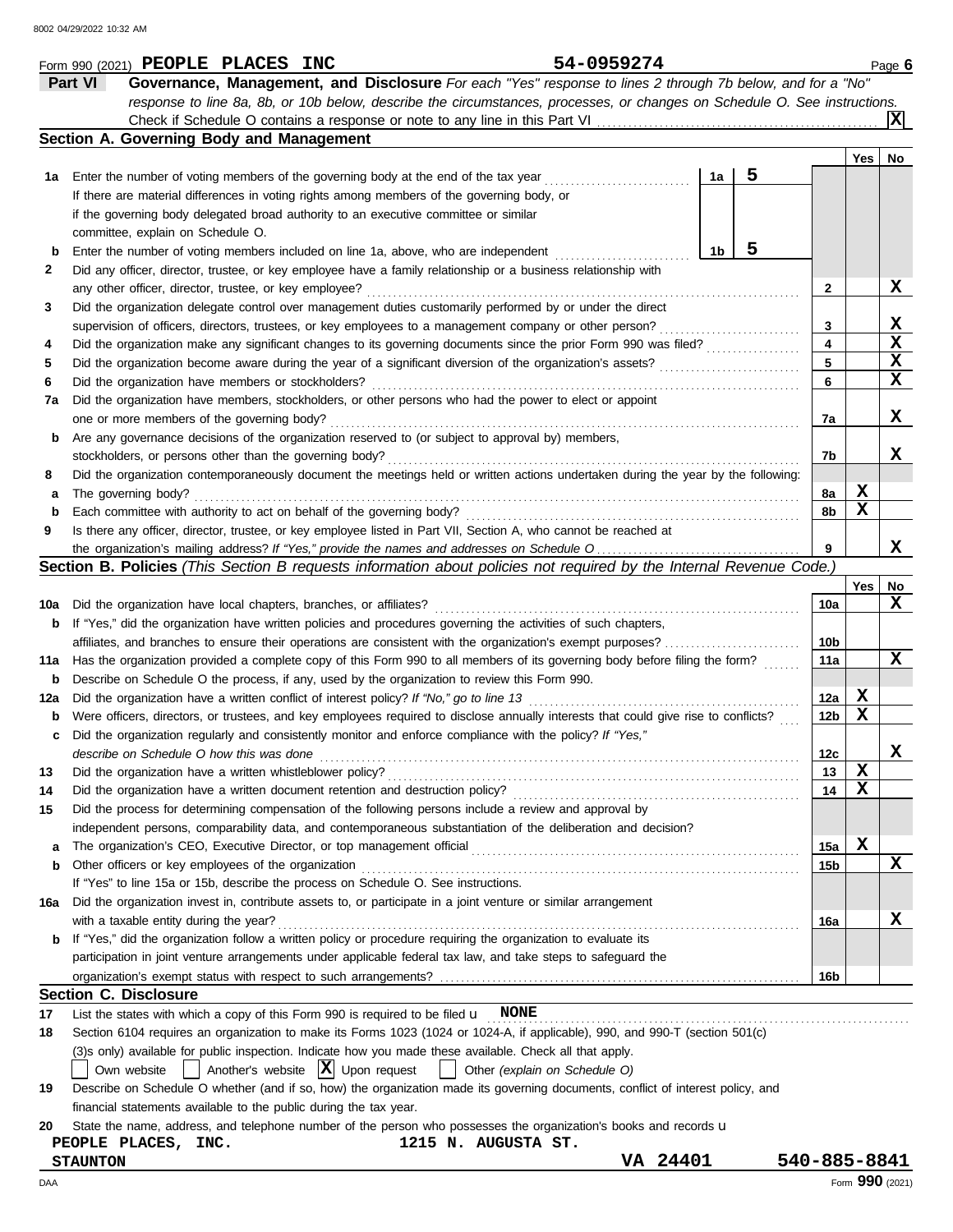|          | 54-0959274<br>Form 990 (2021) PEOPLE PLACES INC                                                                                                                                                                              |    |   |                 |     | Page 6      |
|----------|------------------------------------------------------------------------------------------------------------------------------------------------------------------------------------------------------------------------------|----|---|-----------------|-----|-------------|
|          | Part VI<br>Governance, Management, and Disclosure For each "Yes" response to lines 2 through 7b below, and for a "No"                                                                                                        |    |   |                 |     |             |
|          | response to line 8a, 8b, or 10b below, describe the circumstances, processes, or changes on Schedule O. See instructions.                                                                                                    |    |   |                 |     |             |
|          |                                                                                                                                                                                                                              |    |   |                 |     | ΙXΙ         |
|          | Section A. Governing Body and Management                                                                                                                                                                                     |    |   |                 |     |             |
|          |                                                                                                                                                                                                                              |    |   |                 | Yes | No          |
| 1а       | Enter the number of voting members of the governing body at the end of the tax year                                                                                                                                          | 1a | 5 |                 |     |             |
|          | If there are material differences in voting rights among members of the governing body, or                                                                                                                                   |    |   |                 |     |             |
|          | if the governing body delegated broad authority to an executive committee or similar                                                                                                                                         |    |   |                 |     |             |
|          | committee, explain on Schedule O.                                                                                                                                                                                            |    |   |                 |     |             |
| b        | Enter the number of voting members included on line 1a, above, who are independent                                                                                                                                           | 1b | 5 |                 |     |             |
| 2        | Did any officer, director, trustee, or key employee have a family relationship or a business relationship with                                                                                                               |    |   |                 |     |             |
|          | any other officer, director, trustee, or key employee?                                                                                                                                                                       |    |   | 2               |     | x           |
| 3        | Did the organization delegate control over management duties customarily performed by or under the direct                                                                                                                    |    |   |                 |     |             |
|          | supervision of officers, directors, trustees, or key employees to a management company or other person?                                                                                                                      |    | . | 3               |     | X           |
| 4        | Did the organization make any significant changes to its governing documents since the prior Form 990 was filed?                                                                                                             |    |   | 4               |     | $\mathbf x$ |
| 5        | Did the organization become aware during the year of a significant diversion of the organization's assets?                                                                                                                   |    |   | 5               |     | X           |
| 6        | Did the organization have members or stockholders?                                                                                                                                                                           |    |   | 6               |     | X           |
| 7a       | Did the organization have members, stockholders, or other persons who had the power to elect or appoint                                                                                                                      |    |   |                 |     |             |
|          | one or more members of the governing body?                                                                                                                                                                                   |    |   | 7a              |     | X           |
| b        | Are any governance decisions of the organization reserved to (or subject to approval by) members,                                                                                                                            |    |   |                 |     |             |
|          | stockholders, or persons other than the governing body?                                                                                                                                                                      |    |   | 7b              |     | x           |
| 8        | Did the organization contemporaneously document the meetings held or written actions undertaken during the year by the following:                                                                                            |    |   |                 |     |             |
| а        | The governing body?                                                                                                                                                                                                          |    |   | 8a              | X   |             |
| b        | Each committee with authority to act on behalf of the governing body?                                                                                                                                                        |    |   | 8b              | х   |             |
| 9        | Is there any officer, director, trustee, or key employee listed in Part VII, Section A, who cannot be reached at                                                                                                             |    |   |                 |     |             |
|          |                                                                                                                                                                                                                              |    |   | 9               |     | x           |
|          | <b>Section B. Policies</b> (This Section B requests information about policies not required by the Internal Revenue Code.)                                                                                                   |    |   |                 |     |             |
|          |                                                                                                                                                                                                                              |    |   |                 | Yes | No          |
| 10a      | Did the organization have local chapters, branches, or affiliates?                                                                                                                                                           |    |   | 10a             |     | X           |
| b        | If "Yes," did the organization have written policies and procedures governing the activities of such chapters,                                                                                                               |    |   |                 |     |             |
|          | affiliates, and branches to ensure their operations are consistent with the organization's exempt purposes?                                                                                                                  |    |   | 10 <sub>b</sub> |     |             |
| 11a      | Has the organization provided a complete copy of this Form 990 to all members of its governing body before filing the form?                                                                                                  |    |   | 11a             |     | x           |
| b        | Describe on Schedule O the process, if any, used by the organization to review this Form 990.                                                                                                                                |    |   |                 |     |             |
| 12a      | Did the organization have a written conflict of interest policy? If "No," go to line 13                                                                                                                                      |    |   | 12a             | X   |             |
| b        | Were officers, directors, or trustees, and key employees required to disclose annually interests that could give rise to conflicts?                                                                                          |    |   | 12b             | х   |             |
| c        | Did the organization regularly and consistently monitor and enforce compliance with the policy? If "Yes,"                                                                                                                    |    |   |                 |     |             |
|          | describe on Schedule O how this was done                                                                                                                                                                                     |    |   | 12c             |     |             |
| 13       | Did the organization have a written whistleblower policy?                                                                                                                                                                    |    |   | 13              | X   |             |
| 14       | Did the organization have a written document retention and destruction policy?                                                                                                                                               |    |   | 14              | x   |             |
| 15       | Did the process for determining compensation of the following persons include a review and approval by                                                                                                                       |    |   |                 |     |             |
|          | independent persons, comparability data, and contemporaneous substantiation of the deliberation and decision?                                                                                                                |    |   |                 |     |             |
| а        |                                                                                                                                                                                                                              |    |   | 15a             | X   |             |
| b        | Other officers or key employees of the organization                                                                                                                                                                          |    |   | 15b             |     | x           |
|          | If "Yes" to line 15a or 15b, describe the process on Schedule O. See instructions.                                                                                                                                           |    |   |                 |     |             |
| 16a      | Did the organization invest in, contribute assets to, or participate in a joint venture or similar arrangement                                                                                                               |    |   |                 |     |             |
|          | with a taxable entity during the year?                                                                                                                                                                                       |    |   | 16a             |     | X           |
| b        | If "Yes," did the organization follow a written policy or procedure requiring the organization to evaluate its                                                                                                               |    |   |                 |     |             |
|          | participation in joint venture arrangements under applicable federal tax law, and take steps to safeguard the                                                                                                                |    |   |                 |     |             |
|          |                                                                                                                                                                                                                              |    |   | 16b             |     |             |
|          | <b>Section C. Disclosure</b>                                                                                                                                                                                                 |    |   |                 |     |             |
| 17<br>18 | List the states with which a copy of this Form 990 is required to be filed $\mathbf{u}$ NONE<br>Section 6104 requires an organization to make its Forms 1023 (1024 or 1024-A, if applicable), 990, and 990-T (section 501(c) |    |   |                 |     |             |
|          | (3)s only) available for public inspection. Indicate how you made these available. Check all that apply.                                                                                                                     |    |   |                 |     |             |
|          | $\vert$ Another's website $\vert X \vert$ Upon request<br>  Other (explain on Schedule O)<br>Own website                                                                                                                     |    |   |                 |     |             |
|          |                                                                                                                                                                                                                              |    |   |                 |     |             |
| 19       | Describe on Schedule O whether (and if so, how) the organization made its governing documents, conflict of interest policy, and                                                                                              |    |   |                 |     |             |
|          | financial statements available to the public during the tax year.                                                                                                                                                            |    |   |                 |     |             |
| 20       | State the name, address, and telephone number of the person who possesses the organization's books and records u<br><b>1215 N. AUGUSTA ST.</b><br>PEOPLE PLACES, INC.                                                        |    |   |                 |     |             |
|          | VA 24401<br><b>STAUNTON</b>                                                                                                                                                                                                  |    |   | 540-885-8841    |     |             |
|          |                                                                                                                                                                                                                              |    |   |                 |     |             |

DAA Form **990** (2021)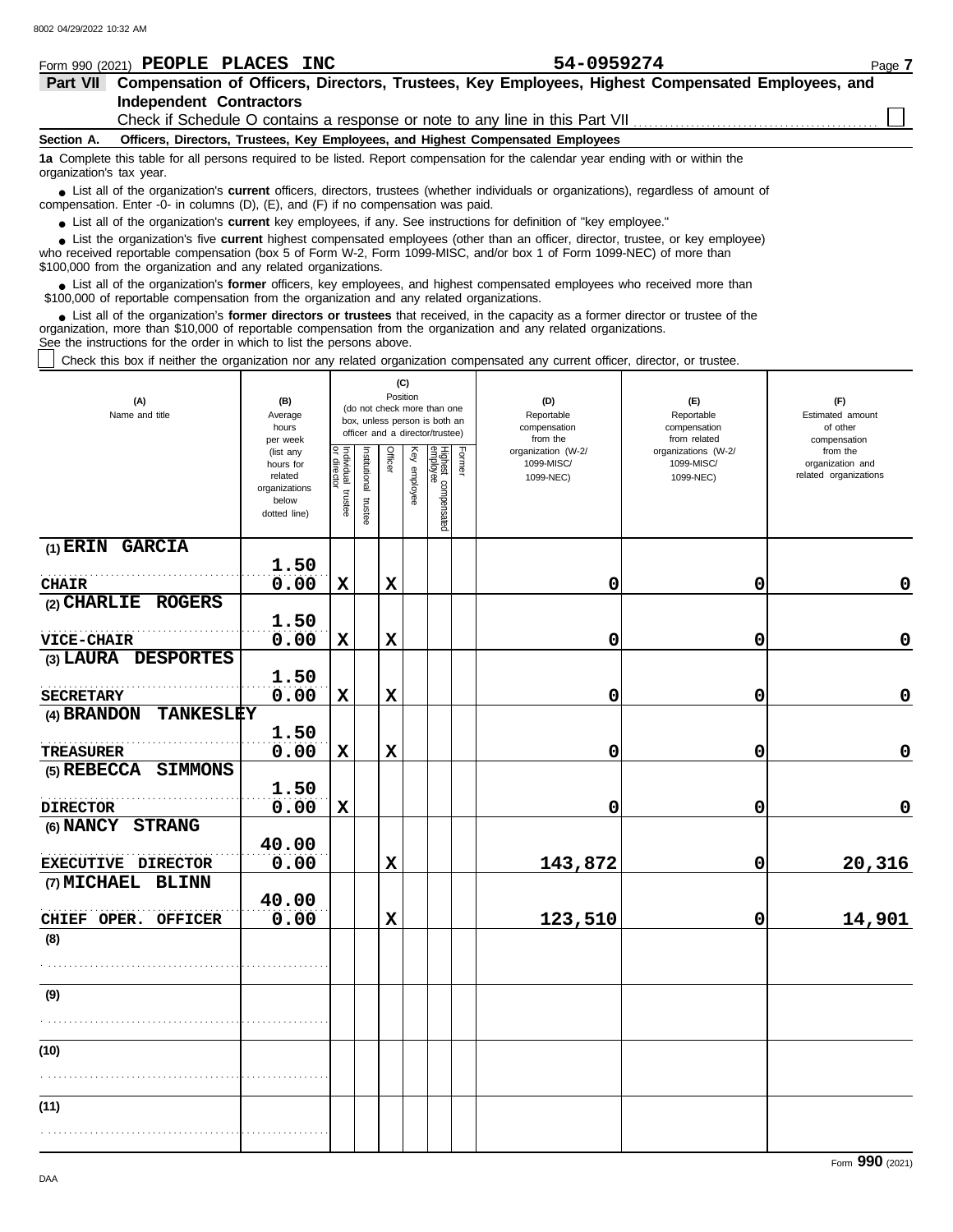|                          | Form 990 (2021) PEOPLE PLACES INC                                      |                                                                                                                                                                                                                                                          | 54-0959274 | Page 7 |
|--------------------------|------------------------------------------------------------------------|----------------------------------------------------------------------------------------------------------------------------------------------------------------------------------------------------------------------------------------------------------|------------|--------|
| <b>Part VII</b>          |                                                                        | Compensation of Officers, Directors, Trustees, Key Employees, Highest Compensated Employees, and                                                                                                                                                         |            |        |
|                          | <b>Independent Contractors</b>                                         |                                                                                                                                                                                                                                                          |            |        |
|                          |                                                                        |                                                                                                                                                                                                                                                          |            |        |
| Section A.               |                                                                        | Officers, Directors, Trustees, Key Employees, and Highest Compensated Employees                                                                                                                                                                          |            |        |
| organization's tax year. |                                                                        | 1a Complete this table for all persons required to be listed. Report compensation for the calendar year ending with or within the                                                                                                                        |            |        |
|                          |                                                                        | List all of the organization's <b>current</b> officers, directors, trustees (whether individuals or organizations), regardless of amount of<br>compensation. Enter -0- in columns (D), (E), and (F) if no compensation was paid.                         |            |        |
|                          |                                                                        | • List all of the organization's <b>current</b> key employees, if any. See instructions for definition of "key employee."                                                                                                                                |            |        |
|                          | \$100,000 from the organization and any related organizations.         | • List the organization's five current highest compensated employees (other than an officer, director, trustee, or key employee)<br>who received reportable compensation (box 5 of Form W-2, Form 1099-MISC, and/or box 1 of Form 1099-NEC) of more than |            |        |
|                          |                                                                        | • List all of the organization's former officers, key employees, and highest compensated employees who received more than<br>\$100,000 of reportable compensation from the organization and any related organizations.                                   |            |        |
|                          | See the instructions for the order in which to list the persons above. | List all of the organization's former directors or trustees that received, in the capacity as a former director or trustee of the<br>organization, more than \$10,000 of reportable compensation from the organization and any related organizations.    |            |        |
|                          |                                                                        | Check this box if neither the organization nor any related organization compensated any current officer, director, or trustee.                                                                                                                           |            |        |
|                          |                                                                        |                                                                                                                                                                                                                                                          |            |        |

| (A)<br>Name and title                    | (B)<br>Average<br>hours<br>per week                                         |                                   | (C)<br>Position<br>(do not check more than one<br>box, unless person is both an<br>officer and a director/trustee) |                |              |                                 |        | (D)<br>Reportable<br>compensation<br>from the | (E)<br>Reportable<br>compensation<br>from related | (F)<br>Estimated amount<br>of other<br>compensation   |
|------------------------------------------|-----------------------------------------------------------------------------|-----------------------------------|--------------------------------------------------------------------------------------------------------------------|----------------|--------------|---------------------------------|--------|-----------------------------------------------|---------------------------------------------------|-------------------------------------------------------|
|                                          | (list any<br>hours for<br>related<br>organizations<br>below<br>dotted line) | Individual trustee<br>or director | Institutional trustee                                                                                              | <b>Officer</b> | Key employee | Highest compensated<br>employee | Former | organization (W-2/<br>1099-MISC/<br>1099-NEC) | organizations (W-2/<br>1099-MISC/<br>1099-NEC)    | from the<br>organization and<br>related organizations |
| (1) ERIN GARCIA                          |                                                                             |                                   |                                                                                                                    |                |              |                                 |        |                                               |                                                   |                                                       |
|                                          | 1.50                                                                        |                                   |                                                                                                                    |                |              |                                 |        |                                               |                                                   |                                                       |
| <b>CHAIR</b>                             | 0.00                                                                        | $\mathbf x$                       |                                                                                                                    | $\mathbf x$    |              |                                 |        | 0                                             | 0                                                 | $\mathbf 0$                                           |
| (2) CHARLIE<br><b>ROGERS</b>             |                                                                             |                                   |                                                                                                                    |                |              |                                 |        |                                               |                                                   |                                                       |
|                                          | 1.50<br>0.00                                                                | $\mathbf x$                       |                                                                                                                    | $\mathbf x$    |              |                                 |        | 0                                             | 0                                                 | $\mathbf 0$                                           |
| <b>VICE-CHAIR</b><br>(3) LAURA DESPORTES |                                                                             |                                   |                                                                                                                    |                |              |                                 |        |                                               |                                                   |                                                       |
|                                          | 1.50                                                                        |                                   |                                                                                                                    |                |              |                                 |        |                                               |                                                   |                                                       |
| <b>SECRETARY</b>                         | 0.00                                                                        | $\mathbf x$                       |                                                                                                                    | $\mathbf x$    |              |                                 |        | 0                                             | 0                                                 | $\mathbf 0$                                           |
| (4) BRANDON<br><b>TANKESLEY</b>          |                                                                             |                                   |                                                                                                                    |                |              |                                 |        |                                               |                                                   |                                                       |
|                                          | 1.50                                                                        |                                   |                                                                                                                    |                |              |                                 |        |                                               |                                                   |                                                       |
| <b>TREASURER</b>                         | 0.00                                                                        | $\mathbf x$                       |                                                                                                                    | $\mathbf x$    |              |                                 |        | 0                                             | 0                                                 | $\mathbf 0$                                           |
| (5) REBECCA SIMMONS                      |                                                                             |                                   |                                                                                                                    |                |              |                                 |        |                                               |                                                   |                                                       |
|                                          | 1.50                                                                        |                                   |                                                                                                                    |                |              |                                 |        |                                               |                                                   |                                                       |
| <b>DIRECTOR</b>                          | 0.00                                                                        | $\mathbf x$                       |                                                                                                                    |                |              |                                 |        | 0                                             | 0                                                 | $\mathbf 0$                                           |
| (6) NANCY STRANG                         |                                                                             |                                   |                                                                                                                    |                |              |                                 |        |                                               |                                                   |                                                       |
|                                          | 40.00                                                                       |                                   |                                                                                                                    |                |              |                                 |        |                                               |                                                   |                                                       |
| EXECUTIVE DIRECTOR<br>(7) MICHAEL BLINN  | 0.00                                                                        |                                   |                                                                                                                    | $\mathbf x$    |              |                                 |        | 143,872                                       | 0                                                 | 20,316                                                |
|                                          | 40.00                                                                       |                                   |                                                                                                                    |                |              |                                 |        |                                               |                                                   |                                                       |
| <b>OFFICER</b><br>CHIEF OPER.            | 0.00                                                                        |                                   |                                                                                                                    | $\mathbf x$    |              |                                 |        | 123,510                                       | 0                                                 | 14,901                                                |
| (8)                                      |                                                                             |                                   |                                                                                                                    |                |              |                                 |        |                                               |                                                   |                                                       |
|                                          |                                                                             |                                   |                                                                                                                    |                |              |                                 |        |                                               |                                                   |                                                       |
| (9)                                      |                                                                             |                                   |                                                                                                                    |                |              |                                 |        |                                               |                                                   |                                                       |
|                                          |                                                                             |                                   |                                                                                                                    |                |              |                                 |        |                                               |                                                   |                                                       |
| (10)                                     |                                                                             |                                   |                                                                                                                    |                |              |                                 |        |                                               |                                                   |                                                       |
|                                          |                                                                             |                                   |                                                                                                                    |                |              |                                 |        |                                               |                                                   |                                                       |
| (11)                                     |                                                                             |                                   |                                                                                                                    |                |              |                                 |        |                                               |                                                   |                                                       |
|                                          |                                                                             |                                   |                                                                                                                    |                |              |                                 |        |                                               |                                                   |                                                       |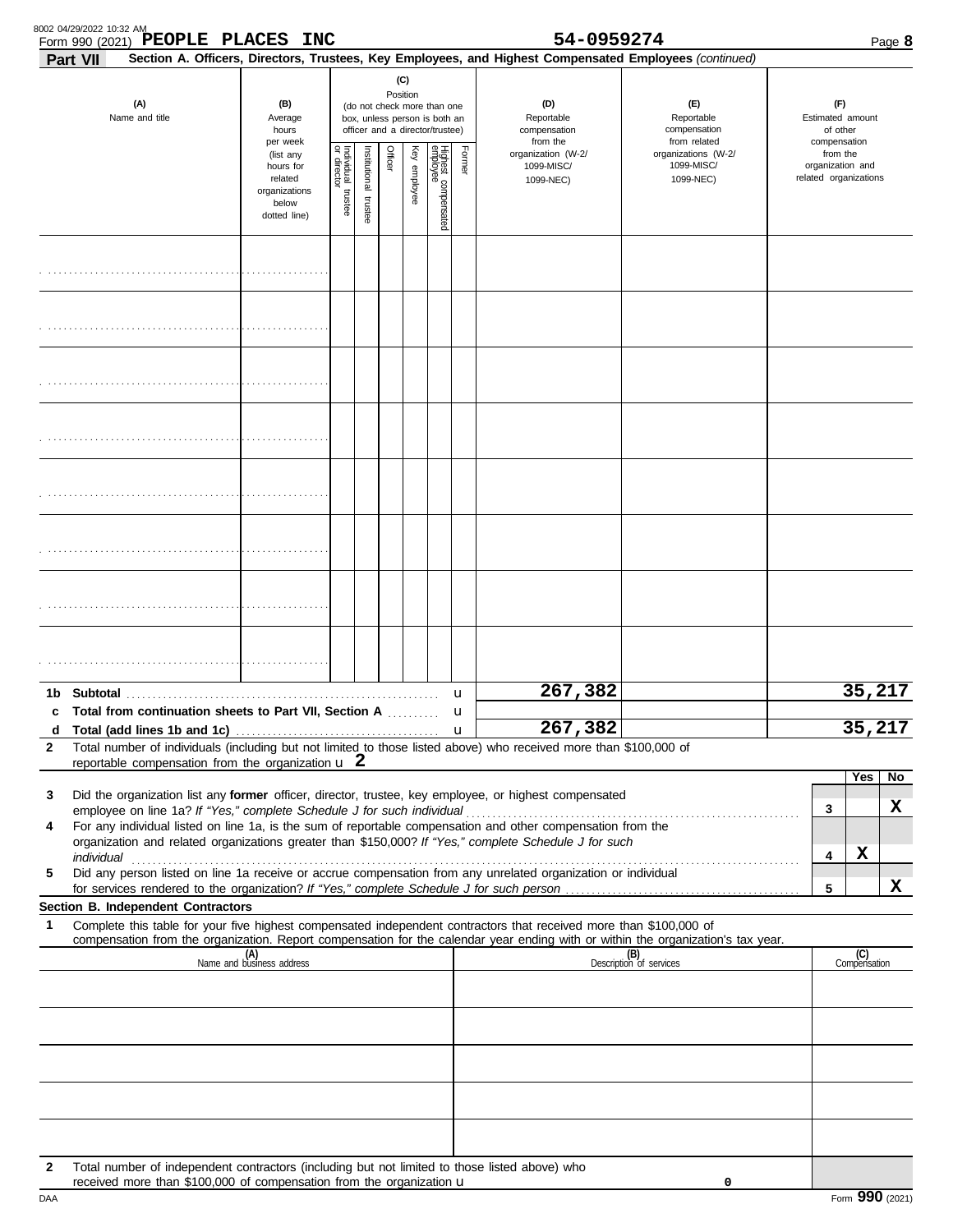| Part VII | 8002 04/29/2022 10:32 AM<br>Form 990 (2021) PEOPLE PLACES INC                                                                                                                                                        |                                                                                         |                         |                       |         |                 |                                                                                                 |        | 54-0959274<br>Section A. Officers, Directors, Trustees, Key Employees, and Highest Compensated Employees (continued) |                                                                                                                                                                                                                                |                       |                                              | Page 8 |
|----------|----------------------------------------------------------------------------------------------------------------------------------------------------------------------------------------------------------------------|-----------------------------------------------------------------------------------------|-------------------------|-----------------------|---------|-----------------|-------------------------------------------------------------------------------------------------|--------|----------------------------------------------------------------------------------------------------------------------|--------------------------------------------------------------------------------------------------------------------------------------------------------------------------------------------------------------------------------|-----------------------|----------------------------------------------|--------|
|          | (A)<br>Name and title                                                                                                                                                                                                | (B)<br>Average<br>hours                                                                 |                         |                       |         | (C)<br>Position | (do not check more than one<br>box, unless person is both an<br>officer and a director/trustee) |        | (D)<br>Reportable<br>compensation                                                                                    | (F)<br>Reportable<br>compensation                                                                                                                                                                                              |                       | (F)<br>Estimated amount<br>of other          |        |
|          |                                                                                                                                                                                                                      | per week<br>(list any<br>hours for<br>related<br>organizations<br>below<br>dotted line) | Individual t<br>trustee | Institutional trustee | Officer | Key employee    | Highest compensated<br>employee                                                                 | Former | from the<br>organization (W-2/<br>1099-MISC/<br>1099-NEC)                                                            | from related<br>organizations (W-2/<br>1099-MISC/<br>1099-NEC)                                                                                                                                                                 | related organizations | compensation<br>from the<br>organization and |        |
|          |                                                                                                                                                                                                                      |                                                                                         |                         |                       |         |                 |                                                                                                 |        |                                                                                                                      |                                                                                                                                                                                                                                |                       |                                              |        |
|          |                                                                                                                                                                                                                      |                                                                                         |                         |                       |         |                 |                                                                                                 |        |                                                                                                                      |                                                                                                                                                                                                                                |                       |                                              |        |
|          |                                                                                                                                                                                                                      |                                                                                         |                         |                       |         |                 |                                                                                                 |        |                                                                                                                      |                                                                                                                                                                                                                                |                       |                                              |        |
|          |                                                                                                                                                                                                                      |                                                                                         |                         |                       |         |                 |                                                                                                 |        |                                                                                                                      |                                                                                                                                                                                                                                |                       |                                              |        |
|          |                                                                                                                                                                                                                      |                                                                                         |                         |                       |         |                 |                                                                                                 |        |                                                                                                                      |                                                                                                                                                                                                                                |                       |                                              |        |
|          |                                                                                                                                                                                                                      |                                                                                         |                         |                       |         |                 |                                                                                                 |        |                                                                                                                      |                                                                                                                                                                                                                                |                       |                                              |        |
|          |                                                                                                                                                                                                                      |                                                                                         |                         |                       |         |                 |                                                                                                 |        |                                                                                                                      |                                                                                                                                                                                                                                |                       |                                              |        |
|          |                                                                                                                                                                                                                      |                                                                                         |                         |                       |         |                 |                                                                                                 |        |                                                                                                                      |                                                                                                                                                                                                                                |                       |                                              |        |
| 1b.<br>c | <b>Total from continuation sheets to Part VII, Section A </b>                                                                                                                                                        |                                                                                         |                         |                       |         |                 |                                                                                                 | u<br>u | 267,382                                                                                                              |                                                                                                                                                                                                                                |                       |                                              | 35,217 |
| d        |                                                                                                                                                                                                                      |                                                                                         |                         |                       |         |                 |                                                                                                 |        | 267,382                                                                                                              |                                                                                                                                                                                                                                |                       |                                              | 35,217 |
| 2        | Total number of individuals (including but not limited to those listed above) who received more than \$100,000 of<br>reportable compensation from the organization $\bf{u}$ 2                                        |                                                                                         |                         |                       |         |                 |                                                                                                 |        |                                                                                                                      |                                                                                                                                                                                                                                |                       |                                              |        |
| 3        | Did the organization list any former officer, director, trustee, key employee, or highest compensated                                                                                                                |                                                                                         |                         |                       |         |                 |                                                                                                 |        |                                                                                                                      |                                                                                                                                                                                                                                |                       | Yes                                          | No     |
|          | employee on line 1a? If "Yes," complete Schedule J for such individual                                                                                                                                               |                                                                                         |                         |                       |         |                 |                                                                                                 |        |                                                                                                                      |                                                                                                                                                                                                                                | 3                     |                                              | X      |
| 4        | For any individual listed on line 1a, is the sum of reportable compensation and other compensation from the<br>organization and related organizations greater than \$150,000? If "Yes," complete Schedule J for such |                                                                                         |                         |                       |         |                 |                                                                                                 |        |                                                                                                                      |                                                                                                                                                                                                                                |                       |                                              |        |
| 5        | Did any person listed on line 1a receive or accrue compensation from any unrelated organization or individual                                                                                                        |                                                                                         |                         |                       |         |                 |                                                                                                 |        |                                                                                                                      | individual with a construction of the construction of the construction of the construction of the construction of the construction of the construction of the construction of the construction of the construction of the cons | 4                     | X                                            |        |
|          |                                                                                                                                                                                                                      |                                                                                         |                         |                       |         |                 |                                                                                                 |        |                                                                                                                      |                                                                                                                                                                                                                                | 5                     |                                              | X      |
| 1        | Section B. Independent Contractors<br>Complete this table for your five highest compensated independent contractors that received more than \$100,000 of                                                             |                                                                                         |                         |                       |         |                 |                                                                                                 |        |                                                                                                                      |                                                                                                                                                                                                                                |                       |                                              |        |
|          |                                                                                                                                                                                                                      | (A)<br>Name and business address                                                        |                         |                       |         |                 |                                                                                                 |        |                                                                                                                      | compensation from the organization. Report compensation for the calendar year ending with or within the organization's tax year.<br>(B)<br>Description of services                                                             |                       | (C)<br>Compensation                          |        |
|          |                                                                                                                                                                                                                      |                                                                                         |                         |                       |         |                 |                                                                                                 |        |                                                                                                                      |                                                                                                                                                                                                                                |                       |                                              |        |
|          |                                                                                                                                                                                                                      |                                                                                         |                         |                       |         |                 |                                                                                                 |        |                                                                                                                      |                                                                                                                                                                                                                                |                       |                                              |        |
|          |                                                                                                                                                                                                                      |                                                                                         |                         |                       |         |                 |                                                                                                 |        |                                                                                                                      |                                                                                                                                                                                                                                |                       |                                              |        |
|          |                                                                                                                                                                                                                      |                                                                                         |                         |                       |         |                 |                                                                                                 |        |                                                                                                                      |                                                                                                                                                                                                                                |                       |                                              |        |
|          |                                                                                                                                                                                                                      |                                                                                         |                         |                       |         |                 |                                                                                                 |        |                                                                                                                      |                                                                                                                                                                                                                                |                       |                                              |        |
|          |                                                                                                                                                                                                                      |                                                                                         |                         |                       |         |                 |                                                                                                 |        |                                                                                                                      |                                                                                                                                                                                                                                |                       |                                              |        |
|          |                                                                                                                                                                                                                      |                                                                                         |                         |                       |         |                 |                                                                                                 |        |                                                                                                                      |                                                                                                                                                                                                                                |                       |                                              |        |
| 2        | Total number of independent contractors (including but not limited to those listed above) who<br>received more than \$100,000 of compensation from the organization u                                                |                                                                                         |                         |                       |         |                 |                                                                                                 |        |                                                                                                                      |                                                                                                                                                                                                                                |                       |                                              |        |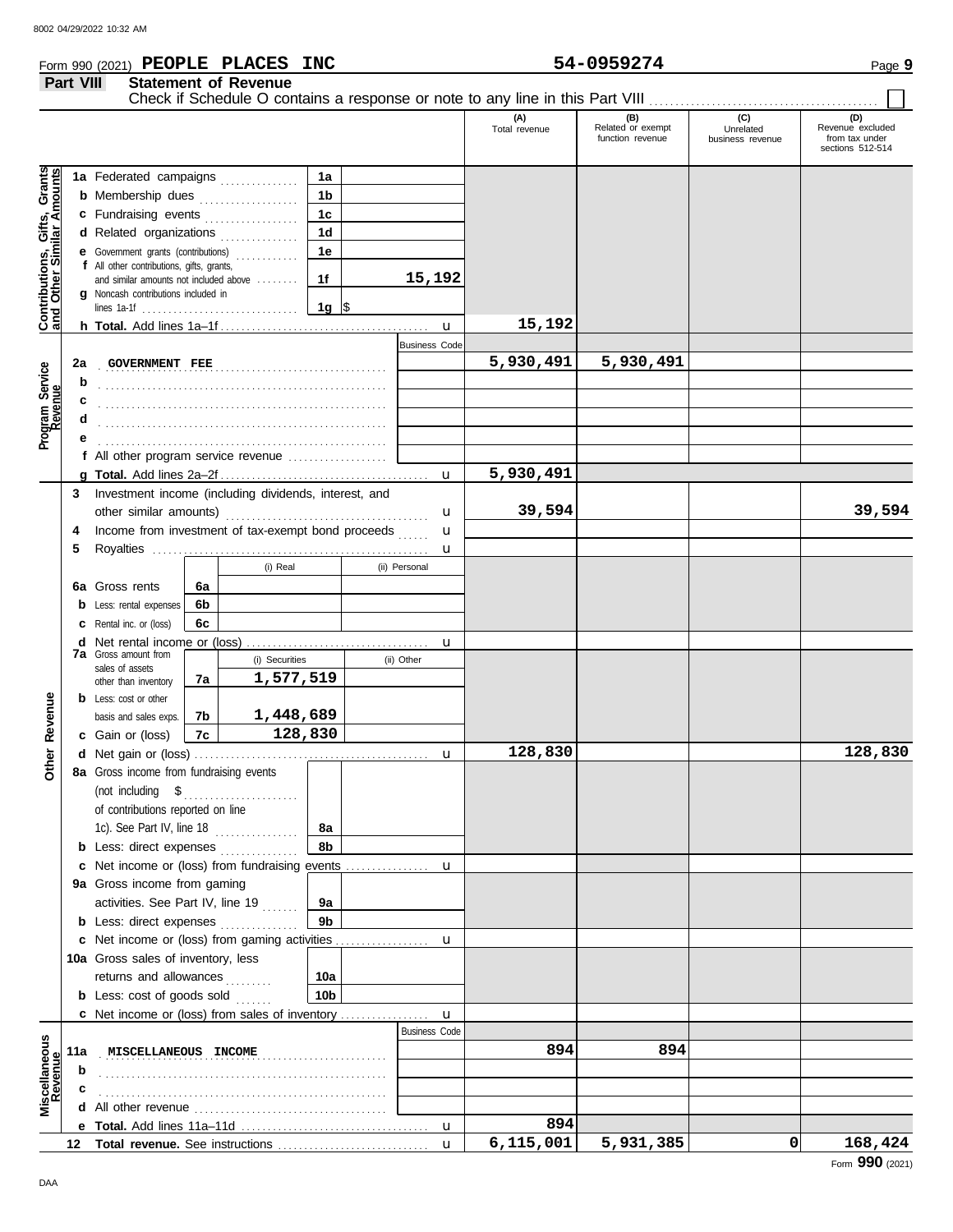Form 990 (2021) PEOPLE PLACES INC **54-0959274** Page 9 **PEOPLE PLACES INC 54-0959274**

|                                                           | Part VIII   |                                                                                     |    | <b>Statement of Revenue</b> |                |                      |                      |                                              |                                      |                                                               |
|-----------------------------------------------------------|-------------|-------------------------------------------------------------------------------------|----|-----------------------------|----------------|----------------------|----------------------|----------------------------------------------|--------------------------------------|---------------------------------------------------------------|
|                                                           |             |                                                                                     |    |                             |                |                      | (A)<br>Total revenue | (B)<br>Related or exempt<br>function revenue | (C)<br>Unrelated<br>business revenue | (D)<br>Revenue excluded<br>from tax under<br>sections 512-514 |
|                                                           |             | 1a Federated campaigns                                                              |    |                             | 1a             |                      |                      |                                              |                                      |                                                               |
| Contributions, Gifts, Grants<br>and Other Similar Amounts |             | <b>b</b> Membership dues                                                            |    |                             | 1 <sub>b</sub> |                      |                      |                                              |                                      |                                                               |
|                                                           |             | c Fundraising events                                                                |    |                             | 1 <sub>c</sub> |                      |                      |                                              |                                      |                                                               |
|                                                           |             | d Related organizations                                                             |    |                             | 1 <sub>d</sub> |                      |                      |                                              |                                      |                                                               |
|                                                           |             | e Government grants (contributions)                                                 |    |                             | 1e             |                      |                      |                                              |                                      |                                                               |
|                                                           |             | f All other contributions, gifts, grants,<br>and similar amounts not included above |    |                             | 1f             | 15,192               |                      |                                              |                                      |                                                               |
|                                                           |             | g Noncash contributions included in                                                 |    |                             |                |                      |                      |                                              |                                      |                                                               |
|                                                           |             |                                                                                     |    |                             | 1g $\sqrt{3}$  |                      |                      |                                              |                                      |                                                               |
|                                                           |             |                                                                                     |    |                             |                | $\mathbf u$          | 15,192               |                                              |                                      |                                                               |
|                                                           |             |                                                                                     |    |                             |                | <b>Business Code</b> |                      |                                              |                                      |                                                               |
|                                                           | 2a          | <b>GOVERNMENT FEE</b>                                                               |    |                             |                |                      | 5,930,491            | 5,930,491                                    |                                      |                                                               |
| Program Service<br>Revenue                                | $\mathbf b$ |                                                                                     |    |                             |                |                      |                      |                                              |                                      |                                                               |
|                                                           | c<br>d      |                                                                                     |    |                             |                |                      |                      |                                              |                                      |                                                               |
|                                                           | е           |                                                                                     |    |                             |                |                      |                      |                                              |                                      |                                                               |
|                                                           |             | f All other program service revenue                                                 |    |                             |                |                      |                      |                                              |                                      |                                                               |
|                                                           |             |                                                                                     |    |                             |                | $\mathbf{u}$         | 5,930,491            |                                              |                                      |                                                               |
|                                                           | 3.          | Investment income (including dividends, interest, and                               |    |                             |                |                      |                      |                                              |                                      |                                                               |
|                                                           |             | other similar amounts)                                                              |    |                             |                | u                    | 39,594               |                                              |                                      | 39,594                                                        |
|                                                           | 4           | Income from investment of tax-exempt bond proceeds                                  |    |                             |                | u                    |                      |                                              |                                      |                                                               |
|                                                           | 5           |                                                                                     |    |                             |                | u                    |                      |                                              |                                      |                                                               |
|                                                           |             |                                                                                     |    | (i) Real                    |                | (ii) Personal        |                      |                                              |                                      |                                                               |
|                                                           |             | <b>6a</b> Gross rents                                                               | 6a |                             |                |                      |                      |                                              |                                      |                                                               |
|                                                           |             | <b>b</b> Less: rental expenses                                                      | 6b |                             |                |                      |                      |                                              |                                      |                                                               |
|                                                           |             | <b>c</b> Rental inc. or (loss)                                                      | 6с |                             |                |                      |                      |                                              |                                      |                                                               |
|                                                           |             | <b>7a</b> Gross amount from                                                         |    | (i) Securities              |                | u<br>(ii) Other      |                      |                                              |                                      |                                                               |
|                                                           |             | sales of assets                                                                     |    | 1,577,519                   |                |                      |                      |                                              |                                      |                                                               |
|                                                           |             | other than inventory<br><b>b</b> Less: cost or other                                | 7а |                             |                |                      |                      |                                              |                                      |                                                               |
|                                                           |             | basis and sales exps.                                                               | 7b | 1,448,689                   |                |                      |                      |                                              |                                      |                                                               |
| Revenue                                                   |             | c Gain or (loss)                                                                    | 7c | 128,830                     |                |                      |                      |                                              |                                      |                                                               |
|                                                           |             |                                                                                     |    |                             |                | u                    | 128,830              |                                              |                                      | 128,830                                                       |
| <b>Other</b>                                              |             | 8a Gross income from fundraising events                                             |    |                             |                |                      |                      |                                              |                                      |                                                               |
|                                                           |             |                                                                                     |    |                             |                |                      |                      |                                              |                                      |                                                               |
|                                                           |             | of contributions reported on line                                                   |    |                             |                |                      |                      |                                              |                                      |                                                               |
|                                                           |             | 1c). See Part IV, line 18                                                           |    |                             | 8а             |                      |                      |                                              |                                      |                                                               |
|                                                           |             | <b>b</b> Less: direct expenses $\ldots$                                             |    |                             | 8b             |                      |                      |                                              |                                      |                                                               |
|                                                           |             |                                                                                     |    |                             |                |                      |                      |                                              |                                      |                                                               |
|                                                           |             | 9a Gross income from gaming                                                         |    |                             |                |                      |                      |                                              |                                      |                                                               |
|                                                           |             | activities. See Part IV, line 19                                                    |    |                             | 9а             |                      |                      |                                              |                                      |                                                               |
|                                                           |             | <b>b</b> Less: direct expenses                                                      |    |                             | 9b             |                      |                      |                                              |                                      |                                                               |
|                                                           |             | 10a Gross sales of inventory, less                                                  |    |                             |                | u                    |                      |                                              |                                      |                                                               |
|                                                           |             | returns and allowances                                                              |    |                             | 10a            |                      |                      |                                              |                                      |                                                               |
|                                                           |             | <b>b</b> Less: cost of goods sold                                                   |    |                             | 10b            |                      |                      |                                              |                                      |                                                               |
|                                                           |             | c Net income or (loss) from sales of inventory                                      |    |                             |                | $\mathbf u$          |                      |                                              |                                      |                                                               |
|                                                           |             |                                                                                     |    |                             |                | <b>Business Code</b> |                      |                                              |                                      |                                                               |
| Miscellaneous                                             | 11a         | MISCELLANEOUS INCOME                                                                |    |                             |                |                      | 894                  | 894                                          |                                      |                                                               |
| evenue                                                    | b           |                                                                                     |    |                             |                |                      |                      |                                              |                                      |                                                               |
|                                                           | c           |                                                                                     |    |                             |                |                      |                      |                                              |                                      |                                                               |
|                                                           |             |                                                                                     |    |                             |                |                      |                      |                                              |                                      |                                                               |
|                                                           |             |                                                                                     |    |                             |                | $\mathbf u$          | 894                  |                                              |                                      |                                                               |
|                                                           |             |                                                                                     |    |                             |                | $\mathbf u$          | 6,115,001            | 5,931,385                                    | 0                                    | 168,424                                                       |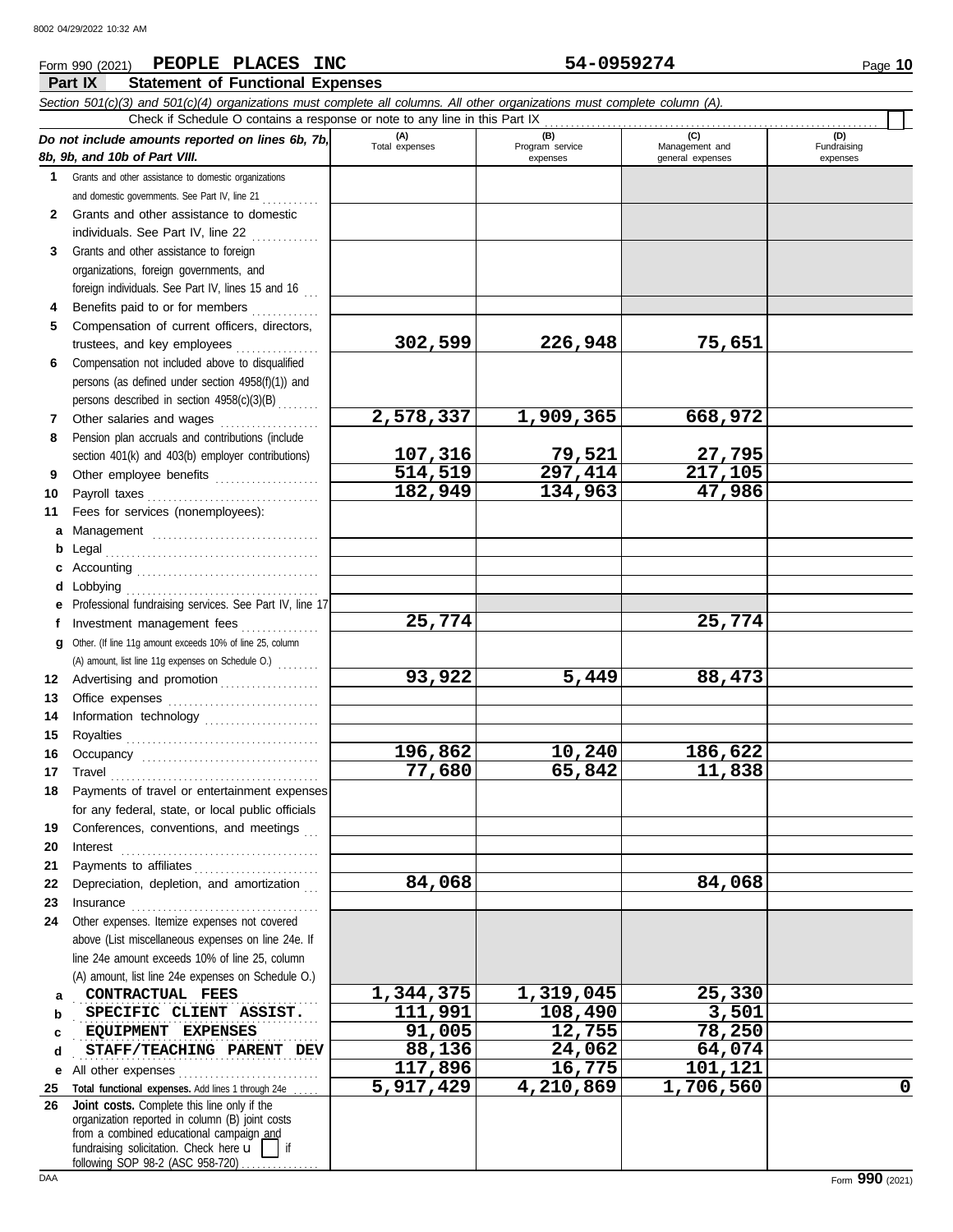#### **Part IX Statement of Functional Expenses Form 990 (2021) PEOPLE PLACES INC 54-0959274** Page 10 *Section 501(c)(3) and 501(c)(4) organizations must complete all columns. All other organizations must complete column (A). Do not include amounts reported on lines 6b, 7b, 8b, 9b, and 10b of Part VIII.* **1** Grants and other assistance to domestic organizations and domestic governments. See Part IV, line 21, . . . . . . . . . . . **(A) (B) (C) (D)** Management and expenses general expenses Fundraising expenses Check if Schedule O contains a response or note to any line in this Part IX

**302,599 226,948 75,651**

**2,578,337 1,909,365 668,972**

**107,316 79,521 27,795 514,519 297,414 217,105 182,949 134,963 47,986**

**25,774 25,774**

**93,922 5,449 88,473**

**196,862 10,240 186,622 77,680 65,842 11,838**

**84,068 84,068**

**117,896 16,775 101,121**

| $\frac{1}{2}$ and absent the set of the set of the set of the set of $\frac{1}{2}$ and $\frac{1}{2}$ and $\frac{1}{2}$ and $\frac{1}{2}$ and $\frac{1}{2}$ and $\frac{1}{2}$ and $\frac{1}{2}$ and $\frac{1}{2}$ and $\frac{1}{2}$ and $\frac{1}{2}$ and $\frac{1}{2}$ and $\$<br>. |
|-------------------------------------------------------------------------------------------------------------------------------------------------------------------------------------------------------------------------------------------------------------------------------------|
| 2 Grants and other assistance to domestic                                                                                                                                                                                                                                           |
| individuals. See Part IV, line 22<br>.                                                                                                                                                                                                                                              |

- **3** Grants and other assistance to foreign organizations, foreign governments, and foreign individuals. See Part IV, lines 15 and 16
- **4 5** Benefits paid to or for members ............. Compensation of current officers, directors, trustees, and key employees ................
- **6** Compensation not included above to disqualified persons (as defined under section 4958(f)(1)) and persons described in section  $4958(c)(3)(B)$ <sub>.......</sub>
- **7 8** Other salaries and wages ................... Pension plan accruals and contributions (include section 401(k) and 403(b) employer contributions)
- **9 10** Other employee benefits .................... Payroll taxes . . . . . . . . . . . . . . . . . . . . . . . . . . . . . . . . .
- **11 a** Management ................................. **b** Legal Fees for services (nonemployees):
- **c** Accounting . . . . . . . . . . . . . . . . . . . . . . . . . . . . . . . . . . . **d** Lobbying . . . . . . . . . . . . . . . . . . . . . . . . . . . . . . . . . . . . . **e** Professional fundraising services. See Part IV, line 17 . . . . . . . . . . . . . . . . . . . . . . . . . . . . . . . . . . . . . . . . .
- **f g** Other. (If line 11g amount exceeds 10% of line 25, column Investment management fees ................ (A) amount, list line 11g expenses on Schedule O.) . . . . . . . .
- **12** Advertising and promotion . . . . . . . . . . . . . . . . . **13 14 15 16** Office expenses ................................ Information technology ...................... Royalties . . . . . . . . . . . . . . . . . . . . . . . . . . . . . . . . . . . . . Occupancy . . . . . . . . . . . . . . . . . . . . . . . . . . . . . . . . . .
- **17 18 19** Travel . . . . . . . . . . . . . . . . . . . . . . . . . . . . . . . . . . . . . . . . Payments of travel or entertainment expenses for any federal, state, or local public officials Conferences, conventions, and meetings
- **20** Interest . . . . . . . . . . . . . . . . . . . . . . . . . . . . . . . . . . . . . .
- **21 22** Payments to affiliates . . . . . . . . . . . . . . . . . . . . . . . . Depreciation, depletion, and amortization
- **23 24** Insurance . . . . . . . . . . . . . . . . . . . . . . . . . . . . . . . . . . . . Other expenses. Itemize expenses not covered above (List miscellaneous expenses on line 24e. If line 24e amount exceeds 10% of line 25, column
- **a b** (A) amount, list line 24e expenses on Schedule O.) . . . . . . . . . . . . . . . . . . . . . . . . . . . . . . . . . . . . . . . . . . . . . . . **CONTRACTUAL FEES 1,344,375 1,319,045 25,330** . . . . . . . . . . . . . . . . . . . . . . . . . . . . . . . . . . . . . . . . . . . . . . . **SPECIFIC CLIENT ASSIST. 111,991 108,490 3,501**
- **c d EQUIPMENT EXPENSES** 250
- **e** All other expenses . . . . . . . . . . . . . . . . . . . . . . . . . . . . . . . . . . . . . . . . . . . . . . . . . . . . . . . . . . . . . . . . . . . . . . . . . . **STAFF/TEACHING PARENT DEV 88,136 24,062 64,074**
- 25 Total functional expenses. Add lines 1 through 24e . . . . . **26** fundraising solicitation. Check here  $\mathbf{u}$  | if organization reported in column (B) joint costs from a combined educational campaign and **Joint costs.** Complete this line only if the

following SOP 98-2 (ASC 958-720) .

**5,917,429 4,210,869 1,706,560 0**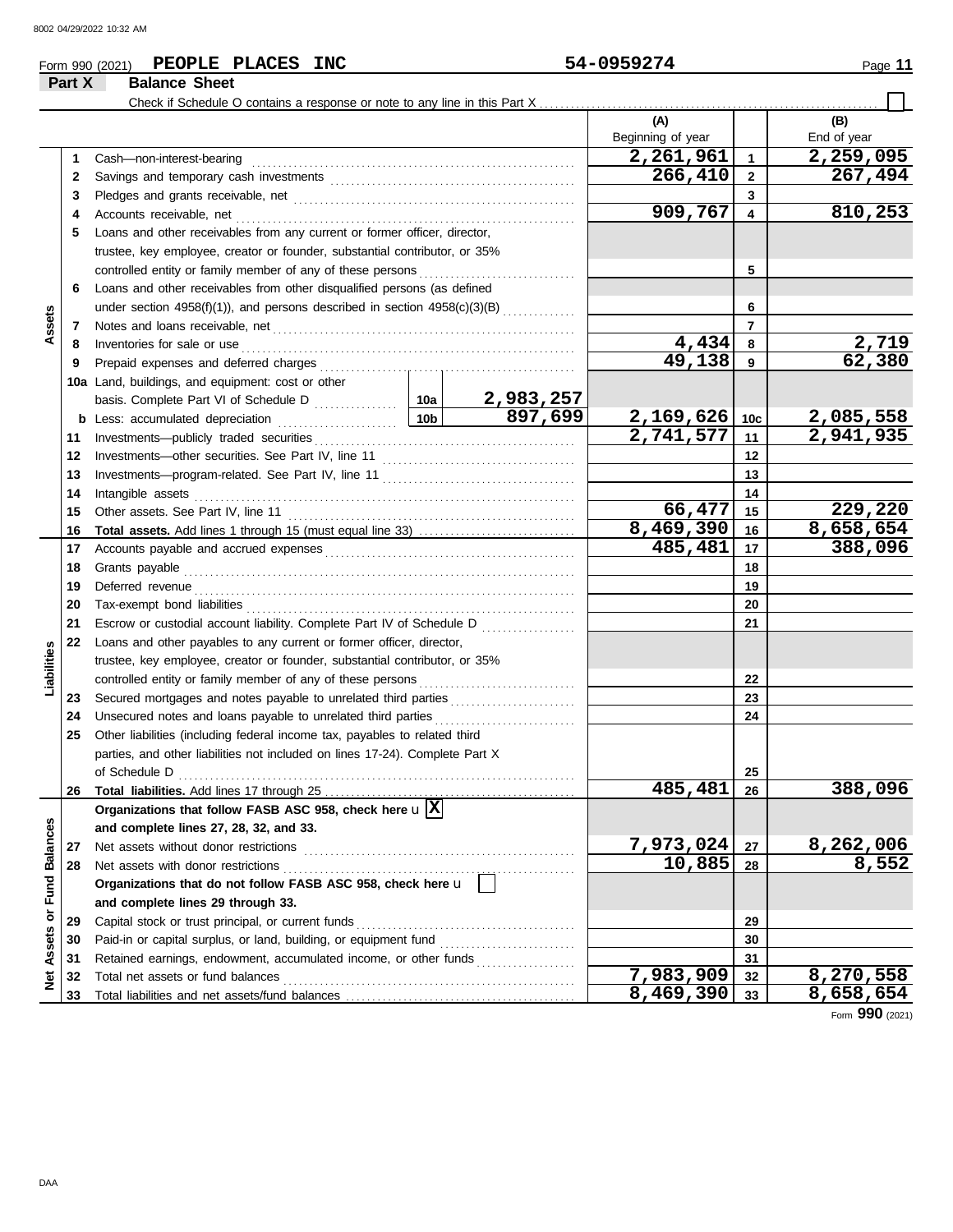## **Form 990 (2021) PEOPLE PLACES INC 54-0959274** Page 11

### **Part X Balance Sheet**

|                      |    | Check if Schedule O contains a response or note to any line in this Part X                                                |                 |                      |                   |                        |                             |
|----------------------|----|---------------------------------------------------------------------------------------------------------------------------|-----------------|----------------------|-------------------|------------------------|-----------------------------|
|                      |    |                                                                                                                           |                 |                      | (A)               |                        | (B)                         |
|                      |    |                                                                                                                           |                 |                      | Beginning of year |                        | End of year                 |
|                      | 1  | Cash-non-interest-bearing                                                                                                 |                 |                      | 2,261,961         | $\mathbf{1}$           | 2,259,095                   |
|                      | 2  |                                                                                                                           |                 |                      | 266,410           | $\mathbf{2}$           | 267,494                     |
|                      | 3  |                                                                                                                           |                 |                      |                   | 3                      |                             |
|                      | 4  | Accounts receivable, net                                                                                                  |                 | 909,767              | 4                 | 810,253                |                             |
|                      | 5  | Loans and other receivables from any current or former officer, director,                                                 |                 |                      |                   |                        |                             |
|                      |    | trustee, key employee, creator or founder, substantial contributor, or 35%                                                |                 |                      |                   |                        |                             |
|                      |    |                                                                                                                           |                 |                      |                   | 5                      |                             |
|                      | 6  | Loans and other receivables from other disqualified persons (as defined                                                   |                 |                      |                   |                        |                             |
|                      |    | under section 4958(f)(1)), and persons described in section 4958(c)(3)(B)                                                 |                 | 6                    |                   |                        |                             |
| Assets               | 7  |                                                                                                                           |                 |                      |                   | $\overline{7}$         |                             |
|                      | 8  | Inventories for sale or use                                                                                               |                 |                      | 4,434             | 8                      | 2,719                       |
|                      | 9  |                                                                                                                           |                 |                      | 49,138            | 9                      | 62,380                      |
|                      |    | 10a Land, buildings, and equipment: cost or other                                                                         |                 |                      |                   |                        |                             |
|                      |    |                                                                                                                           |                 | 2,983,257            |                   |                        |                             |
|                      | b  | Less: accumulated depreciation                                                                                            | 10 <sub>b</sub> | $\overline{897,699}$ | $2,169,626$ 10c   |                        | 2,085,558                   |
|                      | 11 |                                                                                                                           |                 | 2,741,577            | 11                | $\overline{2,941,935}$ |                             |
|                      | 12 | Investments-other securities. See Part IV, line 11                                                                        |                 |                      |                   | 12                     |                             |
|                      | 13 |                                                                                                                           |                 | 13                   |                   |                        |                             |
|                      | 14 | Intangible assets                                                                                                         |                 |                      |                   | 14                     |                             |
|                      | 15 |                                                                                                                           |                 |                      | 66,477            | 15                     | 229,220                     |
|                      | 16 |                                                                                                                           |                 |                      | 8,469,390         | 16                     | 8,658,654                   |
|                      | 17 |                                                                                                                           | 485,481         | 17                   | 388,096           |                        |                             |
|                      | 18 | Grants payable                                                                                                            |                 | 18                   |                   |                        |                             |
|                      | 19 | Deferred revenue                                                                                                          |                 |                      |                   | 19                     |                             |
|                      | 20 |                                                                                                                           |                 | 20                   |                   |                        |                             |
|                      | 21 | Escrow or custodial account liability. Complete Part IV of Schedule D                                                     |                 |                      |                   | 21                     |                             |
|                      | 22 | Loans and other payables to any current or former officer, director,                                                      |                 |                      |                   |                        |                             |
| Liabilities          |    | trustee, key employee, creator or founder, substantial contributor, or 35%                                                |                 |                      |                   |                        |                             |
|                      |    | controlled entity or family member of any of these persons                                                                |                 |                      |                   | 22                     |                             |
|                      | 23 | Secured mortgages and notes payable to unrelated third parties                                                            |                 |                      |                   | 23                     |                             |
|                      | 24 | Unsecured notes and loans payable to unrelated third parties                                                              |                 |                      |                   | 24                     |                             |
|                      | 25 | Other liabilities (including federal income tax, payables to related third                                                |                 |                      |                   |                        |                             |
|                      |    | parties, and other liabilities not included on lines 17-24). Complete Part X                                              |                 |                      |                   |                        |                             |
|                      |    | of Schedule D $\ldots$ $\ldots$ $\ldots$ $\ldots$ $\ldots$ $\ldots$ $\ldots$ $\ldots$ $\ldots$ $\ldots$ $\ldots$          |                 |                      |                   | 25                     |                             |
|                      | 26 | Total liabilities. Add lines 17 through 25<br>Organizations that follow FASB ASC 958, check here $\mathbf{u} \mathbf{X} $ |                 |                      | 485,481           | 26                     | <u>388,096</u>              |
|                      |    | and complete lines 27, 28, 32, and 33.                                                                                    |                 |                      |                   |                        |                             |
| <b>Fund Balances</b> | 27 | Net assets without donor restrictions                                                                                     |                 |                      | 7,973,024         | 27                     | 8,262,006                   |
|                      | 28 | Net assets with donor restrictions                                                                                        |                 |                      | 10,885            | 28                     | 8,552                       |
|                      |    | Organizations that do not follow FASB ASC 958, check here u                                                               |                 |                      |                   |                        |                             |
|                      |    | and complete lines 29 through 33.                                                                                         |                 |                      |                   |                        |                             |
| ŏ                    | 29 | Capital stock or trust principal, or current funds                                                                        |                 | 29                   |                   |                        |                             |
| Assets               | 30 |                                                                                                                           |                 |                      |                   | 30                     |                             |
|                      | 31 | Retained earnings, endowment, accumulated income, or other funds                                                          |                 |                      |                   | 31                     |                             |
| ğ                    | 32 | Total net assets or fund balances                                                                                         |                 |                      | 7,983,909         | 32                     | 8,270,558                   |
|                      | 33 |                                                                                                                           |                 |                      | 8,469,390         | 33                     | 8,658,654                   |
|                      |    |                                                                                                                           |                 |                      |                   |                        | $F_{\text{c}}$ 000 $(2024)$ |

Form **990** (2021)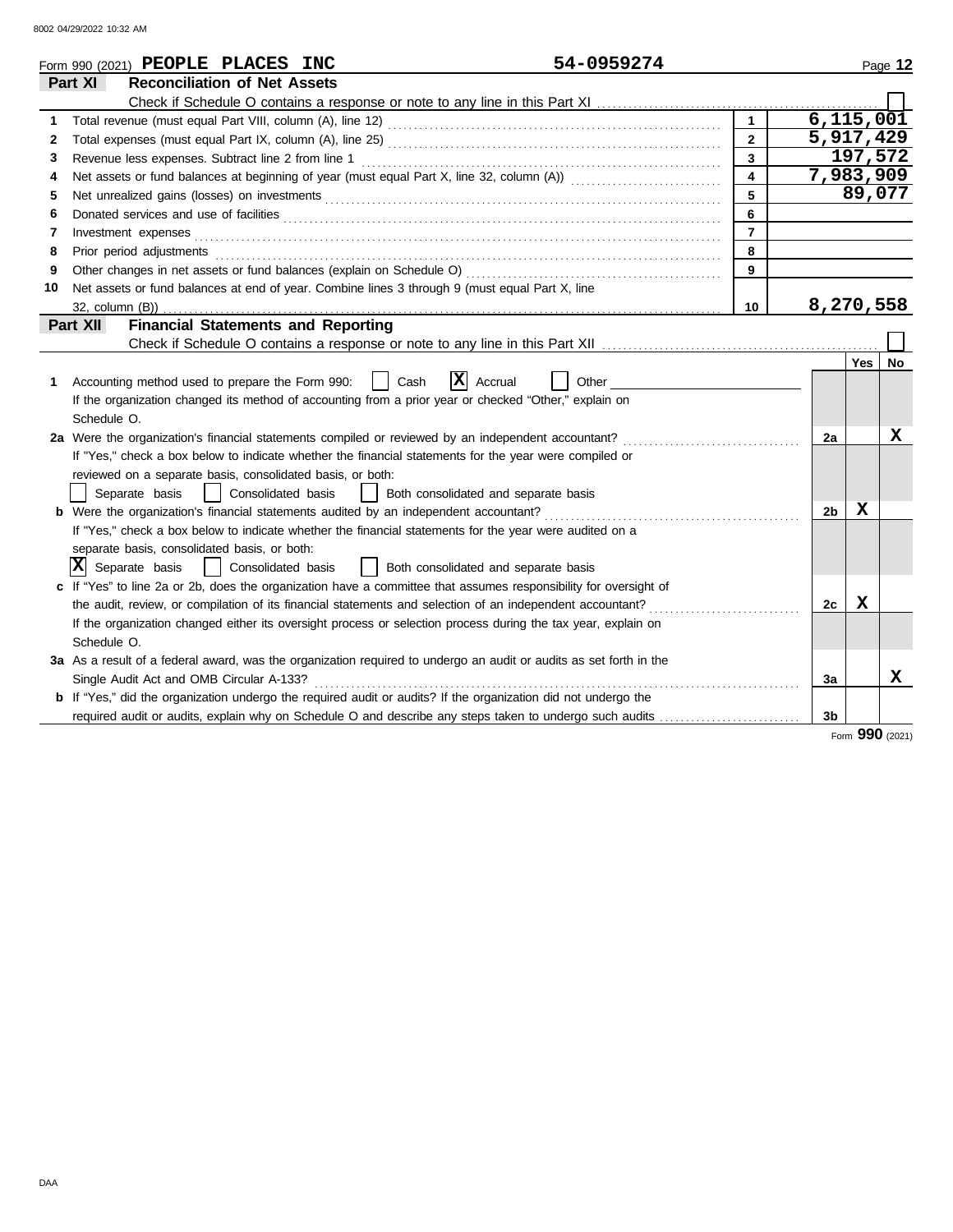| Part XI<br><b>Reconciliation of Net Assets</b><br>6,115,001<br>$\mathbf{1}$<br>1<br>5,917,429<br>$\overline{2}$<br>2<br>197,572<br>3<br>Revenue less expenses. Subtract line 2 from line 1<br>3<br>7,983,909<br>$\blacktriangle$<br>4<br>89,077<br>5<br>6<br>6<br>$\overline{7}$<br>Investment expenses <b>constant expenses</b><br>7<br>8<br>Prior period adjustments [11, 12] and the contract of the contract of the contract of the contract of the contract of the contract of the contract of the contract of the contract of the contract of the contract of the cont<br>8<br>9<br>9<br>Net assets or fund balances at end of year. Combine lines 3 through 9 (must equal Part X, line<br>10<br>8,270,558<br>10<br>$32$ , column $(B)$ )<br><b>Financial Statements and Reporting</b><br>Part XII<br>Yes<br><b>No</b><br>$ \mathbf{X} $ Accrual<br>Accounting method used to prepare the Form 990:<br>  Cash<br>Other<br>1<br>If the organization changed its method of accounting from a prior year or checked "Other," explain on<br>Schedule O.<br>x<br>2a Were the organization's financial statements compiled or reviewed by an independent accountant?<br>2a<br>If "Yes," check a box below to indicate whether the financial statements for the year were compiled or<br>reviewed on a separate basis, consolidated basis, or both:<br>Separate basis<br>  Consolidated basis<br>Both consolidated and separate basis<br>х<br>2b<br>If "Yes," check a box below to indicate whether the financial statements for the year were audited on a<br>separate basis, consolidated basis, or both:<br>$ \mathbf{X} $ Separate basis<br>Consolidated basis<br>Both consolidated and separate basis<br>c If "Yes" to line 2a or 2b, does the organization have a committee that assumes responsibility for oversight of<br>$\mathbf x$<br>the audit, review, or compilation of its financial statements and selection of an independent accountant?<br>2c<br>If the organization changed either its oversight process or selection process during the tax year, explain on<br>Schedule O.<br>3a As a result of a federal award, was the organization required to undergo an audit or audits as set forth in the<br>x<br>Single Audit Act and OMB Circular A-133?<br>За<br><b>b</b> If "Yes," did the organization undergo the required audit or audits? If the organization did not undergo the | 54-0959274<br>Form 990 (2021) PEOPLE PLACES INC |  | Page 12 |
|-------------------------------------------------------------------------------------------------------------------------------------------------------------------------------------------------------------------------------------------------------------------------------------------------------------------------------------------------------------------------------------------------------------------------------------------------------------------------------------------------------------------------------------------------------------------------------------------------------------------------------------------------------------------------------------------------------------------------------------------------------------------------------------------------------------------------------------------------------------------------------------------------------------------------------------------------------------------------------------------------------------------------------------------------------------------------------------------------------------------------------------------------------------------------------------------------------------------------------------------------------------------------------------------------------------------------------------------------------------------------------------------------------------------------------------------------------------------------------------------------------------------------------------------------------------------------------------------------------------------------------------------------------------------------------------------------------------------------------------------------------------------------------------------------------------------------------------------------------------------------------------------------------------------------------------------------------------------------------------------------------------------------------------------------------------------------------------------------------------------------------------------------------------------------------------------------------------------------------------------------------------------------------------------------------------------------------------------------------------------------------------------------------|-------------------------------------------------|--|---------|
|                                                                                                                                                                                                                                                                                                                                                                                                                                                                                                                                                                                                                                                                                                                                                                                                                                                                                                                                                                                                                                                                                                                                                                                                                                                                                                                                                                                                                                                                                                                                                                                                                                                                                                                                                                                                                                                                                                                                                                                                                                                                                                                                                                                                                                                                                                                                                                                                       |                                                 |  |         |
|                                                                                                                                                                                                                                                                                                                                                                                                                                                                                                                                                                                                                                                                                                                                                                                                                                                                                                                                                                                                                                                                                                                                                                                                                                                                                                                                                                                                                                                                                                                                                                                                                                                                                                                                                                                                                                                                                                                                                                                                                                                                                                                                                                                                                                                                                                                                                                                                       |                                                 |  |         |
|                                                                                                                                                                                                                                                                                                                                                                                                                                                                                                                                                                                                                                                                                                                                                                                                                                                                                                                                                                                                                                                                                                                                                                                                                                                                                                                                                                                                                                                                                                                                                                                                                                                                                                                                                                                                                                                                                                                                                                                                                                                                                                                                                                                                                                                                                                                                                                                                       |                                                 |  |         |
|                                                                                                                                                                                                                                                                                                                                                                                                                                                                                                                                                                                                                                                                                                                                                                                                                                                                                                                                                                                                                                                                                                                                                                                                                                                                                                                                                                                                                                                                                                                                                                                                                                                                                                                                                                                                                                                                                                                                                                                                                                                                                                                                                                                                                                                                                                                                                                                                       |                                                 |  |         |
|                                                                                                                                                                                                                                                                                                                                                                                                                                                                                                                                                                                                                                                                                                                                                                                                                                                                                                                                                                                                                                                                                                                                                                                                                                                                                                                                                                                                                                                                                                                                                                                                                                                                                                                                                                                                                                                                                                                                                                                                                                                                                                                                                                                                                                                                                                                                                                                                       |                                                 |  |         |
|                                                                                                                                                                                                                                                                                                                                                                                                                                                                                                                                                                                                                                                                                                                                                                                                                                                                                                                                                                                                                                                                                                                                                                                                                                                                                                                                                                                                                                                                                                                                                                                                                                                                                                                                                                                                                                                                                                                                                                                                                                                                                                                                                                                                                                                                                                                                                                                                       |                                                 |  |         |
|                                                                                                                                                                                                                                                                                                                                                                                                                                                                                                                                                                                                                                                                                                                                                                                                                                                                                                                                                                                                                                                                                                                                                                                                                                                                                                                                                                                                                                                                                                                                                                                                                                                                                                                                                                                                                                                                                                                                                                                                                                                                                                                                                                                                                                                                                                                                                                                                       |                                                 |  |         |
|                                                                                                                                                                                                                                                                                                                                                                                                                                                                                                                                                                                                                                                                                                                                                                                                                                                                                                                                                                                                                                                                                                                                                                                                                                                                                                                                                                                                                                                                                                                                                                                                                                                                                                                                                                                                                                                                                                                                                                                                                                                                                                                                                                                                                                                                                                                                                                                                       |                                                 |  |         |
|                                                                                                                                                                                                                                                                                                                                                                                                                                                                                                                                                                                                                                                                                                                                                                                                                                                                                                                                                                                                                                                                                                                                                                                                                                                                                                                                                                                                                                                                                                                                                                                                                                                                                                                                                                                                                                                                                                                                                                                                                                                                                                                                                                                                                                                                                                                                                                                                       |                                                 |  |         |
|                                                                                                                                                                                                                                                                                                                                                                                                                                                                                                                                                                                                                                                                                                                                                                                                                                                                                                                                                                                                                                                                                                                                                                                                                                                                                                                                                                                                                                                                                                                                                                                                                                                                                                                                                                                                                                                                                                                                                                                                                                                                                                                                                                                                                                                                                                                                                                                                       |                                                 |  |         |
|                                                                                                                                                                                                                                                                                                                                                                                                                                                                                                                                                                                                                                                                                                                                                                                                                                                                                                                                                                                                                                                                                                                                                                                                                                                                                                                                                                                                                                                                                                                                                                                                                                                                                                                                                                                                                                                                                                                                                                                                                                                                                                                                                                                                                                                                                                                                                                                                       |                                                 |  |         |
|                                                                                                                                                                                                                                                                                                                                                                                                                                                                                                                                                                                                                                                                                                                                                                                                                                                                                                                                                                                                                                                                                                                                                                                                                                                                                                                                                                                                                                                                                                                                                                                                                                                                                                                                                                                                                                                                                                                                                                                                                                                                                                                                                                                                                                                                                                                                                                                                       |                                                 |  |         |
|                                                                                                                                                                                                                                                                                                                                                                                                                                                                                                                                                                                                                                                                                                                                                                                                                                                                                                                                                                                                                                                                                                                                                                                                                                                                                                                                                                                                                                                                                                                                                                                                                                                                                                                                                                                                                                                                                                                                                                                                                                                                                                                                                                                                                                                                                                                                                                                                       |                                                 |  |         |
|                                                                                                                                                                                                                                                                                                                                                                                                                                                                                                                                                                                                                                                                                                                                                                                                                                                                                                                                                                                                                                                                                                                                                                                                                                                                                                                                                                                                                                                                                                                                                                                                                                                                                                                                                                                                                                                                                                                                                                                                                                                                                                                                                                                                                                                                                                                                                                                                       |                                                 |  |         |
|                                                                                                                                                                                                                                                                                                                                                                                                                                                                                                                                                                                                                                                                                                                                                                                                                                                                                                                                                                                                                                                                                                                                                                                                                                                                                                                                                                                                                                                                                                                                                                                                                                                                                                                                                                                                                                                                                                                                                                                                                                                                                                                                                                                                                                                                                                                                                                                                       |                                                 |  |         |
|                                                                                                                                                                                                                                                                                                                                                                                                                                                                                                                                                                                                                                                                                                                                                                                                                                                                                                                                                                                                                                                                                                                                                                                                                                                                                                                                                                                                                                                                                                                                                                                                                                                                                                                                                                                                                                                                                                                                                                                                                                                                                                                                                                                                                                                                                                                                                                                                       |                                                 |  |         |
|                                                                                                                                                                                                                                                                                                                                                                                                                                                                                                                                                                                                                                                                                                                                                                                                                                                                                                                                                                                                                                                                                                                                                                                                                                                                                                                                                                                                                                                                                                                                                                                                                                                                                                                                                                                                                                                                                                                                                                                                                                                                                                                                                                                                                                                                                                                                                                                                       |                                                 |  |         |
|                                                                                                                                                                                                                                                                                                                                                                                                                                                                                                                                                                                                                                                                                                                                                                                                                                                                                                                                                                                                                                                                                                                                                                                                                                                                                                                                                                                                                                                                                                                                                                                                                                                                                                                                                                                                                                                                                                                                                                                                                                                                                                                                                                                                                                                                                                                                                                                                       |                                                 |  |         |
|                                                                                                                                                                                                                                                                                                                                                                                                                                                                                                                                                                                                                                                                                                                                                                                                                                                                                                                                                                                                                                                                                                                                                                                                                                                                                                                                                                                                                                                                                                                                                                                                                                                                                                                                                                                                                                                                                                                                                                                                                                                                                                                                                                                                                                                                                                                                                                                                       |                                                 |  |         |
|                                                                                                                                                                                                                                                                                                                                                                                                                                                                                                                                                                                                                                                                                                                                                                                                                                                                                                                                                                                                                                                                                                                                                                                                                                                                                                                                                                                                                                                                                                                                                                                                                                                                                                                                                                                                                                                                                                                                                                                                                                                                                                                                                                                                                                                                                                                                                                                                       |                                                 |  |         |
|                                                                                                                                                                                                                                                                                                                                                                                                                                                                                                                                                                                                                                                                                                                                                                                                                                                                                                                                                                                                                                                                                                                                                                                                                                                                                                                                                                                                                                                                                                                                                                                                                                                                                                                                                                                                                                                                                                                                                                                                                                                                                                                                                                                                                                                                                                                                                                                                       |                                                 |  |         |
|                                                                                                                                                                                                                                                                                                                                                                                                                                                                                                                                                                                                                                                                                                                                                                                                                                                                                                                                                                                                                                                                                                                                                                                                                                                                                                                                                                                                                                                                                                                                                                                                                                                                                                                                                                                                                                                                                                                                                                                                                                                                                                                                                                                                                                                                                                                                                                                                       |                                                 |  |         |
|                                                                                                                                                                                                                                                                                                                                                                                                                                                                                                                                                                                                                                                                                                                                                                                                                                                                                                                                                                                                                                                                                                                                                                                                                                                                                                                                                                                                                                                                                                                                                                                                                                                                                                                                                                                                                                                                                                                                                                                                                                                                                                                                                                                                                                                                                                                                                                                                       |                                                 |  |         |
|                                                                                                                                                                                                                                                                                                                                                                                                                                                                                                                                                                                                                                                                                                                                                                                                                                                                                                                                                                                                                                                                                                                                                                                                                                                                                                                                                                                                                                                                                                                                                                                                                                                                                                                                                                                                                                                                                                                                                                                                                                                                                                                                                                                                                                                                                                                                                                                                       |                                                 |  |         |
|                                                                                                                                                                                                                                                                                                                                                                                                                                                                                                                                                                                                                                                                                                                                                                                                                                                                                                                                                                                                                                                                                                                                                                                                                                                                                                                                                                                                                                                                                                                                                                                                                                                                                                                                                                                                                                                                                                                                                                                                                                                                                                                                                                                                                                                                                                                                                                                                       |                                                 |  |         |
|                                                                                                                                                                                                                                                                                                                                                                                                                                                                                                                                                                                                                                                                                                                                                                                                                                                                                                                                                                                                                                                                                                                                                                                                                                                                                                                                                                                                                                                                                                                                                                                                                                                                                                                                                                                                                                                                                                                                                                                                                                                                                                                                                                                                                                                                                                                                                                                                       |                                                 |  |         |
|                                                                                                                                                                                                                                                                                                                                                                                                                                                                                                                                                                                                                                                                                                                                                                                                                                                                                                                                                                                                                                                                                                                                                                                                                                                                                                                                                                                                                                                                                                                                                                                                                                                                                                                                                                                                                                                                                                                                                                                                                                                                                                                                                                                                                                                                                                                                                                                                       |                                                 |  |         |
|                                                                                                                                                                                                                                                                                                                                                                                                                                                                                                                                                                                                                                                                                                                                                                                                                                                                                                                                                                                                                                                                                                                                                                                                                                                                                                                                                                                                                                                                                                                                                                                                                                                                                                                                                                                                                                                                                                                                                                                                                                                                                                                                                                                                                                                                                                                                                                                                       |                                                 |  |         |
|                                                                                                                                                                                                                                                                                                                                                                                                                                                                                                                                                                                                                                                                                                                                                                                                                                                                                                                                                                                                                                                                                                                                                                                                                                                                                                                                                                                                                                                                                                                                                                                                                                                                                                                                                                                                                                                                                                                                                                                                                                                                                                                                                                                                                                                                                                                                                                                                       |                                                 |  |         |
|                                                                                                                                                                                                                                                                                                                                                                                                                                                                                                                                                                                                                                                                                                                                                                                                                                                                                                                                                                                                                                                                                                                                                                                                                                                                                                                                                                                                                                                                                                                                                                                                                                                                                                                                                                                                                                                                                                                                                                                                                                                                                                                                                                                                                                                                                                                                                                                                       |                                                 |  |         |
|                                                                                                                                                                                                                                                                                                                                                                                                                                                                                                                                                                                                                                                                                                                                                                                                                                                                                                                                                                                                                                                                                                                                                                                                                                                                                                                                                                                                                                                                                                                                                                                                                                                                                                                                                                                                                                                                                                                                                                                                                                                                                                                                                                                                                                                                                                                                                                                                       |                                                 |  |         |
|                                                                                                                                                                                                                                                                                                                                                                                                                                                                                                                                                                                                                                                                                                                                                                                                                                                                                                                                                                                                                                                                                                                                                                                                                                                                                                                                                                                                                                                                                                                                                                                                                                                                                                                                                                                                                                                                                                                                                                                                                                                                                                                                                                                                                                                                                                                                                                                                       |                                                 |  |         |
|                                                                                                                                                                                                                                                                                                                                                                                                                                                                                                                                                                                                                                                                                                                                                                                                                                                                                                                                                                                                                                                                                                                                                                                                                                                                                                                                                                                                                                                                                                                                                                                                                                                                                                                                                                                                                                                                                                                                                                                                                                                                                                                                                                                                                                                                                                                                                                                                       |                                                 |  |         |
|                                                                                                                                                                                                                                                                                                                                                                                                                                                                                                                                                                                                                                                                                                                                                                                                                                                                                                                                                                                                                                                                                                                                                                                                                                                                                                                                                                                                                                                                                                                                                                                                                                                                                                                                                                                                                                                                                                                                                                                                                                                                                                                                                                                                                                                                                                                                                                                                       |                                                 |  |         |
| 3 <sub>b</sub>                                                                                                                                                                                                                                                                                                                                                                                                                                                                                                                                                                                                                                                                                                                                                                                                                                                                                                                                                                                                                                                                                                                                                                                                                                                                                                                                                                                                                                                                                                                                                                                                                                                                                                                                                                                                                                                                                                                                                                                                                                                                                                                                                                                                                                                                                                                                                                                        |                                                 |  |         |

Form **990** (2021)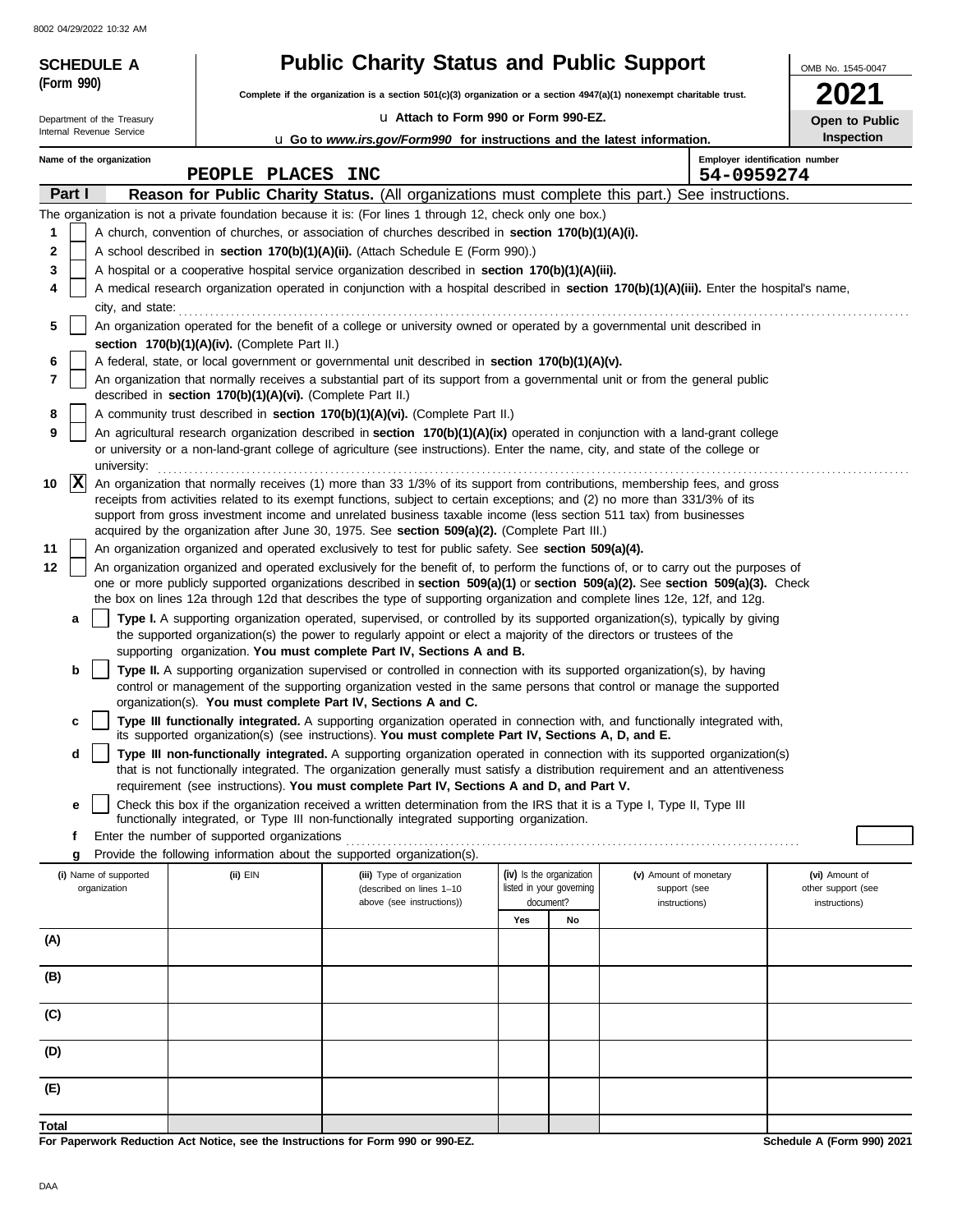**(Form 990)**

| <b>SCHEDULE A</b> | <b>Public Charity Status and Public Support</b> |  |
|-------------------|-------------------------------------------------|--|
|-------------------|-------------------------------------------------|--|

**Complete if the organization is a section 501(c)(3) organization or a section 4947(a)(1) nonexempt charitable trust.**

#### u **Attach to Form 990 or Form 990-EZ.**

**2021 Open to Public**

OMB No. 1545-0047

|       |             | Department of the Treasury |                                                            | Let Attach to Form 990 or Form 990-EZ.                                                                                                                                                                                           |     |                                       |                               |                                              | Open to Public                      |
|-------|-------------|----------------------------|------------------------------------------------------------|----------------------------------------------------------------------------------------------------------------------------------------------------------------------------------------------------------------------------------|-----|---------------------------------------|-------------------------------|----------------------------------------------|-------------------------------------|
|       |             | Internal Revenue Service   |                                                            | <b>u</b> Go to <i>www.irs.gov/Form990</i> for instructions and the latest information.                                                                                                                                           |     |                                       |                               |                                              | Inspection                          |
|       |             | Name of the organization   | PEOPLE PLACES INC                                          |                                                                                                                                                                                                                                  |     |                                       |                               | Employer identification number<br>54-0959274 |                                     |
|       | Part I      |                            |                                                            | <b>Reason for Public Charity Status.</b> (All organizations must complete this part.) See instructions.                                                                                                                          |     |                                       |                               |                                              |                                     |
|       |             |                            |                                                            | The organization is not a private foundation because it is: (For lines 1 through 12, check only one box.)                                                                                                                        |     |                                       |                               |                                              |                                     |
| 1     |             |                            |                                                            | A church, convention of churches, or association of churches described in section 170(b)(1)(A)(i).                                                                                                                               |     |                                       |                               |                                              |                                     |
| 2     |             |                            |                                                            | A school described in section 170(b)(1)(A)(ii). (Attach Schedule E (Form 990).)                                                                                                                                                  |     |                                       |                               |                                              |                                     |
|       |             |                            |                                                            | A hospital or a cooperative hospital service organization described in section 170(b)(1)(A)(iii).                                                                                                                                |     |                                       |                               |                                              |                                     |
| 3     |             |                            |                                                            |                                                                                                                                                                                                                                  |     |                                       |                               |                                              |                                     |
| 4     |             |                            |                                                            | A medical research organization operated in conjunction with a hospital described in section 170(b)(1)(A)(iii). Enter the hospital's name,                                                                                       |     |                                       |                               |                                              |                                     |
|       |             | city, and state:           |                                                            |                                                                                                                                                                                                                                  |     |                                       |                               |                                              |                                     |
| 5     |             |                            |                                                            | An organization operated for the benefit of a college or university owned or operated by a governmental unit described in                                                                                                        |     |                                       |                               |                                              |                                     |
|       |             |                            | section 170(b)(1)(A)(iv). (Complete Part II.)              |                                                                                                                                                                                                                                  |     |                                       |                               |                                              |                                     |
| 6     |             |                            |                                                            | A federal, state, or local government or governmental unit described in section 170(b)(1)(A)(v).                                                                                                                                 |     |                                       |                               |                                              |                                     |
| 7     |             |                            |                                                            | An organization that normally receives a substantial part of its support from a governmental unit or from the general public                                                                                                     |     |                                       |                               |                                              |                                     |
|       |             |                            | described in section 170(b)(1)(A)(vi). (Complete Part II.) |                                                                                                                                                                                                                                  |     |                                       |                               |                                              |                                     |
| 8     |             |                            |                                                            | A community trust described in section 170(b)(1)(A)(vi). (Complete Part II.)                                                                                                                                                     |     |                                       |                               |                                              |                                     |
| 9     |             |                            |                                                            | An agricultural research organization described in section 170(b)(1)(A)(ix) operated in conjunction with a land-grant college                                                                                                    |     |                                       |                               |                                              |                                     |
|       |             | university:                |                                                            | or university or a non-land-grant college of agriculture (see instructions). Enter the name, city, and state of the college or                                                                                                   |     |                                       |                               |                                              |                                     |
| 10    | $ {\bf x} $ |                            |                                                            | An organization that normally receives (1) more than 33 1/3% of its support from contributions, membership fees, and gross                                                                                                       |     |                                       |                               |                                              |                                     |
|       |             |                            |                                                            | receipts from activities related to its exempt functions, subject to certain exceptions; and (2) no more than 331/3% of its                                                                                                      |     |                                       |                               |                                              |                                     |
|       |             |                            |                                                            | support from gross investment income and unrelated business taxable income (less section 511 tax) from businesses                                                                                                                |     |                                       |                               |                                              |                                     |
|       |             |                            |                                                            | acquired by the organization after June 30, 1975. See section 509(a)(2). (Complete Part III.)                                                                                                                                    |     |                                       |                               |                                              |                                     |
| 11    |             |                            |                                                            | An organization organized and operated exclusively to test for public safety. See section 509(a)(4).                                                                                                                             |     |                                       |                               |                                              |                                     |
| 12    |             |                            |                                                            | An organization organized and operated exclusively for the benefit of, to perform the functions of, or to carry out the purposes of                                                                                              |     |                                       |                               |                                              |                                     |
|       |             |                            |                                                            | one or more publicly supported organizations described in section 509(a)(1) or section 509(a)(2). See section 509(a)(3). Check                                                                                                   |     |                                       |                               |                                              |                                     |
|       |             |                            |                                                            | the box on lines 12a through 12d that describes the type of supporting organization and complete lines 12e, 12f, and 12g.                                                                                                        |     |                                       |                               |                                              |                                     |
|       | a           |                            |                                                            | Type I. A supporting organization operated, supervised, or controlled by its supported organization(s), typically by giving                                                                                                      |     |                                       |                               |                                              |                                     |
|       |             |                            |                                                            | the supported organization(s) the power to regularly appoint or elect a majority of the directors or trustees of the                                                                                                             |     |                                       |                               |                                              |                                     |
|       |             |                            |                                                            | supporting organization. You must complete Part IV, Sections A and B.                                                                                                                                                            |     |                                       |                               |                                              |                                     |
|       | b           |                            |                                                            | Type II. A supporting organization supervised or controlled in connection with its supported organization(s), by having                                                                                                          |     |                                       |                               |                                              |                                     |
|       |             |                            |                                                            | control or management of the supporting organization vested in the same persons that control or manage the supported                                                                                                             |     |                                       |                               |                                              |                                     |
|       |             |                            |                                                            | organization(s). You must complete Part IV, Sections A and C.                                                                                                                                                                    |     |                                       |                               |                                              |                                     |
|       | c           |                            |                                                            | Type III functionally integrated. A supporting organization operated in connection with, and functionally integrated with,<br>its supported organization(s) (see instructions). You must complete Part IV, Sections A, D, and E. |     |                                       |                               |                                              |                                     |
|       | d           |                            |                                                            | Type III non-functionally integrated. A supporting organization operated in connection with its supported organization(s)                                                                                                        |     |                                       |                               |                                              |                                     |
|       |             |                            |                                                            | that is not functionally integrated. The organization generally must satisfy a distribution requirement and an attentiveness                                                                                                     |     |                                       |                               |                                              |                                     |
|       |             |                            |                                                            | requirement (see instructions). You must complete Part IV, Sections A and D, and Part V.                                                                                                                                         |     |                                       |                               |                                              |                                     |
|       | е           |                            |                                                            | Check this box if the organization received a written determination from the IRS that it is a Type I, Type II, Type III                                                                                                          |     |                                       |                               |                                              |                                     |
|       |             |                            |                                                            | functionally integrated, or Type III non-functionally integrated supporting organization.                                                                                                                                        |     |                                       |                               |                                              |                                     |
|       | f           |                            | Enter the number of supported organizations                |                                                                                                                                                                                                                                  |     |                                       |                               |                                              |                                     |
|       | g           |                            |                                                            | Provide the following information about the supported organization(s).                                                                                                                                                           |     |                                       |                               |                                              |                                     |
|       |             | (i) Name of supported      | (ii) EIN                                                   | (iii) Type of organization                                                                                                                                                                                                       |     | (iv) Is the organization              | (v) Amount of monetary        |                                              | (vi) Amount of                      |
|       |             | organization               |                                                            | (described on lines 1-10<br>above (see instructions))                                                                                                                                                                            |     | listed in your governing<br>document? | support (see<br>instructions) |                                              | other support (see<br>instructions) |
|       |             |                            |                                                            |                                                                                                                                                                                                                                  | Yes | No                                    |                               |                                              |                                     |
| (A)   |             |                            |                                                            |                                                                                                                                                                                                                                  |     |                                       |                               |                                              |                                     |
|       |             |                            |                                                            |                                                                                                                                                                                                                                  |     |                                       |                               |                                              |                                     |
| (B)   |             |                            |                                                            |                                                                                                                                                                                                                                  |     |                                       |                               |                                              |                                     |
|       |             |                            |                                                            |                                                                                                                                                                                                                                  |     |                                       |                               |                                              |                                     |
| (C)   |             |                            |                                                            |                                                                                                                                                                                                                                  |     |                                       |                               |                                              |                                     |
|       |             |                            |                                                            |                                                                                                                                                                                                                                  |     |                                       |                               |                                              |                                     |
|       |             |                            |                                                            |                                                                                                                                                                                                                                  |     |                                       |                               |                                              |                                     |
| (D)   |             |                            |                                                            |                                                                                                                                                                                                                                  |     |                                       |                               |                                              |                                     |
|       |             |                            |                                                            |                                                                                                                                                                                                                                  |     |                                       |                               |                                              |                                     |
| (E)   |             |                            |                                                            |                                                                                                                                                                                                                                  |     |                                       |                               |                                              |                                     |
|       |             |                            |                                                            |                                                                                                                                                                                                                                  |     |                                       |                               |                                              |                                     |
| Total |             |                            |                                                            |                                                                                                                                                                                                                                  |     |                                       |                               |                                              |                                     |

**For Paperwork Reduction Act Notice, see the Instructions for Form 990 or 990-EZ.**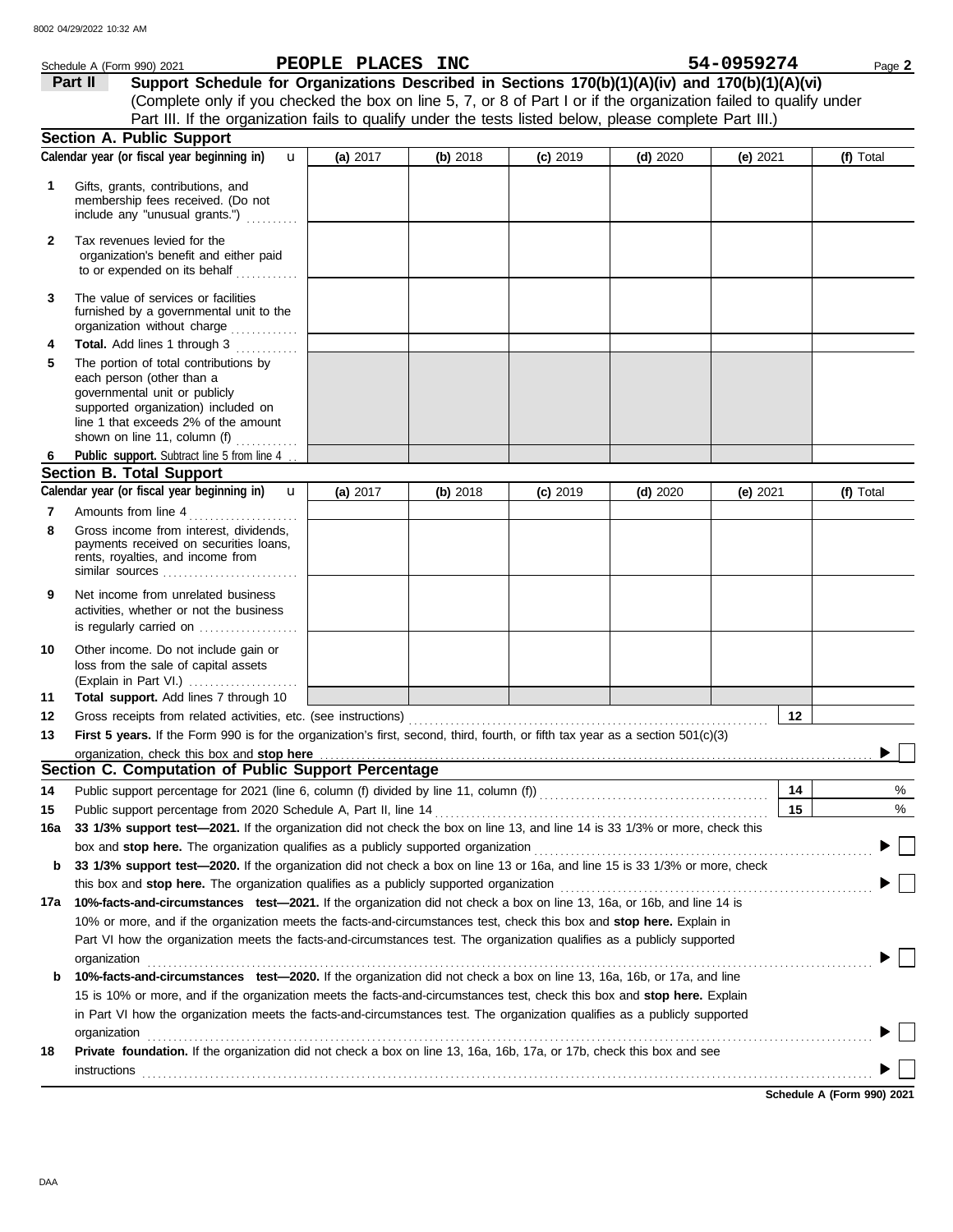|          | Schedule A (Form 990) 2021                                                                                                                                                                                                     | PEOPLE PLACES INC |          |            |            | 54-0959274 | Page 2    |
|----------|--------------------------------------------------------------------------------------------------------------------------------------------------------------------------------------------------------------------------------|-------------------|----------|------------|------------|------------|-----------|
|          | Part II<br>Support Schedule for Organizations Described in Sections 170(b)(1)(A)(iv) and 170(b)(1)(A)(vi)                                                                                                                      |                   |          |            |            |            |           |
|          | (Complete only if you checked the box on line 5, 7, or 8 of Part I or if the organization failed to qualify under                                                                                                              |                   |          |            |            |            |           |
|          | Part III. If the organization fails to qualify under the tests listed below, please complete Part III.)                                                                                                                        |                   |          |            |            |            |           |
|          | <b>Section A. Public Support</b>                                                                                                                                                                                               |                   |          |            |            |            |           |
|          | Calendar year (or fiscal year beginning in)<br>u                                                                                                                                                                               | (a) 2017          | (b) 2018 | $(c)$ 2019 | (d) $2020$ | (e) $2021$ | (f) Total |
| 1        | Gifts, grants, contributions, and                                                                                                                                                                                              |                   |          |            |            |            |           |
|          | membership fees received. (Do not<br>include any "unusual grants.")                                                                                                                                                            |                   |          |            |            |            |           |
| 2        | Tax revenues levied for the<br>organization's benefit and either paid<br>to or expended on its behalf                                                                                                                          |                   |          |            |            |            |           |
| 3        | The value of services or facilities<br>furnished by a governmental unit to the<br>organization without charge                                                                                                                  |                   |          |            |            |            |           |
| 4        | Total. Add lines 1 through 3                                                                                                                                                                                                   |                   |          |            |            |            |           |
| 5        | The portion of total contributions by<br>each person (other than a<br>governmental unit or publicly<br>supported organization) included on<br>line 1 that exceeds 2% of the amount<br>shown on line 11, column (f)             |                   |          |            |            |            |           |
| 6        | Public support. Subtract line 5 from line 4                                                                                                                                                                                    |                   |          |            |            |            |           |
|          | <b>Section B. Total Support</b>                                                                                                                                                                                                |                   |          |            |            |            |           |
|          | Calendar year (or fiscal year beginning in)<br>$\mathbf{u}$                                                                                                                                                                    | (a) 2017          | (b) 2018 | $(c)$ 2019 | $(d)$ 2020 | (e) $2021$ | (f) Total |
| 7        | Amounts from line 4                                                                                                                                                                                                            |                   |          |            |            |            |           |
| 8        | Gross income from interest, dividends,<br>payments received on securities loans,<br>rents, royalties, and income from                                                                                                          |                   |          |            |            |            |           |
| 9        | Net income from unrelated business<br>activities, whether or not the business<br>is regularly carried on                                                                                                                       |                   |          |            |            |            |           |
| 10<br>11 | Other income. Do not include gain or<br>loss from the sale of capital assets<br>(Explain in Part VI.)<br>Total support. Add lines 7 through 10                                                                                 |                   |          |            |            |            |           |
| 12       | Gross receipts from related activities, etc. (see instructions)                                                                                                                                                                |                   |          |            |            | 12         |           |
| 13       | First 5 years. If the Form 990 is for the organization's first, second, third, fourth, or fifth tax year as a section $501(c)(3)$                                                                                              |                   |          |            |            |            |           |
|          | organization, check this box and stop here manufactured and contact the control of the state of the contact of                                                                                                                 |                   |          |            |            |            |           |
|          | Section C. Computation of Public Support Percentage                                                                                                                                                                            |                   |          |            |            |            |           |
| 14       | Public support percentage for 2021 (line 6, column (f) divided by line 11, column (f)) [[[[[[[[[[[[[[[[[[[[[[                                                                                                                  |                   |          |            |            | 14         | %         |
| 15       | Public support percentage from 2020 Schedule A, Part II, line 14                                                                                                                                                               |                   |          |            |            | 15         | %         |
| 16a      | 33 1/3% support test-2021. If the organization did not check the box on line 13, and line 14 is 33 1/3% or more, check this                                                                                                    |                   |          |            |            |            |           |
|          |                                                                                                                                                                                                                                |                   |          |            |            |            |           |
| b        | 33 1/3% support test-2020. If the organization did not check a box on line 13 or 16a, and line 15 is 33 1/3% or more, check                                                                                                    |                   |          |            |            |            |           |
|          | this box and stop here. The organization qualifies as a publicly supported organization [11] content content to the content of the content of the content of the content of the content of the content of the content of the c |                   |          |            |            |            |           |
| 17а      | 10%-facts-and-circumstances test-2021. If the organization did not check a box on line 13, 16a, or 16b, and line 14 is                                                                                                         |                   |          |            |            |            |           |
|          | 10% or more, and if the organization meets the facts-and-circumstances test, check this box and stop here. Explain in                                                                                                          |                   |          |            |            |            |           |
|          | Part VI how the organization meets the facts-and-circumstances test. The organization qualifies as a publicly supported                                                                                                        |                   |          |            |            |            |           |
|          | organization www.commutation.com/www.commutation.com/www.commutation.com/www.commutation.com/www.commutation.com                                                                                                               |                   |          |            |            |            |           |
| b        | 10%-facts-and-circumstances test-2020. If the organization did not check a box on line 13, 16a, 16b, or 17a, and line                                                                                                          |                   |          |            |            |            |           |
|          | 15 is 10% or more, and if the organization meets the facts-and-circumstances test, check this box and stop here. Explain                                                                                                       |                   |          |            |            |            |           |
|          | in Part VI how the organization meets the facts-and-circumstances test. The organization qualifies as a publicly supported                                                                                                     |                   |          |            |            |            |           |
|          | organization                                                                                                                                                                                                                   |                   |          |            |            |            |           |
| 18       | Private foundation. If the organization did not check a box on line 13, 16a, 16b, 17a, or 17b, check this box and see                                                                                                          |                   |          |            |            |            |           |
|          | instructions                                                                                                                                                                                                                   |                   |          |            |            |            |           |

**Schedule A (Form 990) 2021**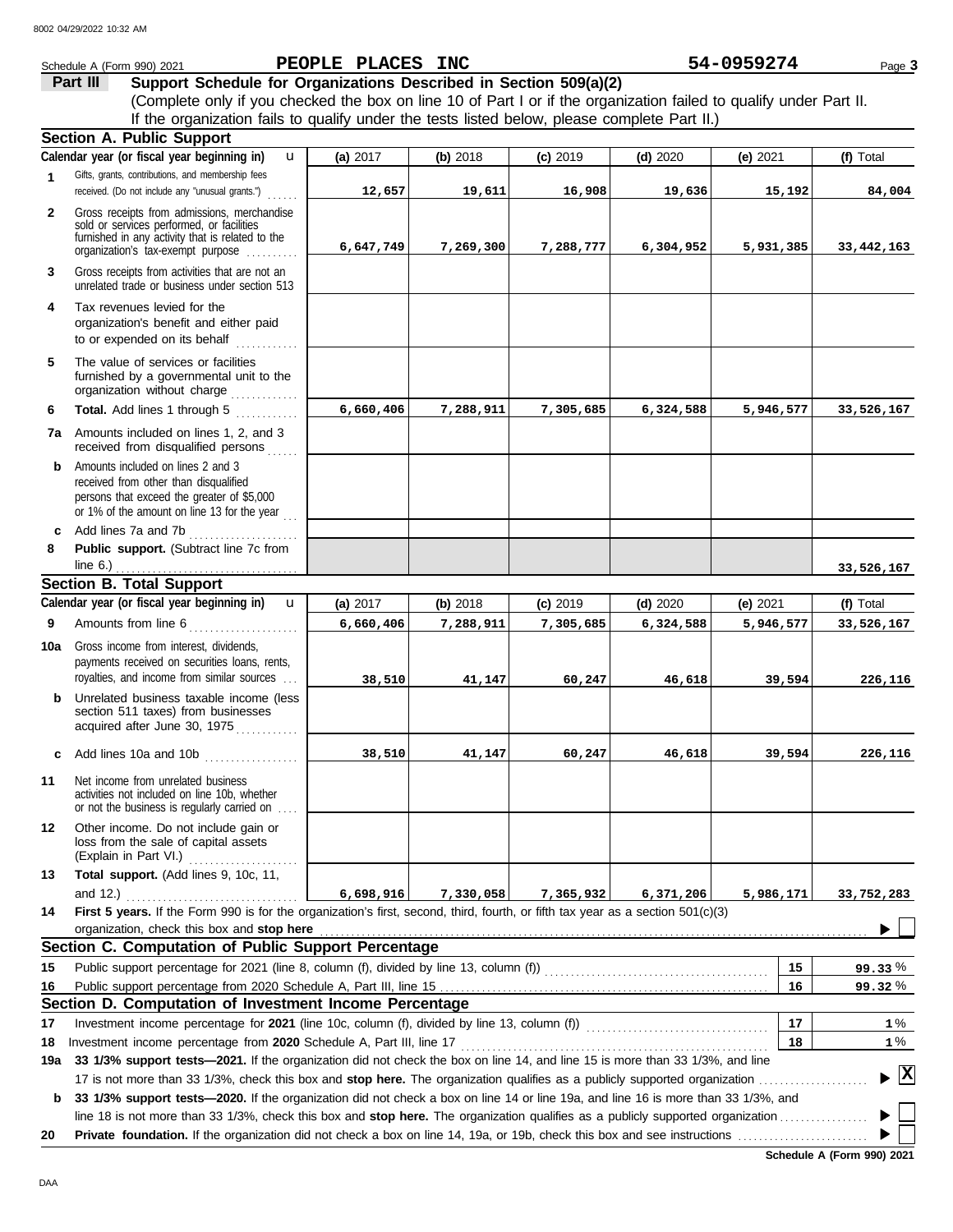|              | Schedule A (Form 990) 2021                                                                                                                                                    | PEOPLE PLACES INC |           |            |            | 54-0959274 | Page 3     |
|--------------|-------------------------------------------------------------------------------------------------------------------------------------------------------------------------------|-------------------|-----------|------------|------------|------------|------------|
|              | Part III<br>Support Schedule for Organizations Described in Section 509(a)(2)                                                                                                 |                   |           |            |            |            |            |
|              | (Complete only if you checked the box on line 10 of Part I or if the organization failed to qualify under Part II.                                                            |                   |           |            |            |            |            |
|              | If the organization fails to qualify under the tests listed below, please complete Part II.)                                                                                  |                   |           |            |            |            |            |
|              | <b>Section A. Public Support</b>                                                                                                                                              |                   |           |            |            |            |            |
|              | Calendar year (or fiscal year beginning in)<br>u                                                                                                                              | (a) 2017          | (b) 2018  | $(c)$ 2019 | $(d)$ 2020 | (e) 2021   | (f) Total  |
| 1            | Gifts, grants, contributions, and membership fees                                                                                                                             |                   |           |            |            |            |            |
|              | received. (Do not include any "unusual grants.")                                                                                                                              | 12,657            | 19,611    | 16,908     | 19,636     | 15,192     | 84,004     |
| $\mathbf{2}$ | Gross receipts from admissions, merchandise                                                                                                                                   |                   |           |            |            |            |            |
|              | sold or services performed, or facilities<br>furnished in any activity that is related to the                                                                                 |                   |           |            |            |            |            |
|              | organization's tax-exempt purpose                                                                                                                                             | 6,647,749         | 7,269,300 | 7,288,777  | 6,304,952  | 5,931,385  | 33,442,163 |
| 3            | Gross receipts from activities that are not an<br>unrelated trade or business under section 513                                                                               |                   |           |            |            |            |            |
| 4            | Tax revenues levied for the                                                                                                                                                   |                   |           |            |            |            |            |
|              | organization's benefit and either paid                                                                                                                                        |                   |           |            |            |            |            |
|              | to or expended on its behalf                                                                                                                                                  |                   |           |            |            |            |            |
| 5            | The value of services or facilities<br>furnished by a governmental unit to the<br>organization without charge                                                                 |                   |           |            |            |            |            |
| 6            | Total. Add lines 1 through 5                                                                                                                                                  | 6,660,406         | 7,288,911 | 7,305,685  | 6,324,588  | 5,946,577  | 33,526,167 |
|              | <b>7a</b> Amounts included on lines 1, 2, and 3<br>received from disqualified persons                                                                                         |                   |           |            |            |            |            |
| b.           | Amounts included on lines 2 and 3                                                                                                                                             |                   |           |            |            |            |            |
|              | received from other than disqualified                                                                                                                                         |                   |           |            |            |            |            |
|              | persons that exceed the greater of \$5,000<br>or 1% of the amount on line 13 for the year $\ldots$                                                                            |                   |           |            |            |            |            |
| c            | Add lines 7a and 7b                                                                                                                                                           |                   |           |            |            |            |            |
| 8            | Public support. (Subtract line 7c from                                                                                                                                        |                   |           |            |            |            |            |
|              |                                                                                                                                                                               |                   |           |            |            |            | 33,526,167 |
|              | <b>Section B. Total Support</b>                                                                                                                                               |                   |           |            |            |            |            |
|              | Calendar year (or fiscal year beginning in)<br>$\mathbf{u}$                                                                                                                   | (a) 2017          | (b) 2018  | $(c)$ 2019 | $(d)$ 2020 | (e) 2021   | (f) Total  |
| 9            | Amounts from line 6                                                                                                                                                           | 6,660,406         | 7,288,911 | 7,305,685  | 6,324,588  | 5,946,577  | 33,526,167 |
| 10a          | Gross income from interest, dividends,                                                                                                                                        |                   |           |            |            |            |            |
|              | payments received on securities loans, rents,                                                                                                                                 |                   |           |            |            |            |            |
|              | royalties, and income from similar sources                                                                                                                                    | 38,510            | 41,147    | 60,247     | 46,618     | 39,594     | 226,116    |
| b            | Unrelated business taxable income (less<br>section 511 taxes) from businesses<br>acquired after June 30, 1975                                                                 |                   |           |            |            |            |            |
|              | c Add lines 10a and 10b $\ldots$                                                                                                                                              | 38,510            | 41,147    | 60, 247    | 46,618     | 39,594     | 226,116    |
| 11           | Net income from unrelated business<br>activities not included on line 10b, whether<br>or not the business is regularly carried on                                             |                   |           |            |            |            |            |
| 12           | Other income. Do not include gain or<br>loss from the sale of capital assets<br>(Explain in Part VI.)<br>.                                                                    |                   |           |            |            |            |            |
| 13           | Total support. (Add lines 9, 10c, 11,                                                                                                                                         |                   |           |            |            |            |            |
|              | and 12.) $\ldots$                                                                                                                                                             | 6,698,916         | 7,330,058 | 7,365,932  | 6,371,206  | 5,986,171  | 33,752,283 |
| 14           | First 5 years. If the Form 990 is for the organization's first, second, third, fourth, or fifth tax year as a section 501(c)(3)<br>organization, check this box and stop here |                   |           |            |            |            |            |
|              | Section C. Computation of Public Support Percentage                                                                                                                           |                   |           |            |            |            |            |
| 15           |                                                                                                                                                                               |                   |           |            |            | 15         | 99.33%     |
| 16           |                                                                                                                                                                               |                   |           |            |            | 16         | 99.32%     |
|              | Section D. Computation of Investment Income Percentage                                                                                                                        |                   |           |            |            |            |            |
| 17           | Investment income percentage for 2021 (line 10c, column (f), divided by line 13, column (f)) [[[[[[[[[[[[[[[[[                                                                |                   |           |            |            | 17         | $1\%$      |
| 18           | Investment income percentage from 2020 Schedule A, Part III, line 17                                                                                                          |                   |           |            |            | 18         | $1\%$      |
| 19a          | 33 1/3% support tests-2021. If the organization did not check the box on line 14, and line 15 is more than 33 1/3%, and line                                                  |                   |           |            |            |            |            |
|              |                                                                                                                                                                               |                   |           |            |            |            | .  x       |
| b            | 33 1/3% support tests-2020. If the organization did not check a box on line 14 or line 19a, and line 16 is more than 33 1/3%, and                                             |                   |           |            |            |            |            |
|              |                                                                                                                                                                               |                   |           |            |            |            |            |
| 20           |                                                                                                                                                                               |                   |           |            |            |            |            |

| Schedule A (Form 990) 2021 |  |  |
|----------------------------|--|--|
|                            |  |  |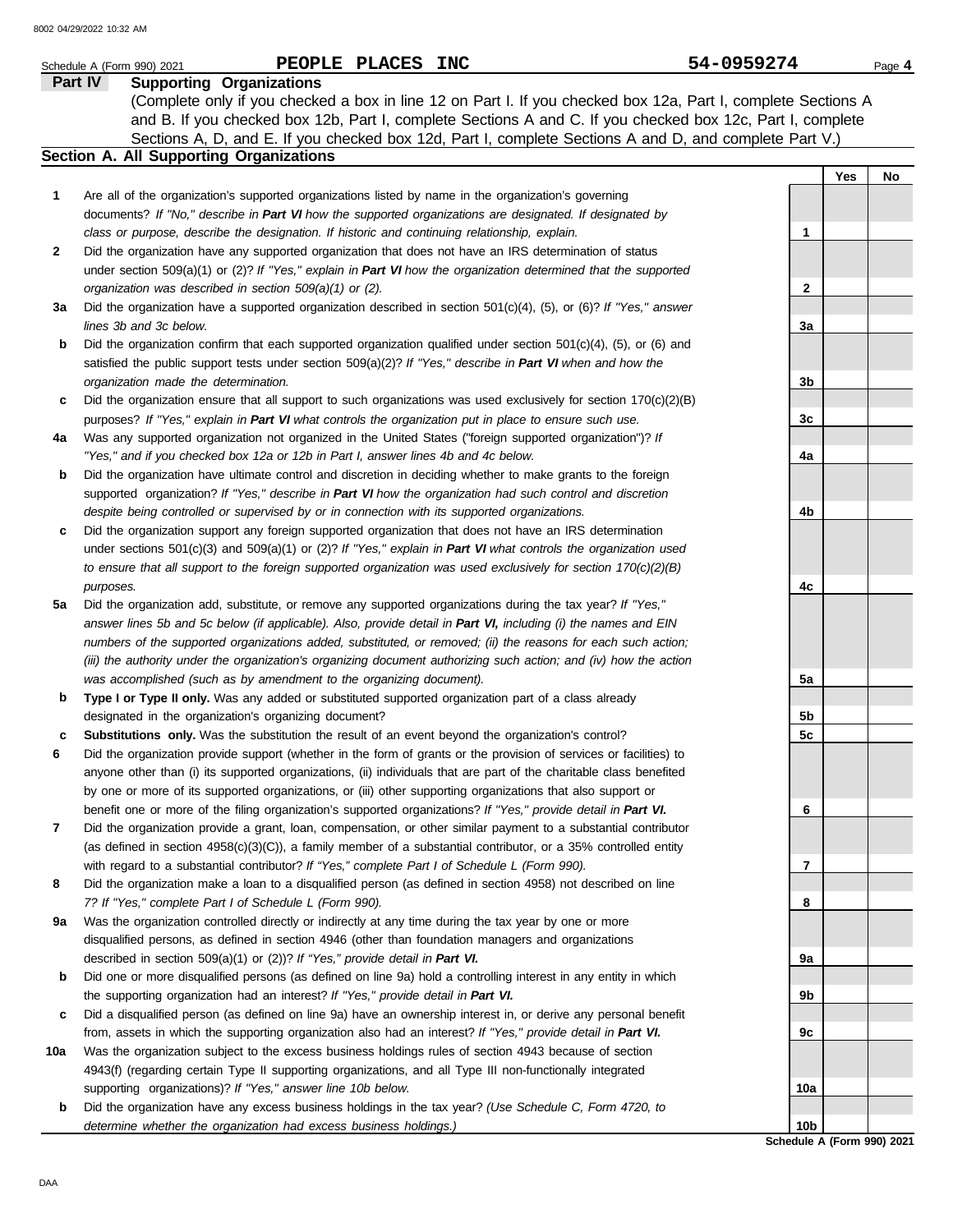|     | PEOPLE PLACES INC<br>Schedule A (Form 990) 2021                                                                                                                                                                                                                                                                                                                                     | 54-0959274                 |     | Page 4 |
|-----|-------------------------------------------------------------------------------------------------------------------------------------------------------------------------------------------------------------------------------------------------------------------------------------------------------------------------------------------------------------------------------------|----------------------------|-----|--------|
|     | Part IV<br><b>Supporting Organizations</b><br>(Complete only if you checked a box in line 12 on Part I. If you checked box 12a, Part I, complete Sections A<br>and B. If you checked box 12b, Part I, complete Sections A and C. If you checked box 12c, Part I, complete<br>Sections A, D, and E. If you checked box 12d, Part I, complete Sections A and D, and complete Part V.) |                            |     |        |
|     | Section A. All Supporting Organizations                                                                                                                                                                                                                                                                                                                                             |                            |     |        |
|     |                                                                                                                                                                                                                                                                                                                                                                                     |                            | Yes | No     |
| 1   | Are all of the organization's supported organizations listed by name in the organization's governing<br>documents? If "No," describe in Part VI how the supported organizations are designated. If designated by<br>class or purpose, describe the designation. If historic and continuing relationship, explain.                                                                   | 1                          |     |        |
| 2   | Did the organization have any supported organization that does not have an IRS determination of status                                                                                                                                                                                                                                                                              |                            |     |        |
|     | under section 509(a)(1) or (2)? If "Yes," explain in Part VI how the organization determined that the supported                                                                                                                                                                                                                                                                     |                            |     |        |
|     | organization was described in section 509(a)(1) or (2).                                                                                                                                                                                                                                                                                                                             | 2                          |     |        |
| За  | Did the organization have a supported organization described in section $501(c)(4)$ , (5), or (6)? If "Yes," answer                                                                                                                                                                                                                                                                 |                            |     |        |
|     | lines 3b and 3c below.                                                                                                                                                                                                                                                                                                                                                              | 3a                         |     |        |
| b   | Did the organization confirm that each supported organization qualified under section $501(c)(4)$ , $(5)$ , or $(6)$ and                                                                                                                                                                                                                                                            |                            |     |        |
|     | satisfied the public support tests under section 509(a)(2)? If "Yes," describe in Part VI when and how the                                                                                                                                                                                                                                                                          |                            |     |        |
| c   | organization made the determination.<br>Did the organization ensure that all support to such organizations was used exclusively for section $170(c)(2)(B)$                                                                                                                                                                                                                          | 3b                         |     |        |
|     | purposes? If "Yes," explain in Part VI what controls the organization put in place to ensure such use.                                                                                                                                                                                                                                                                              | 3c                         |     |        |
| 4a  | Was any supported organization not organized in the United States ("foreign supported organization")? If                                                                                                                                                                                                                                                                            |                            |     |        |
|     | "Yes," and if you checked box 12a or 12b in Part I, answer lines 4b and 4c below.                                                                                                                                                                                                                                                                                                   | 4a                         |     |        |
| b   | Did the organization have ultimate control and discretion in deciding whether to make grants to the foreign                                                                                                                                                                                                                                                                         |                            |     |        |
|     | supported organization? If "Yes," describe in Part VI how the organization had such control and discretion                                                                                                                                                                                                                                                                          |                            |     |        |
|     | despite being controlled or supervised by or in connection with its supported organizations.                                                                                                                                                                                                                                                                                        | 4b                         |     |        |
| c   | Did the organization support any foreign supported organization that does not have an IRS determination                                                                                                                                                                                                                                                                             |                            |     |        |
|     | under sections $501(c)(3)$ and $509(a)(1)$ or $(2)?$ If "Yes," explain in Part VI what controls the organization used<br>to ensure that all support to the foreign supported organization was used exclusively for section $170(c)(2)(B)$                                                                                                                                           |                            |     |        |
|     | purposes.                                                                                                                                                                                                                                                                                                                                                                           | 4c                         |     |        |
| 5a  | Did the organization add, substitute, or remove any supported organizations during the tax year? If "Yes,"                                                                                                                                                                                                                                                                          |                            |     |        |
|     | answer lines 5b and 5c below (if applicable). Also, provide detail in Part VI, including (i) the names and EIN                                                                                                                                                                                                                                                                      |                            |     |        |
|     | numbers of the supported organizations added, substituted, or removed; (ii) the reasons for each such action;                                                                                                                                                                                                                                                                       |                            |     |        |
|     | (iii) the authority under the organization's organizing document authorizing such action; and (iv) how the action                                                                                                                                                                                                                                                                   |                            |     |        |
|     | was accomplished (such as by amendment to the organizing document).                                                                                                                                                                                                                                                                                                                 | 5a                         |     |        |
| b   | Type I or Type II only. Was any added or substituted supported organization part of a class already<br>designated in the organization's organizing document?                                                                                                                                                                                                                        | 5b                         |     |        |
| c   | <b>Substitutions only.</b> Was the substitution the result of an event beyond the organization's control?                                                                                                                                                                                                                                                                           | 5c                         |     |        |
| 6   | Did the organization provide support (whether in the form of grants or the provision of services or facilities) to                                                                                                                                                                                                                                                                  |                            |     |        |
|     | anyone other than (i) its supported organizations, (ii) individuals that are part of the charitable class benefited                                                                                                                                                                                                                                                                 |                            |     |        |
|     | by one or more of its supported organizations, or (iii) other supporting organizations that also support or                                                                                                                                                                                                                                                                         |                            |     |        |
|     | benefit one or more of the filing organization's supported organizations? If "Yes," provide detail in Part VI.                                                                                                                                                                                                                                                                      | 6                          |     |        |
| 7   | Did the organization provide a grant, loan, compensation, or other similar payment to a substantial contributor                                                                                                                                                                                                                                                                     |                            |     |        |
|     | (as defined in section $4958(c)(3)(C)$ ), a family member of a substantial contributor, or a 35% controlled entity                                                                                                                                                                                                                                                                  | 7                          |     |        |
| 8   | with regard to a substantial contributor? If "Yes," complete Part I of Schedule L (Form 990).<br>Did the organization make a loan to a disqualified person (as defined in section 4958) not described on line                                                                                                                                                                       |                            |     |        |
|     | 7? If "Yes," complete Part I of Schedule L (Form 990).                                                                                                                                                                                                                                                                                                                              | 8                          |     |        |
| 9а  | Was the organization controlled directly or indirectly at any time during the tax year by one or more                                                                                                                                                                                                                                                                               |                            |     |        |
|     | disqualified persons, as defined in section 4946 (other than foundation managers and organizations                                                                                                                                                                                                                                                                                  |                            |     |        |
|     | described in section 509(a)(1) or (2))? If "Yes," provide detail in Part VI.                                                                                                                                                                                                                                                                                                        | 9a                         |     |        |
| b   | Did one or more disqualified persons (as defined on line 9a) hold a controlling interest in any entity in which                                                                                                                                                                                                                                                                     |                            |     |        |
|     | the supporting organization had an interest? If "Yes," provide detail in Part VI.                                                                                                                                                                                                                                                                                                   | 9b                         |     |        |
| c   | Did a disqualified person (as defined on line 9a) have an ownership interest in, or derive any personal benefit                                                                                                                                                                                                                                                                     |                            |     |        |
| 10a | from, assets in which the supporting organization also had an interest? If "Yes," provide detail in Part VI.<br>Was the organization subject to the excess business holdings rules of section 4943 because of section                                                                                                                                                               | 9c                         |     |        |
|     | 4943(f) (regarding certain Type II supporting organizations, and all Type III non-functionally integrated                                                                                                                                                                                                                                                                           |                            |     |        |
|     | supporting organizations)? If "Yes," answer line 10b below.                                                                                                                                                                                                                                                                                                                         | 10a                        |     |        |
| b   | Did the organization have any excess business holdings in the tax year? (Use Schedule C, Form 4720, to                                                                                                                                                                                                                                                                              |                            |     |        |
|     | determine whether the organization had excess business holdings.)                                                                                                                                                                                                                                                                                                                   | 10 <sub>b</sub>            |     |        |
|     |                                                                                                                                                                                                                                                                                                                                                                                     | Schedule A (Form 990) 2021 |     |        |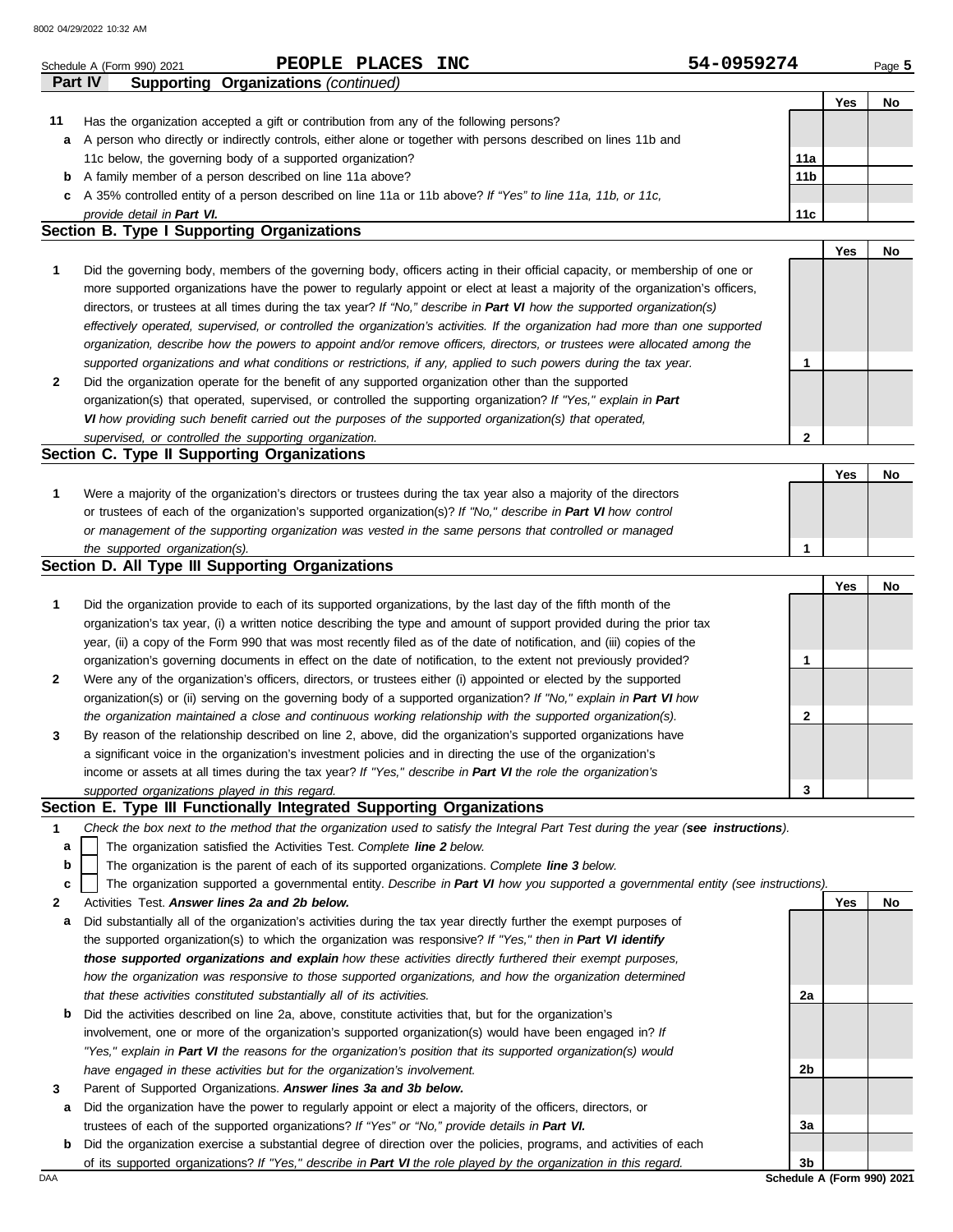|    | 8002 04/29/2022 10:32 AM                                                                                                          |                 |     |        |
|----|-----------------------------------------------------------------------------------------------------------------------------------|-----------------|-----|--------|
|    | PEOPLE PLACES INC<br>Schedule A (Form 990) 2021                                                                                   | 54-0959274      |     | Page 5 |
|    | <b>Supporting Organizations (continued)</b><br><b>Part IV</b>                                                                     |                 |     |        |
| 11 | Has the organization accepted a gift or contribution from any of the following persons?                                           |                 | Yes | No     |
| а  | A person who directly or indirectly controls, either alone or together with persons described on lines 11b and                    |                 |     |        |
|    | 11c below, the governing body of a supported organization?                                                                        | 11a             |     |        |
| b  | A family member of a person described on line 11a above?                                                                          | 11 <sub>b</sub> |     |        |
|    | c A 35% controlled entity of a person described on line 11a or 11b above? If "Yes" to line 11a, 11b, or 11c,                      |                 |     |        |
|    | provide detail in Part VI.                                                                                                        | 11c             |     |        |
|    | Section B. Type I Supporting Organizations                                                                                        |                 |     |        |
|    |                                                                                                                                   |                 | Yes | No     |
| 1  | Did the governing body, members of the governing body, officers acting in their official capacity, or membership of one or        |                 |     |        |
|    | more supported organizations have the power to regularly appoint or elect at least a majority of the organization's officers,     |                 |     |        |
|    | directors, or trustees at all times during the tax year? If "No," describe in Part VI how the supported organization(s)           |                 |     |        |
|    | effectively operated, supervised, or controlled the organization's activities. If the organization had more than one supported    |                 |     |        |
|    | organization, describe how the powers to appoint and/or remove officers, directors, or trustees were allocated among the          |                 |     |        |
|    | supported organizations and what conditions or restrictions, if any, applied to such powers during the tax year.                  | 1               |     |        |
| 2  | Did the organization operate for the benefit of any supported organization other than the supported                               |                 |     |        |
|    | organization(s) that operated, supervised, or controlled the supporting organization? If "Yes," explain in Part                   |                 |     |        |
|    | VI how providing such benefit carried out the purposes of the supported organization(s) that operated,                            |                 |     |        |
|    | supervised, or controlled the supporting organization.                                                                            | 2               |     |        |
|    | Section C. Type II Supporting Organizations                                                                                       |                 |     |        |
|    |                                                                                                                                   |                 | Yes | No     |
| 1  | Were a majority of the organization's directors or trustees during the tax year also a majority of the directors                  |                 |     |        |
|    | or trustees of each of the organization's supported organization(s)? If "No," describe in Part VI how control                     |                 |     |        |
|    | or management of the supporting organization was vested in the same persons that controlled or managed                            |                 |     |        |
|    | the supported organization(s).                                                                                                    | 1               |     |        |
|    | Section D. All Type III Supporting Organizations                                                                                  |                 |     |        |
|    |                                                                                                                                   |                 | Yes | No     |
| 1  | Did the organization provide to each of its supported organizations, by the last day of the fifth month of the                    |                 |     |        |
|    | organization's tax year, (i) a written notice describing the type and amount of support provided during the prior tax             |                 |     |        |
|    | year, (ii) a copy of the Form 990 that was most recently filed as of the date of notification, and (iii) copies of the            |                 |     |        |
|    | organization's governing documents in effect on the date of notification, to the extent not previously provided?                  | 1               |     |        |
| 2  | Were any of the organization's officers, directors, or trustees either (i) appointed or elected by the supported                  |                 |     |        |
|    | organization(s) or (ii) serving on the governing body of a supported organization? If "No," explain in Part VI how                |                 |     |        |
|    | the organization maintained a close and continuous working relationship with the supported organization(s).                       | 2               |     |        |
| 3  | By reason of the relationship described on line 2, above, did the organization's supported organizations have                     |                 |     |        |
|    | a significant voice in the organization's investment policies and in directing the use of the organization's                      |                 |     |        |
|    | income or assets at all times during the tax year? If "Yes," describe in Part VI the role the organization's                      |                 |     |        |
|    | supported organizations played in this regard.                                                                                    | 3               |     |        |
|    | Section E. Type III Functionally Integrated Supporting Organizations                                                              |                 |     |        |
| 1  | Check the box next to the method that the organization used to satisfy the Integral Part Test during the year (see instructions). |                 |     |        |
| a  | The organization satisfied the Activities Test. Complete line 2 below.                                                            |                 |     |        |
| b  | The organization is the parent of each of its supported organizations. Complete line 3 below.                                     |                 |     |        |
| c  | The organization supported a governmental entity. Describe in Part VI how you supported a governmental entity (see instructions). |                 |     |        |
| 2  | Activities Test. Answer lines 2a and 2b below.                                                                                    |                 | Yes | No     |
| а  | Did substantially all of the organization's activities during the tax year directly further the exempt purposes of                |                 |     |        |
|    | the supported organization(s) to which the organization was responsive? If "Yes," then in Part VI identify                        |                 |     |        |
|    | those supported organizations and explain how these activities directly furthered their exempt purposes,                          |                 |     |        |
|    | how the organization was responsive to those supported organizations, and how the organization determined                         |                 |     |        |
|    | that these activities constituted substantially all of its activities.                                                            | 2a              |     |        |
| b  | Did the activities described on line 2a, above, constitute activities that, but for the organization's                            |                 |     |        |
|    | involvement, one or more of the organization's supported organization(s) would have been engaged in? If                           |                 |     |        |
|    | "Yes," explain in Part VI the reasons for the organization's position that its supported organization(s) would                    |                 |     |        |
|    | have engaged in these activities but for the organization's involvement.                                                          | 2b              |     |        |
| 3  | Parent of Supported Organizations. Answer lines 3a and 3b below.                                                                  |                 |     |        |
|    | Did the erganization have the nower to requierly appoint or elect a majority of the efficers directors or                         |                 |     |        |

- **a** Did the organization have the power to regularly appoint or elect a majority of the officers, directors, or trustees of each of the supported organizations? *If "Yes" or "No," provide details in Part VI.*
- **b** Did the organization exercise a substantial degree of direction over the policies, programs, and activities of each of its supported organizations? *If "Yes," describe in Part VI the role played by the organization in this regard.*

**3a**

**3b**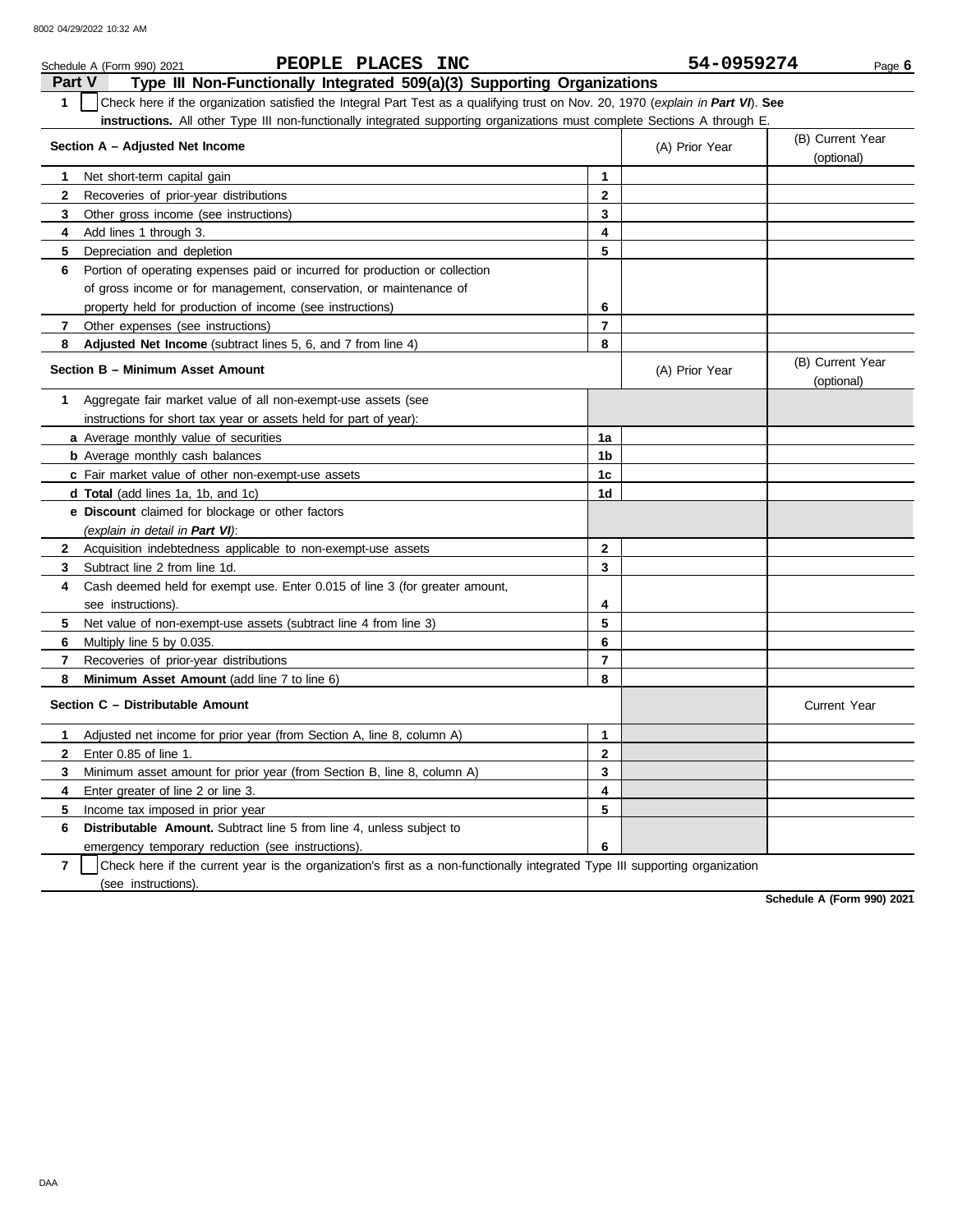|               | PEOPLE PLACES INC<br>Schedule A (Form 990) 2021                                                                                  |                         | 54-0959274     | Page 6                         |
|---------------|----------------------------------------------------------------------------------------------------------------------------------|-------------------------|----------------|--------------------------------|
| <b>Part V</b> | Type III Non-Functionally Integrated 509(a)(3) Supporting Organizations                                                          |                         |                |                                |
| $\mathbf{1}$  | Check here if the organization satisfied the Integral Part Test as a qualifying trust on Nov. 20, 1970 (explain in Part VI). See |                         |                |                                |
|               | <b>instructions.</b> All other Type III non-functionally integrated supporting organizations must complete Sections A through E. |                         |                |                                |
|               | Section A - Adjusted Net Income                                                                                                  |                         | (A) Prior Year | (B) Current Year               |
|               |                                                                                                                                  |                         |                | (optional)                     |
| 1.            | Net short-term capital gain                                                                                                      | 1                       |                |                                |
| $\mathbf{2}$  | Recoveries of prior-year distributions                                                                                           | $\mathbf{2}$            |                |                                |
| 3             | Other gross income (see instructions)                                                                                            | 3                       |                |                                |
| 4             | Add lines 1 through 3.                                                                                                           | 4                       |                |                                |
| 5             | Depreciation and depletion                                                                                                       | 5                       |                |                                |
| 6             | Portion of operating expenses paid or incurred for production or collection                                                      |                         |                |                                |
|               | of gross income or for management, conservation, or maintenance of                                                               |                         |                |                                |
|               | property held for production of income (see instructions)                                                                        | 6                       |                |                                |
| 7             | Other expenses (see instructions)                                                                                                | $\overline{\mathbf{r}}$ |                |                                |
| 8             | <b>Adjusted Net Income</b> (subtract lines 5, 6, and 7 from line 4)                                                              | 8                       |                |                                |
|               | Section B - Minimum Asset Amount                                                                                                 |                         | (A) Prior Year | (B) Current Year<br>(optional) |
| 1             | Aggregate fair market value of all non-exempt-use assets (see                                                                    |                         |                |                                |
|               | instructions for short tax year or assets held for part of year):                                                                |                         |                |                                |
|               | a Average monthly value of securities                                                                                            | 1a                      |                |                                |
|               | <b>b</b> Average monthly cash balances                                                                                           | 1 <sub>b</sub>          |                |                                |
|               | c Fair market value of other non-exempt-use assets                                                                               | 1 <sub>c</sub>          |                |                                |
|               | d Total (add lines 1a, 1b, and 1c)                                                                                               | 1 <sub>d</sub>          |                |                                |
|               | e Discount claimed for blockage or other factors                                                                                 |                         |                |                                |
|               | (explain in detail in Part VI):                                                                                                  |                         |                |                                |
| 2             | Acquisition indebtedness applicable to non-exempt-use assets                                                                     | $\mathbf{2}$            |                |                                |
| 3             | Subtract line 2 from line 1d.                                                                                                    | 3                       |                |                                |
| 4             | Cash deemed held for exempt use. Enter 0.015 of line 3 (for greater amount,                                                      |                         |                |                                |
|               | see instructions).                                                                                                               | 4                       |                |                                |
| 5             | Net value of non-exempt-use assets (subtract line 4 from line 3)                                                                 | 5                       |                |                                |
| 6             | Multiply line 5 by 0.035.                                                                                                        | 6                       |                |                                |
| 7             | Recoveries of prior-year distributions                                                                                           | $\overline{7}$          |                |                                |
| 8             | Minimum Asset Amount (add line 7 to line 6)                                                                                      | 8                       |                |                                |
|               | Section C - Distributable Amount                                                                                                 |                         |                | <b>Current Year</b>            |
| 1             | Adjusted net income for prior year (from Section A, line 8, column A)                                                            | $\mathbf{1}$            |                |                                |
| $\mathbf{2}$  | Enter 0.85 of line 1.                                                                                                            | $\mathbf{2}$            |                |                                |
| 3             | Minimum asset amount for prior year (from Section B, line 8, column A)                                                           | 3                       |                |                                |
| 4             | Enter greater of line 2 or line 3.                                                                                               | 4                       |                |                                |
| 5             | Income tax imposed in prior year                                                                                                 | 5                       |                |                                |
| 6             | <b>Distributable Amount.</b> Subtract line 5 from line 4, unless subject to                                                      |                         |                |                                |
|               | emergency temporary reduction (see instructions).                                                                                | 6                       |                |                                |

**7** | Check here if the current year is the organization's first as a non-functionally integrated Type III supporting organization (see instructions).

**Schedule A (Form 990) 2021**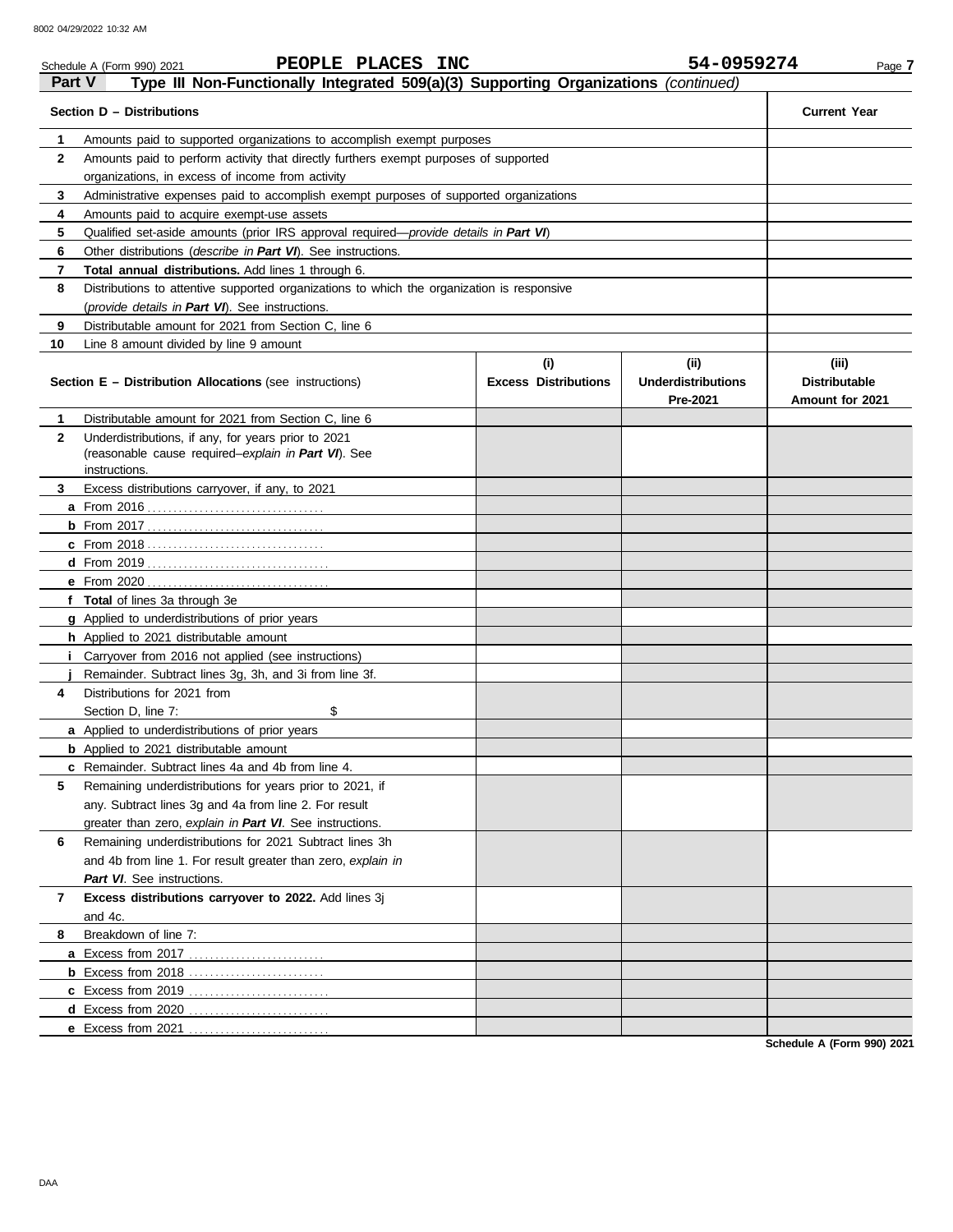| <b>Part V</b> | PEOPLE PLACES INC<br>Schedule A (Form 990) 2021<br>Type III Non-Functionally Integrated 509(a)(3) Supporting Organizations (continued) |                             | 54-0959274                            | Page 7                                  |
|---------------|----------------------------------------------------------------------------------------------------------------------------------------|-----------------------------|---------------------------------------|-----------------------------------------|
|               | Section D - Distributions                                                                                                              |                             |                                       | <b>Current Year</b>                     |
| 1             | Amounts paid to supported organizations to accomplish exempt purposes                                                                  |                             |                                       |                                         |
| 2             | Amounts paid to perform activity that directly furthers exempt purposes of supported                                                   |                             |                                       |                                         |
|               | organizations, in excess of income from activity                                                                                       |                             |                                       |                                         |
| 3             | Administrative expenses paid to accomplish exempt purposes of supported organizations                                                  |                             |                                       |                                         |
| 4             | Amounts paid to acquire exempt-use assets                                                                                              |                             |                                       |                                         |
| 5             | Qualified set-aside amounts (prior IRS approval required—provide details in Part VI)                                                   |                             |                                       |                                         |
| 6             | Other distributions (describe in Part VI). See instructions.                                                                           |                             |                                       |                                         |
| 7             | Total annual distributions. Add lines 1 through 6.                                                                                     |                             |                                       |                                         |
| 8             | Distributions to attentive supported organizations to which the organization is responsive                                             |                             |                                       |                                         |
|               | (provide details in Part VI). See instructions.                                                                                        |                             |                                       |                                         |
| 9             | Distributable amount for 2021 from Section C, line 6                                                                                   |                             |                                       |                                         |
| 10            | Line 8 amount divided by line 9 amount                                                                                                 |                             |                                       |                                         |
|               |                                                                                                                                        | (i)                         | (iii)                                 | (iii)                                   |
|               | <b>Section E - Distribution Allocations (see instructions)</b>                                                                         | <b>Excess Distributions</b> | <b>Underdistributions</b><br>Pre-2021 | <b>Distributable</b><br>Amount for 2021 |
| 1             | Distributable amount for 2021 from Section C, line 6                                                                                   |                             |                                       |                                         |
| $\mathbf{2}$  | Underdistributions, if any, for years prior to 2021                                                                                    |                             |                                       |                                         |
|               | (reasonable cause required-explain in Part VI). See                                                                                    |                             |                                       |                                         |
|               | instructions.                                                                                                                          |                             |                                       |                                         |
| 3             | Excess distributions carryover, if any, to 2021                                                                                        |                             |                                       |                                         |
|               |                                                                                                                                        |                             |                                       |                                         |
|               |                                                                                                                                        |                             |                                       |                                         |
|               |                                                                                                                                        |                             |                                       |                                         |
|               |                                                                                                                                        |                             |                                       |                                         |
|               | f Total of lines 3a through 3e                                                                                                         |                             |                                       |                                         |
|               | g Applied to underdistributions of prior years                                                                                         |                             |                                       |                                         |
|               | h Applied to 2021 distributable amount                                                                                                 |                             |                                       |                                         |
|               | <i>i</i> Carryover from 2016 not applied (see instructions)                                                                            |                             |                                       |                                         |
|               | Remainder. Subtract lines 3g, 3h, and 3i from line 3f.                                                                                 |                             |                                       |                                         |
| 4             | Distributions for 2021 from                                                                                                            |                             |                                       |                                         |
|               | \$<br>Section D, line 7:                                                                                                               |                             |                                       |                                         |
|               | a Applied to underdistributions of prior years                                                                                         |                             |                                       |                                         |
|               | <b>b</b> Applied to 2021 distributable amount                                                                                          |                             |                                       |                                         |
|               | c Remainder. Subtract lines 4a and 4b from line 4.                                                                                     |                             |                                       |                                         |
| 5             | Remaining underdistributions for years prior to 2021, if                                                                               |                             |                                       |                                         |
|               | any. Subtract lines 3g and 4a from line 2. For result                                                                                  |                             |                                       |                                         |
|               | greater than zero, explain in Part VI. See instructions.                                                                               |                             |                                       |                                         |
| 6             | Remaining underdistributions for 2021 Subtract lines 3h                                                                                |                             |                                       |                                         |
|               | and 4b from line 1. For result greater than zero, explain in                                                                           |                             |                                       |                                         |
|               | Part VI. See instructions.                                                                                                             |                             |                                       |                                         |
| 7             | Excess distributions carryover to 2022. Add lines 3j                                                                                   |                             |                                       |                                         |
|               | and 4c.                                                                                                                                |                             |                                       |                                         |
| 8             | Breakdown of line 7:                                                                                                                   |                             |                                       |                                         |
|               |                                                                                                                                        |                             |                                       |                                         |
|               |                                                                                                                                        |                             |                                       |                                         |
|               |                                                                                                                                        |                             |                                       |                                         |
|               | d Excess from 2020                                                                                                                     |                             |                                       |                                         |
|               | e Excess from 2021                                                                                                                     |                             |                                       |                                         |

**Schedule A (Form 990) 2021**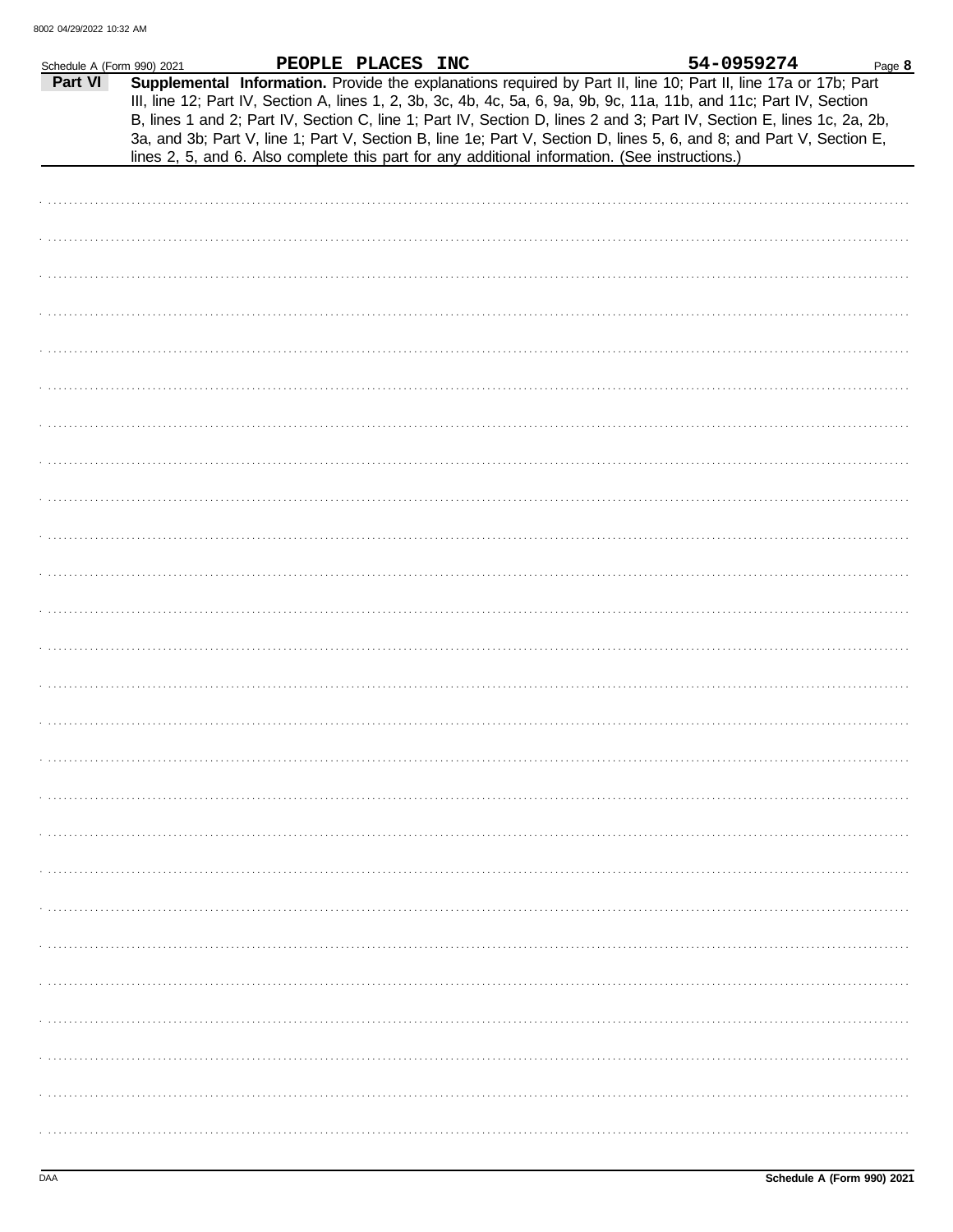| Schedule A (Form 990) 2021 | PEOPLE PLACES INC |  |                                                                                                | 54-0959274                                                                                                                                                                                                                                                                                                                                                                                                                                                                                | Page 8 |
|----------------------------|-------------------|--|------------------------------------------------------------------------------------------------|-------------------------------------------------------------------------------------------------------------------------------------------------------------------------------------------------------------------------------------------------------------------------------------------------------------------------------------------------------------------------------------------------------------------------------------------------------------------------------------------|--------|
| Part VI                    |                   |  | lines 2, 5, and 6. Also complete this part for any additional information. (See instructions.) | Supplemental Information. Provide the explanations required by Part II, line 10; Part II, line 17a or 17b; Part<br>III, line 12; Part IV, Section A, lines 1, 2, 3b, 3c, 4b, 4c, 5a, 6, 9a, 9b, 9c, 11a, 11b, and 11c; Part IV, Section<br>B, lines 1 and 2; Part IV, Section C, line 1; Part IV, Section D, lines 2 and 3; Part IV, Section E, lines 1c, 2a, 2b,<br>3a, and 3b; Part V, line 1; Part V, Section B, line 1e; Part V, Section D, lines 5, 6, and 8; and Part V, Section E, |        |
|                            |                   |  |                                                                                                |                                                                                                                                                                                                                                                                                                                                                                                                                                                                                           |        |
|                            |                   |  |                                                                                                |                                                                                                                                                                                                                                                                                                                                                                                                                                                                                           |        |
|                            |                   |  |                                                                                                |                                                                                                                                                                                                                                                                                                                                                                                                                                                                                           |        |
|                            |                   |  |                                                                                                |                                                                                                                                                                                                                                                                                                                                                                                                                                                                                           |        |
|                            |                   |  |                                                                                                |                                                                                                                                                                                                                                                                                                                                                                                                                                                                                           |        |
|                            |                   |  |                                                                                                |                                                                                                                                                                                                                                                                                                                                                                                                                                                                                           |        |
|                            |                   |  |                                                                                                |                                                                                                                                                                                                                                                                                                                                                                                                                                                                                           |        |
|                            |                   |  |                                                                                                |                                                                                                                                                                                                                                                                                                                                                                                                                                                                                           |        |
|                            |                   |  |                                                                                                |                                                                                                                                                                                                                                                                                                                                                                                                                                                                                           |        |
|                            |                   |  |                                                                                                |                                                                                                                                                                                                                                                                                                                                                                                                                                                                                           |        |
|                            |                   |  |                                                                                                |                                                                                                                                                                                                                                                                                                                                                                                                                                                                                           |        |
|                            |                   |  |                                                                                                |                                                                                                                                                                                                                                                                                                                                                                                                                                                                                           |        |
|                            |                   |  |                                                                                                |                                                                                                                                                                                                                                                                                                                                                                                                                                                                                           |        |
|                            |                   |  |                                                                                                |                                                                                                                                                                                                                                                                                                                                                                                                                                                                                           |        |
|                            |                   |  |                                                                                                |                                                                                                                                                                                                                                                                                                                                                                                                                                                                                           |        |
|                            |                   |  |                                                                                                |                                                                                                                                                                                                                                                                                                                                                                                                                                                                                           |        |
|                            |                   |  |                                                                                                |                                                                                                                                                                                                                                                                                                                                                                                                                                                                                           |        |
|                            |                   |  |                                                                                                |                                                                                                                                                                                                                                                                                                                                                                                                                                                                                           |        |
|                            |                   |  |                                                                                                |                                                                                                                                                                                                                                                                                                                                                                                                                                                                                           |        |
|                            |                   |  |                                                                                                |                                                                                                                                                                                                                                                                                                                                                                                                                                                                                           |        |
|                            |                   |  |                                                                                                |                                                                                                                                                                                                                                                                                                                                                                                                                                                                                           |        |
|                            |                   |  |                                                                                                |                                                                                                                                                                                                                                                                                                                                                                                                                                                                                           |        |
|                            |                   |  |                                                                                                |                                                                                                                                                                                                                                                                                                                                                                                                                                                                                           |        |
|                            |                   |  |                                                                                                |                                                                                                                                                                                                                                                                                                                                                                                                                                                                                           |        |
|                            |                   |  |                                                                                                |                                                                                                                                                                                                                                                                                                                                                                                                                                                                                           |        |
|                            |                   |  |                                                                                                |                                                                                                                                                                                                                                                                                                                                                                                                                                                                                           |        |
|                            |                   |  |                                                                                                |                                                                                                                                                                                                                                                                                                                                                                                                                                                                                           |        |
|                            |                   |  |                                                                                                |                                                                                                                                                                                                                                                                                                                                                                                                                                                                                           |        |
|                            |                   |  |                                                                                                |                                                                                                                                                                                                                                                                                                                                                                                                                                                                                           |        |
|                            |                   |  |                                                                                                |                                                                                                                                                                                                                                                                                                                                                                                                                                                                                           |        |
|                            |                   |  |                                                                                                |                                                                                                                                                                                                                                                                                                                                                                                                                                                                                           |        |
|                            |                   |  |                                                                                                |                                                                                                                                                                                                                                                                                                                                                                                                                                                                                           |        |
|                            |                   |  |                                                                                                |                                                                                                                                                                                                                                                                                                                                                                                                                                                                                           |        |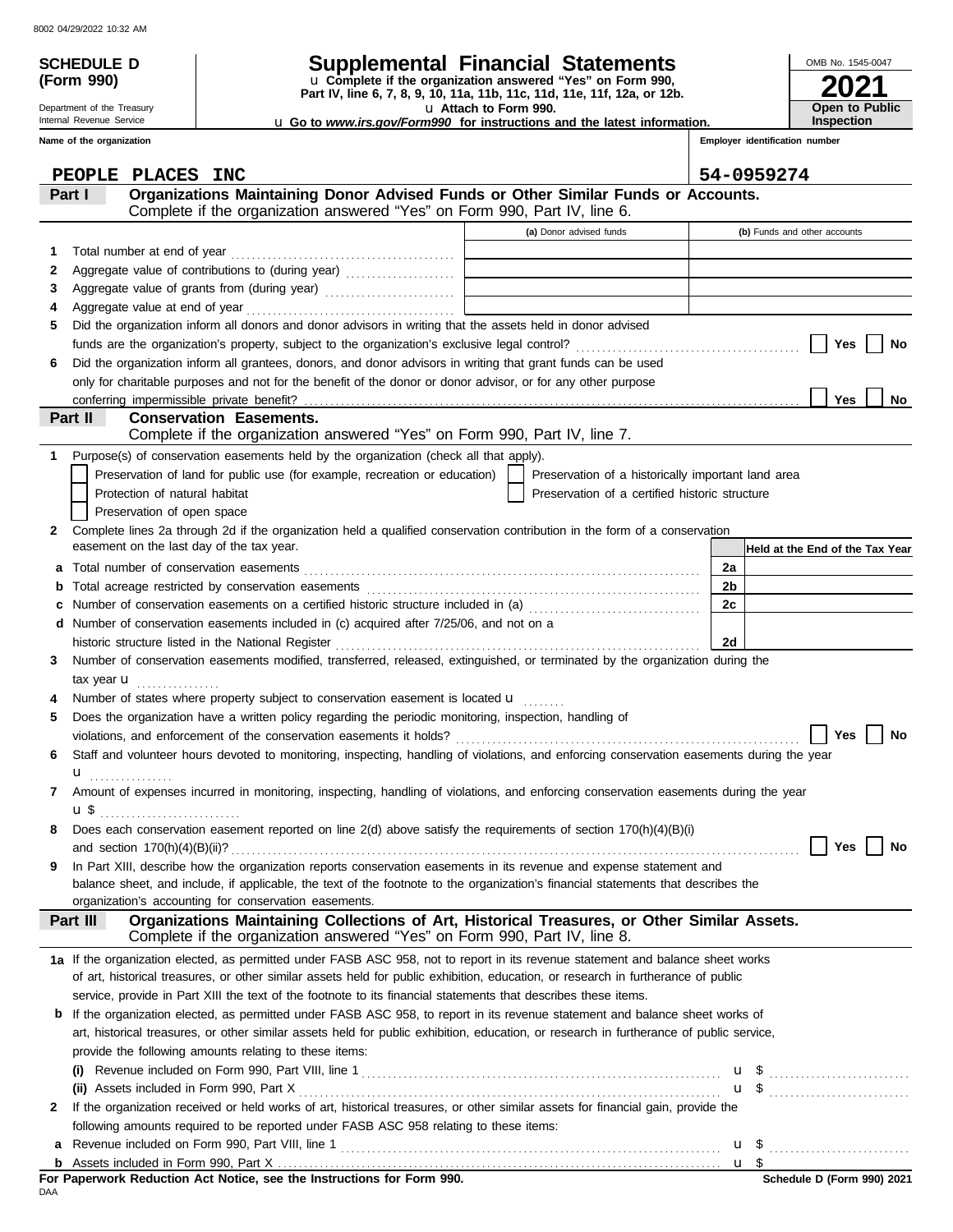Department of the Treasury Internal Revenue Service

**(Form 990)**

### **SCHEDULE D Supplemental Financial Statements**

**Part IV, line 6, 7, 8, 9, 10, 11a, 11b, 11c, 11d, 11e, 11f, 12a, or 12b.** u **Complete if the organization answered "Yes" on Form 990,**

u **Attach to Form 990.**  u **Go to** *www.irs.gov/Form990* **for instructions and the latest information.**

**Employer identification number Inspection**

**2021**

**Open to Public**

OMB No. 1545-0047

|    | Name of the organization |                                                                                                                                                                                                              |                                                    |    | Employer identification number  |
|----|--------------------------|--------------------------------------------------------------------------------------------------------------------------------------------------------------------------------------------------------------|----------------------------------------------------|----|---------------------------------|
|    |                          | PEOPLE PLACES INC                                                                                                                                                                                            |                                                    |    | 54-0959274                      |
|    | Part I                   | Organizations Maintaining Donor Advised Funds or Other Similar Funds or Accounts.<br>Complete if the organization answered "Yes" on Form 990, Part IV, line 6.                                               |                                                    |    |                                 |
|    |                          |                                                                                                                                                                                                              | (a) Donor advised funds                            |    | (b) Funds and other accounts    |
| 1. |                          | Total number at end of year                                                                                                                                                                                  |                                                    |    |                                 |
| 2  |                          | Aggregate value of contributions to (during year)                                                                                                                                                            |                                                    |    |                                 |
| 3  |                          | Aggregate value of grants from (during year)                                                                                                                                                                 |                                                    |    |                                 |
| 4  |                          |                                                                                                                                                                                                              |                                                    |    |                                 |
| 5  |                          | Did the organization inform all donors and donor advisors in writing that the assets held in donor advised                                                                                                   |                                                    |    |                                 |
|    |                          |                                                                                                                                                                                                              |                                                    |    | Yes<br>No                       |
| 6  |                          | Did the organization inform all grantees, donors, and donor advisors in writing that grant funds can be used                                                                                                 |                                                    |    |                                 |
|    |                          | only for charitable purposes and not for the benefit of the donor or donor advisor, or for any other purpose                                                                                                 |                                                    |    |                                 |
|    |                          |                                                                                                                                                                                                              |                                                    |    | Yes<br>No                       |
|    | Part II                  | <b>Conservation Easements.</b>                                                                                                                                                                               |                                                    |    |                                 |
|    |                          | Complete if the organization answered "Yes" on Form 990, Part IV, line 7.                                                                                                                                    |                                                    |    |                                 |
| 1  |                          | Purpose(s) of conservation easements held by the organization (check all that apply).                                                                                                                        |                                                    |    |                                 |
|    |                          | Preservation of land for public use (for example, recreation or education)                                                                                                                                   | Preservation of a historically important land area |    |                                 |
|    |                          | Protection of natural habitat                                                                                                                                                                                | Preservation of a certified historic structure     |    |                                 |
|    |                          | Preservation of open space                                                                                                                                                                                   |                                                    |    |                                 |
| 2  |                          | Complete lines 2a through 2d if the organization held a qualified conservation contribution in the form of a conservation                                                                                    |                                                    |    |                                 |
|    |                          | easement on the last day of the tax year.                                                                                                                                                                    |                                                    |    | Held at the End of the Tax Year |
| а  |                          |                                                                                                                                                                                                              |                                                    | 2a |                                 |
| b  |                          |                                                                                                                                                                                                              |                                                    | 2b |                                 |
| c  |                          | Number of conservation easements on a certified historic structure included in (a) [[[[[[[[[[[[[[[[[[[[[[[[]]]]]]]]<br>Number of conservation easements included in (c) acquired after 7/25/06, and not on a |                                                    | 2c |                                 |
| d  |                          |                                                                                                                                                                                                              |                                                    | 2d |                                 |
| 3  |                          | Number of conservation easements modified, transferred, released, extinguished, or terminated by the organization during the                                                                                 |                                                    |    |                                 |
|    |                          | tax year $\mathbf{u}$                                                                                                                                                                                        |                                                    |    |                                 |
| 4  |                          | Number of states where property subject to conservation easement is located u                                                                                                                                |                                                    |    |                                 |
| 5  |                          | Does the organization have a written policy regarding the periodic monitoring, inspection, handling of                                                                                                       |                                                    |    |                                 |
|    |                          |                                                                                                                                                                                                              |                                                    |    | No<br>Yes                       |
| 6  |                          | Staff and volunteer hours devoted to monitoring, inspecting, handling of violations, and enforcing conservation easements during the year                                                                    |                                                    |    |                                 |
|    | u                        |                                                                                                                                                                                                              |                                                    |    |                                 |
| 7  |                          | Amount of expenses incurred in monitoring, inspecting, handling of violations, and enforcing conservation easements during the year                                                                          |                                                    |    |                                 |
|    |                          |                                                                                                                                                                                                              |                                                    |    |                                 |
|    |                          | Does each conservation easement reported on line $2(d)$ above satisfy the requirements of section $170(h)(4)(B)(i)$                                                                                          |                                                    |    |                                 |
|    |                          |                                                                                                                                                                                                              |                                                    |    | No<br>Yes                       |
| 9  |                          | In Part XIII, describe how the organization reports conservation easements in its revenue and expense statement and                                                                                          |                                                    |    |                                 |
|    |                          | balance sheet, and include, if applicable, the text of the footnote to the organization's financial statements that describes the                                                                            |                                                    |    |                                 |
|    |                          | organization's accounting for conservation easements.                                                                                                                                                        |                                                    |    |                                 |
|    | Part III                 | Organizations Maintaining Collections of Art, Historical Treasures, or Other Similar Assets.<br>Complete if the organization answered "Yes" on Form 990, Part IV, line 8.                                    |                                                    |    |                                 |
|    |                          | 1a If the organization elected, as permitted under FASB ASC 958, not to report in its revenue statement and balance sheet works                                                                              |                                                    |    |                                 |
|    |                          | of art, historical treasures, or other similar assets held for public exhibition, education, or research in furtherance of public                                                                            |                                                    |    |                                 |
|    |                          | service, provide in Part XIII the text of the footnote to its financial statements that describes these items.                                                                                               |                                                    |    |                                 |
|    |                          | <b>b</b> If the organization elected, as permitted under FASB ASC 958, to report in its revenue statement and balance sheet works of                                                                         |                                                    |    |                                 |
|    |                          | art, historical treasures, or other similar assets held for public exhibition, education, or research in furtherance of public service,                                                                      |                                                    |    |                                 |
|    |                          | provide the following amounts relating to these items:                                                                                                                                                       |                                                    |    |                                 |
|    |                          |                                                                                                                                                                                                              |                                                    |    |                                 |
|    |                          |                                                                                                                                                                                                              |                                                    |    | $\mathbf{u}$ \$                 |
| 2  |                          | If the organization received or held works of art, historical treasures, or other similar assets for financial gain, provide the                                                                             |                                                    |    |                                 |
|    |                          | following amounts required to be reported under FASB ASC 958 relating to these items:                                                                                                                        |                                                    |    |                                 |
| а  |                          |                                                                                                                                                                                                              |                                                    |    |                                 |
|    |                          |                                                                                                                                                                                                              |                                                    |    |                                 |

|            |  |  |  | For Paperwork Reduction Act Notice, see the Instructions for Form 990. |  |  |
|------------|--|--|--|------------------------------------------------------------------------|--|--|
| <b>DAA</b> |  |  |  |                                                                        |  |  |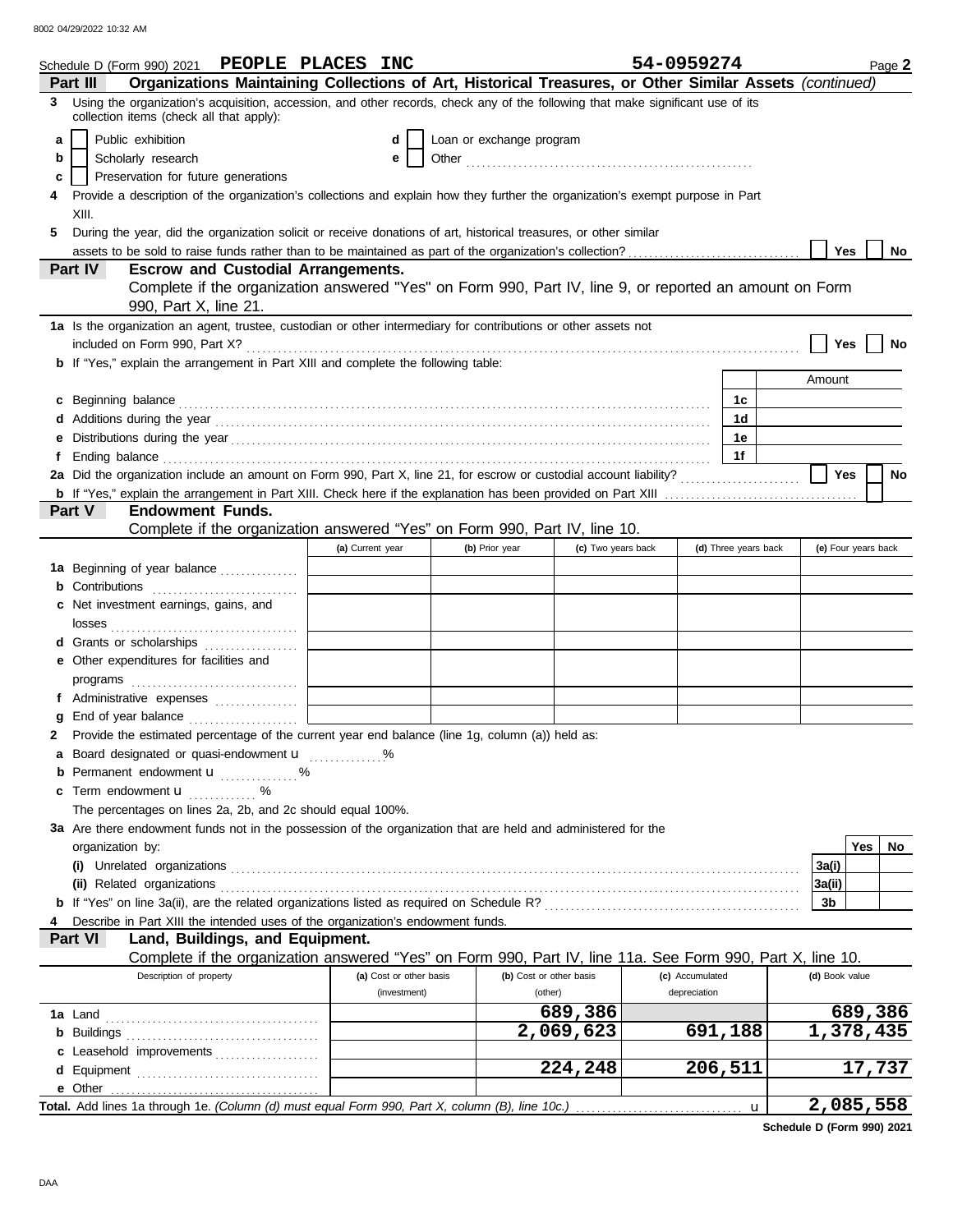|    | Schedule D (Form 990) 2021 PEOPLE PLACES INC                                                                                                                                |                  |                         |                          |                         | 54-0959274      |                      | Page 2              |
|----|-----------------------------------------------------------------------------------------------------------------------------------------------------------------------------|------------------|-------------------------|--------------------------|-------------------------|-----------------|----------------------|---------------------|
|    | Organizations Maintaining Collections of Art, Historical Treasures, or Other Similar Assets (continued)<br>Part III                                                         |                  |                         |                          |                         |                 |                      |                     |
| 3  | Using the organization's acquisition, accession, and other records, check any of the following that make significant use of its<br>collection items (check all that apply): |                  |                         |                          |                         |                 |                      |                     |
| a  | Public exhibition                                                                                                                                                           |                  | d                       | Loan or exchange program |                         |                 |                      |                     |
| b  | Scholarly research                                                                                                                                                          |                  | е                       |                          |                         |                 |                      |                     |
| c  | Preservation for future generations                                                                                                                                         |                  |                         |                          |                         |                 |                      |                     |
|    | Provide a description of the organization's collections and explain how they further the organization's exempt purpose in Part                                              |                  |                         |                          |                         |                 |                      |                     |
|    |                                                                                                                                                                             |                  |                         |                          |                         |                 |                      |                     |
|    | XIII.                                                                                                                                                                       |                  |                         |                          |                         |                 |                      |                     |
| 5. | During the year, did the organization solicit or receive donations of art, historical treasures, or other similar                                                           |                  |                         |                          |                         |                 |                      |                     |
|    |                                                                                                                                                                             |                  |                         |                          |                         |                 |                      | <b>Yes</b><br>No    |
|    | <b>Escrow and Custodial Arrangements.</b><br>Part IV                                                                                                                        |                  |                         |                          |                         |                 |                      |                     |
|    | Complete if the organization answered "Yes" on Form 990, Part IV, line 9, or reported an amount on Form                                                                     |                  |                         |                          |                         |                 |                      |                     |
|    | 990, Part X, line 21.                                                                                                                                                       |                  |                         |                          |                         |                 |                      |                     |
|    | 1a Is the organization an agent, trustee, custodian or other intermediary for contributions or other assets not                                                             |                  |                         |                          |                         |                 |                      |                     |
|    |                                                                                                                                                                             |                  |                         |                          |                         |                 |                      | Yes<br>No           |
|    | If "Yes," explain the arrangement in Part XIII and complete the following table:                                                                                            |                  |                         |                          |                         |                 |                      |                     |
|    |                                                                                                                                                                             |                  |                         |                          |                         |                 |                      | Amount              |
|    | c Beginning balance                                                                                                                                                         |                  |                         |                          |                         |                 | 1c                   |                     |
|    | Additions during the year manufactured and contact the year manufactured with the year manufactured with the year                                                           |                  |                         |                          |                         |                 | 1 <sub>d</sub>       |                     |
|    |                                                                                                                                                                             |                  |                         |                          |                         |                 | 1е                   |                     |
|    |                                                                                                                                                                             |                  |                         |                          |                         |                 | 1f                   |                     |
|    | 2a Did the organization include an amount on Form 990, Part X, line 21, for escrow or custodial account liability?                                                          |                  |                         |                          |                         |                 |                      | <b>Yes</b><br>No    |
|    |                                                                                                                                                                             |                  |                         |                          |                         |                 |                      |                     |
|    | Part V<br><b>Endowment Funds.</b>                                                                                                                                           |                  |                         |                          |                         |                 |                      |                     |
|    | Complete if the organization answered "Yes" on Form 990, Part IV, line 10.                                                                                                  |                  |                         |                          |                         |                 |                      |                     |
|    |                                                                                                                                                                             | (a) Current year |                         | (b) Prior year           | (c) Two years back      |                 | (d) Three years back | (e) Four years back |
|    | 1a Beginning of year balance                                                                                                                                                |                  |                         |                          |                         |                 |                      |                     |
|    |                                                                                                                                                                             |                  |                         |                          |                         |                 |                      |                     |
|    | Net investment earnings, gains, and                                                                                                                                         |                  |                         |                          |                         |                 |                      |                     |
|    |                                                                                                                                                                             |                  |                         |                          |                         |                 |                      |                     |
|    | losses<br><b>d</b> Grants or scholarships                                                                                                                                   |                  |                         |                          |                         |                 |                      |                     |
|    | <u> 1999 - Johann Stoff, Amerikaansk kanton (</u>                                                                                                                           |                  |                         |                          |                         |                 |                      |                     |
|    | e Other expenditures for facilities and                                                                                                                                     |                  |                         |                          |                         |                 |                      |                     |
|    | programs                                                                                                                                                                    |                  |                         |                          |                         |                 |                      |                     |
|    | f Administrative expenses                                                                                                                                                   |                  |                         |                          |                         |                 |                      |                     |
|    | End of year balance                                                                                                                                                         |                  |                         |                          |                         |                 |                      |                     |
| 2  | Provide the estimated percentage of the current year end balance (line 1g, column (a)) held as:                                                                             |                  |                         |                          |                         |                 |                      |                     |
|    | Board designated or quasi-endowment <b>u</b> %                                                                                                                              |                  |                         |                          |                         |                 |                      |                     |
|    | <b>b</b> Permanent endowment <b>u</b> %                                                                                                                                     |                  |                         |                          |                         |                 |                      |                     |
| c  | Term endowment <b>u</b> %                                                                                                                                                   |                  |                         |                          |                         |                 |                      |                     |
|    | The percentages on lines 2a, 2b, and 2c should equal 100%.                                                                                                                  |                  |                         |                          |                         |                 |                      |                     |
|    | 3a Are there endowment funds not in the possession of the organization that are held and administered for the                                                               |                  |                         |                          |                         |                 |                      |                     |
|    | organization by:                                                                                                                                                            |                  |                         |                          |                         |                 |                      | Yes<br>No           |
|    |                                                                                                                                                                             |                  |                         |                          |                         |                 |                      | 3a(i)               |
|    | (ii) Related organizations                                                                                                                                                  |                  |                         |                          |                         |                 |                      | 3a(ii)              |
|    |                                                                                                                                                                             |                  |                         |                          |                         |                 |                      | 3b                  |
|    | Describe in Part XIII the intended uses of the organization's endowment funds.                                                                                              |                  |                         |                          |                         |                 |                      |                     |
|    | Land, Buildings, and Equipment.<br><b>Part VI</b>                                                                                                                           |                  |                         |                          |                         |                 |                      |                     |
|    | Complete if the organization answered "Yes" on Form 990, Part IV, line 11a. See Form 990, Part X, line 10.                                                                  |                  |                         |                          |                         |                 |                      |                     |
|    | Description of property                                                                                                                                                     |                  | (a) Cost or other basis |                          | (b) Cost or other basis | (c) Accumulated |                      | (d) Book value      |
|    |                                                                                                                                                                             |                  | (investment)            |                          | (other)                 | depreciation    |                      |                     |
|    | <b>1a</b> Land                                                                                                                                                              |                  |                         |                          | 689,386                 |                 |                      | 689,386             |
|    |                                                                                                                                                                             |                  |                         |                          | 2,069,623               |                 | 691,188              | 1,378,435           |
|    |                                                                                                                                                                             |                  |                         |                          |                         |                 |                      |                     |
|    | c Leasehold improvements                                                                                                                                                    |                  |                         |                          | 224,248                 |                 | 206,511              | 17,737              |
|    |                                                                                                                                                                             |                  |                         |                          |                         |                 |                      |                     |
|    |                                                                                                                                                                             |                  |                         |                          |                         |                 |                      |                     |
|    |                                                                                                                                                                             |                  |                         |                          |                         |                 | $\mathbf{u}$         | 2,085,558           |

**Schedule D (Form 990) 2021**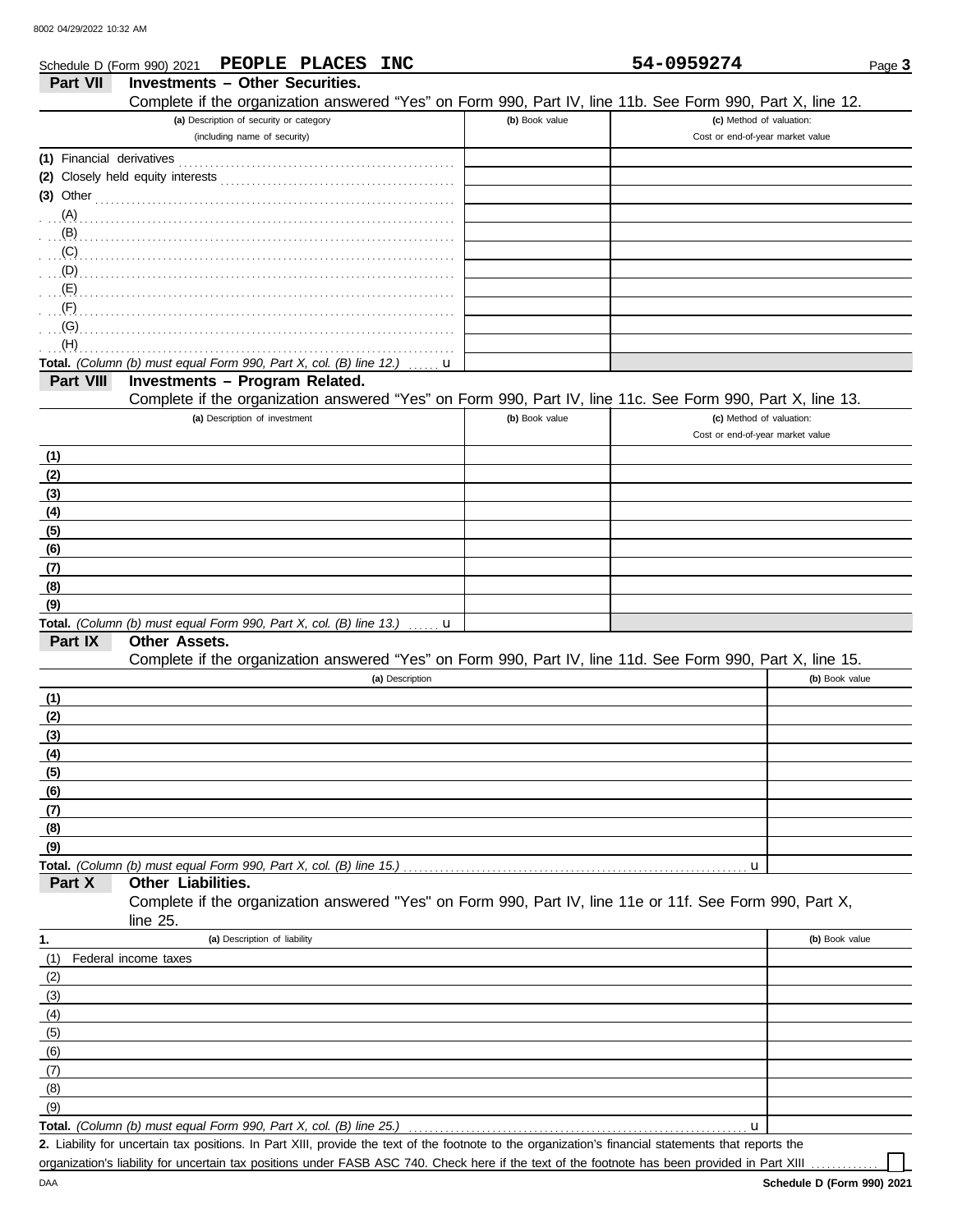DAA

|           | PEOPLE PLACES<br>INC<br>Schedule D (Form 990) 2021                                                         |                | 54-0959274                       | Page 3         |
|-----------|------------------------------------------------------------------------------------------------------------|----------------|----------------------------------|----------------|
| Part VII  | <b>Investments - Other Securities.</b>                                                                     |                |                                  |                |
|           | Complete if the organization answered "Yes" on Form 990, Part IV, line 11b. See Form 990, Part X, line 12. |                |                                  |                |
|           | (a) Description of security or category                                                                    | (b) Book value | (c) Method of valuation:         |                |
|           | (including name of security)                                                                               |                | Cost or end-of-year market value |                |
|           |                                                                                                            |                |                                  |                |
|           |                                                                                                            |                |                                  |                |
|           | $(3)$ Other                                                                                                |                |                                  |                |
|           |                                                                                                            |                |                                  |                |
|           |                                                                                                            |                |                                  |                |
|           |                                                                                                            |                |                                  |                |
|           |                                                                                                            |                |                                  |                |
|           |                                                                                                            |                |                                  |                |
|           |                                                                                                            |                |                                  |                |
|           |                                                                                                            |                |                                  |                |
| (G)       |                                                                                                            |                |                                  |                |
| (H)       |                                                                                                            |                |                                  |                |
|           | Total. (Column (b) must equal Form 990, Part X, col. (B) line 12.)<br>u                                    |                |                                  |                |
| Part VIII | Investments - Program Related.                                                                             |                |                                  |                |
|           | Complete if the organization answered "Yes" on Form 990, Part IV, line 11c. See Form 990, Part X, line 13. |                |                                  |                |
|           | (a) Description of investment                                                                              | (b) Book value | (c) Method of valuation:         |                |
|           |                                                                                                            |                | Cost or end-of-year market value |                |
| (1)       |                                                                                                            |                |                                  |                |
| (2)       |                                                                                                            |                |                                  |                |
| (3)       |                                                                                                            |                |                                  |                |
| (4)       |                                                                                                            |                |                                  |                |
| (5)       |                                                                                                            |                |                                  |                |
| (6)       |                                                                                                            |                |                                  |                |
| (7)       |                                                                                                            |                |                                  |                |
| (8)       |                                                                                                            |                |                                  |                |
| (9)       |                                                                                                            |                |                                  |                |
|           | Total. (Column (b) must equal Form 990, Part X, col. (B) line 13.) $\mathbf u$                             |                |                                  |                |
| Part IX   | Other Assets.                                                                                              |                |                                  |                |
|           | Complete if the organization answered "Yes" on Form 990, Part IV, line 11d. See Form 990, Part X, line 15. |                |                                  |                |
|           | (a) Description                                                                                            |                |                                  | (b) Book value |
| (1)       |                                                                                                            |                |                                  |                |
| (2)       |                                                                                                            |                |                                  |                |
| (3)       |                                                                                                            |                |                                  |                |
| (4)       |                                                                                                            |                |                                  |                |
| (5)       |                                                                                                            |                |                                  |                |
| (6)       |                                                                                                            |                |                                  |                |
| (7)       |                                                                                                            |                |                                  |                |
| (8)       |                                                                                                            |                |                                  |                |
| (9)       |                                                                                                            |                |                                  |                |
|           | Total. (Column (b) must equal Form 990, Part X, col. (B) line 15.)                                         |                | u                                |                |
| Part X    | Other Liabilities.                                                                                         |                |                                  |                |
|           | Complete if the organization answered "Yes" on Form 990, Part IV, line 11e or 11f. See Form 990, Part X,   |                |                                  |                |
|           | line $25$ .                                                                                                |                |                                  |                |
|           | (a) Description of liability                                                                               |                |                                  | (b) Book value |
| 1.        |                                                                                                            |                |                                  |                |
| (1)       | Federal income taxes                                                                                       |                |                                  |                |
| (2)       |                                                                                                            |                |                                  |                |
| (3)       |                                                                                                            |                |                                  |                |
| (4)       |                                                                                                            |                |                                  |                |
| (5)       |                                                                                                            |                |                                  |                |
| (6)       |                                                                                                            |                |                                  |                |
| (7)       |                                                                                                            |                |                                  |                |
| (8)       |                                                                                                            |                |                                  |                |
| (9)       |                                                                                                            |                |                                  |                |
|           | Total. (Column (b) must equal Form 990, Part X, col. (B) line 25.)                                         |                | u                                |                |

Liability for uncertain tax positions. In Part XIII, provide the text of the footnote to the organization's financial statements that reports the **2.** organization's liability for uncertain tax positions under FASB ASC 740. Check here if the text of the footnote has been provided in Part XIII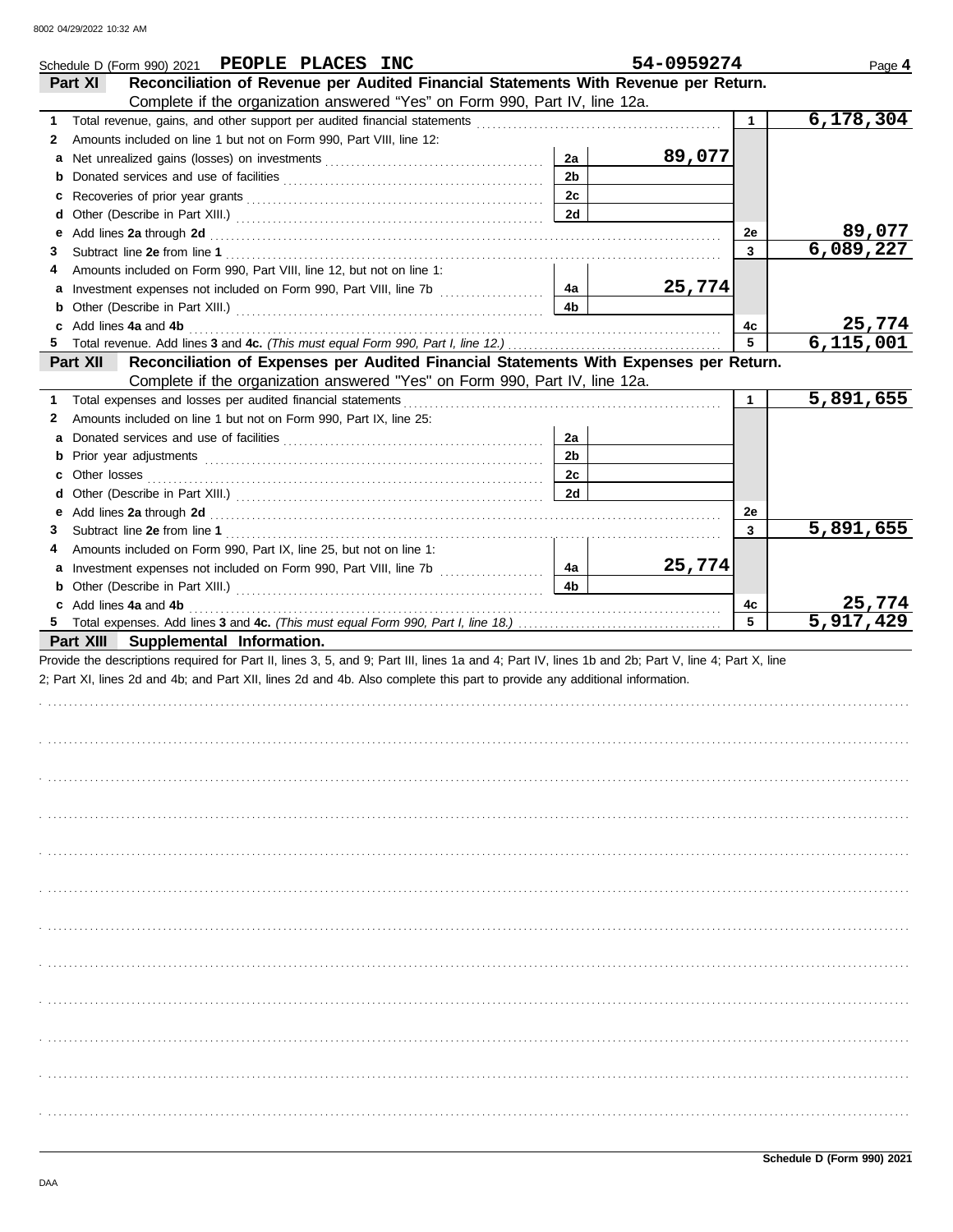|   | Schedule D (Form 990) 2021 PEOPLE PLACES INC                                                                                                                                                                                  |                | 54-0959274 |              | Page 4      |
|---|-------------------------------------------------------------------------------------------------------------------------------------------------------------------------------------------------------------------------------|----------------|------------|--------------|-------------|
|   | Reconciliation of Revenue per Audited Financial Statements With Revenue per Return.<br>Part XI                                                                                                                                |                |            |              |             |
|   | Complete if the organization answered "Yes" on Form 990, Part IV, line 12a.                                                                                                                                                   |                |            |              |             |
| 1 | Total revenue, gains, and other support per audited financial statements                                                                                                                                                      |                |            | $\mathbf{1}$ | 6,178,304   |
| 2 | Amounts included on line 1 but not on Form 990, Part VIII, line 12:                                                                                                                                                           |                |            |              |             |
| a |                                                                                                                                                                                                                               | 2a             | 89,077     |              |             |
|   |                                                                                                                                                                                                                               | 2 <sub>b</sub> |            |              |             |
| c |                                                                                                                                                                                                                               | 2c             |            |              |             |
| d |                                                                                                                                                                                                                               | 2d             |            |              |             |
| е | Add lines 2a through 2d [11] Add [12] Add [12] Add lines 2a through 2d [12] Add lines 2a through 2d                                                                                                                           |                |            | 2е           | 89,077      |
| 3 |                                                                                                                                                                                                                               |                |            | 3            | 6,089,227   |
| 4 | Amounts included on Form 990, Part VIII, line 12, but not on line 1:                                                                                                                                                          |                |            |              |             |
|   |                                                                                                                                                                                                                               | 4a             | 25,774     |              |             |
|   |                                                                                                                                                                                                                               | 4b             |            |              |             |
|   | Add lines 4a and 4b                                                                                                                                                                                                           |                |            | 4с           | 25,774      |
| 5 |                                                                                                                                                                                                                               |                |            | 5            | 6, 115, 001 |
|   | Reconciliation of Expenses per Audited Financial Statements With Expenses per Return.<br>Part XII                                                                                                                             |                |            |              |             |
|   |                                                                                                                                                                                                                               |                |            |              |             |
|   | Complete if the organization answered "Yes" on Form 990, Part IV, line 12a.                                                                                                                                                   |                |            |              |             |
| 1 | Total expenses and losses per audited financial statements                                                                                                                                                                    |                |            | $\mathbf 1$  | 5,891,655   |
| 2 | Amounts included on line 1 but not on Form 990, Part IX, line 25:                                                                                                                                                             |                |            |              |             |
|   |                                                                                                                                                                                                                               | 2a             |            |              |             |
|   |                                                                                                                                                                                                                               | 2 <sub>b</sub> |            |              |             |
| c |                                                                                                                                                                                                                               | 2c             |            |              |             |
| d |                                                                                                                                                                                                                               | 2d             |            |              |             |
| е | Add lines 2a through 2d [11] Additional Property and Property and Property and Property and Property and Property and Property and Property and Property and Property and Property and Property and Property and Property and |                |            | 2e           |             |
| 3 |                                                                                                                                                                                                                               |                |            | 3            | 5,891,655   |
|   | Amounts included on Form 990, Part IX, line 25, but not on line 1:                                                                                                                                                            |                |            |              |             |
| 4 |                                                                                                                                                                                                                               |                |            |              |             |
| a |                                                                                                                                                                                                                               | 4a             | 25,774     |              |             |
|   |                                                                                                                                                                                                                               | 4b             |            |              |             |
|   | c Add lines 4a and 4b                                                                                                                                                                                                         |                |            | 4с           | 25,774      |
|   |                                                                                                                                                                                                                               |                |            | 5            | 5,917,429   |
|   | Part XIII Supplemental Information.                                                                                                                                                                                           |                |            |              |             |
|   | Provide the descriptions required for Part II, lines 3, 5, and 9; Part III, lines 1a and 4; Part IV, lines 1b and 2b; Part V, line 4; Part X, line                                                                            |                |            |              |             |
|   | 2; Part XI, lines 2d and 4b; and Part XII, lines 2d and 4b. Also complete this part to provide any additional information.                                                                                                    |                |            |              |             |
|   |                                                                                                                                                                                                                               |                |            |              |             |
|   |                                                                                                                                                                                                                               |                |            |              |             |
|   |                                                                                                                                                                                                                               |                |            |              |             |
|   |                                                                                                                                                                                                                               |                |            |              |             |
|   |                                                                                                                                                                                                                               |                |            |              |             |
|   |                                                                                                                                                                                                                               |                |            |              |             |
|   |                                                                                                                                                                                                                               |                |            |              |             |
|   |                                                                                                                                                                                                                               |                |            |              |             |
|   |                                                                                                                                                                                                                               |                |            |              |             |
|   |                                                                                                                                                                                                                               |                |            |              |             |
|   |                                                                                                                                                                                                                               |                |            |              |             |
|   |                                                                                                                                                                                                                               |                |            |              |             |
|   |                                                                                                                                                                                                                               |                |            |              |             |
|   |                                                                                                                                                                                                                               |                |            |              |             |
|   |                                                                                                                                                                                                                               |                |            |              |             |
|   |                                                                                                                                                                                                                               |                |            |              |             |
|   |                                                                                                                                                                                                                               |                |            |              |             |
|   |                                                                                                                                                                                                                               |                |            |              |             |
|   |                                                                                                                                                                                                                               |                |            |              |             |
|   |                                                                                                                                                                                                                               |                |            |              |             |
|   |                                                                                                                                                                                                                               |                |            |              |             |
|   |                                                                                                                                                                                                                               |                |            |              |             |
|   |                                                                                                                                                                                                                               |                |            |              |             |
|   |                                                                                                                                                                                                                               |                |            |              |             |
|   |                                                                                                                                                                                                                               |                |            |              |             |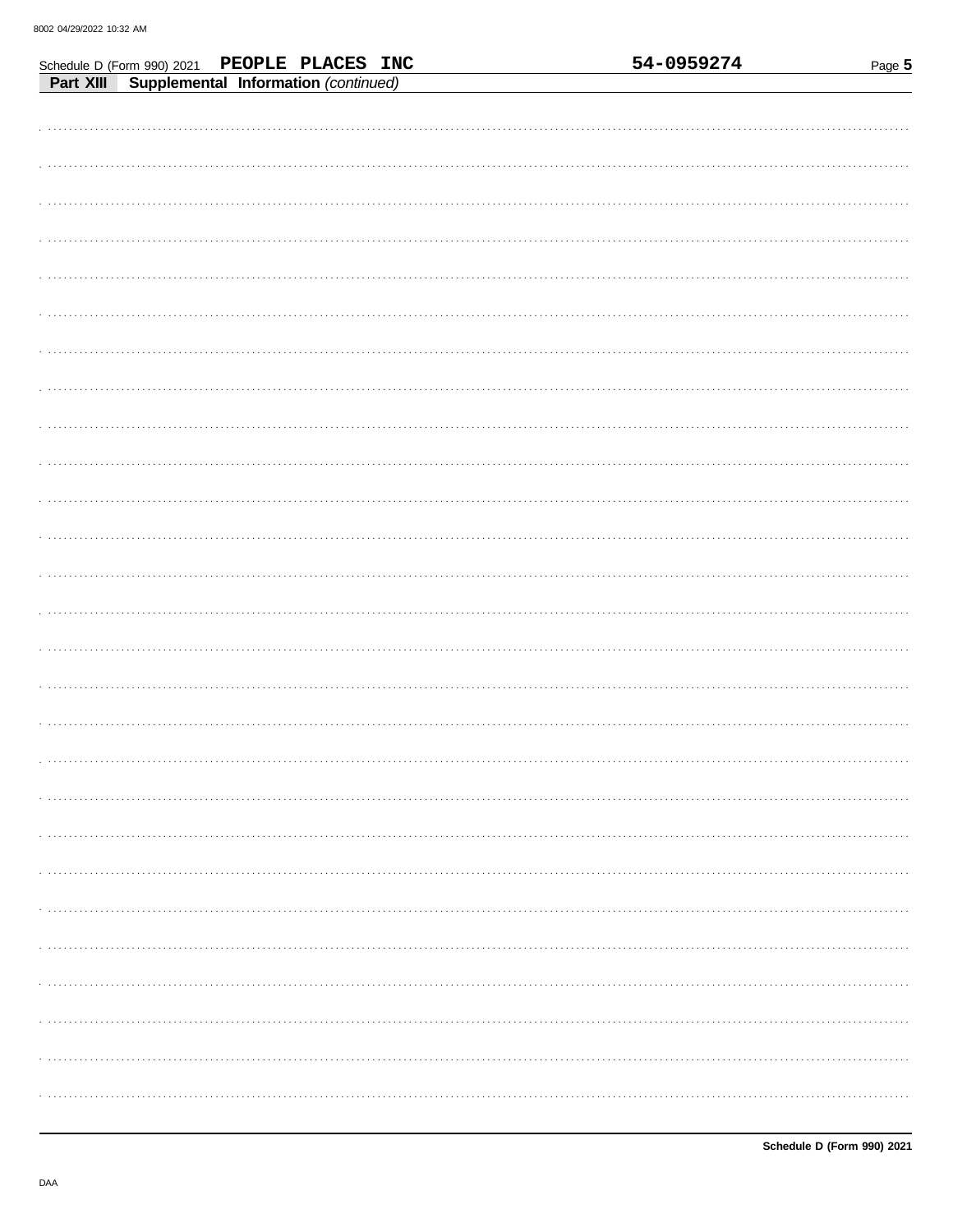|                                                                                                | 54-0959274 | Page 5 |
|------------------------------------------------------------------------------------------------|------------|--------|
| Schedule D (Form 990) 2021 PEOPLE PLACES INC<br>Part XIII Supplemental Information (continued) |            |        |
|                                                                                                |            |        |
|                                                                                                |            |        |
|                                                                                                |            |        |
|                                                                                                |            |        |
|                                                                                                |            |        |
|                                                                                                |            |        |
|                                                                                                |            |        |
|                                                                                                |            |        |
|                                                                                                |            |        |
|                                                                                                |            |        |
|                                                                                                |            |        |
|                                                                                                |            |        |
|                                                                                                |            |        |
|                                                                                                |            |        |
|                                                                                                |            |        |
|                                                                                                |            |        |
|                                                                                                |            |        |
|                                                                                                |            |        |
|                                                                                                |            |        |
|                                                                                                |            |        |
|                                                                                                |            |        |
|                                                                                                |            |        |
|                                                                                                |            |        |
|                                                                                                |            |        |
|                                                                                                |            |        |
|                                                                                                |            |        |
|                                                                                                |            |        |
|                                                                                                |            |        |
|                                                                                                |            |        |
|                                                                                                |            |        |
|                                                                                                |            |        |
|                                                                                                |            |        |
|                                                                                                |            |        |
|                                                                                                |            |        |
|                                                                                                |            |        |
|                                                                                                |            |        |
|                                                                                                |            |        |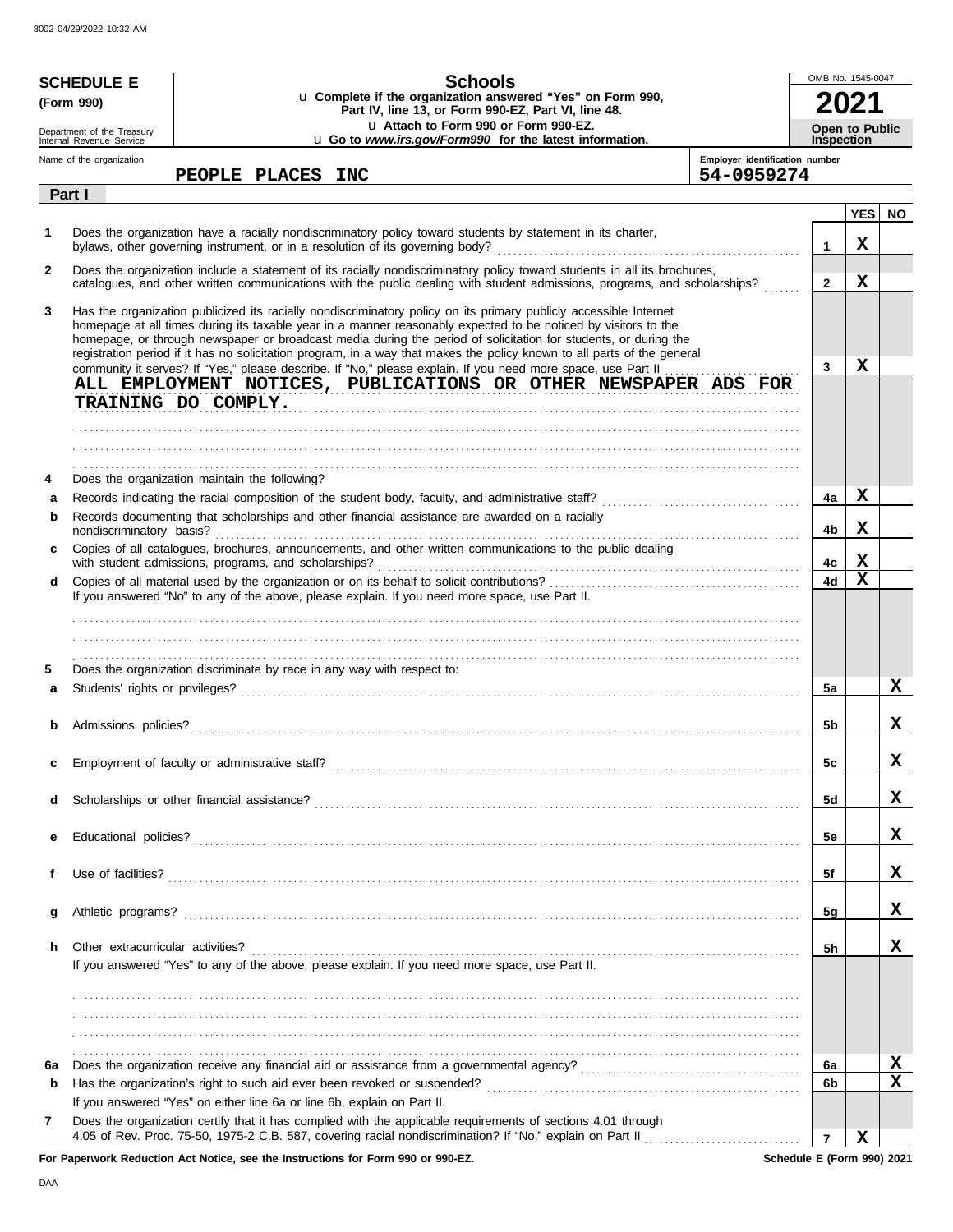| u Complete if the organization answered "Yes" on Form 990,<br>(Form 990)<br>Part IV, line 13, or Form 990-EZ, Part VI, line 48.<br>u Attach to Form 990 or Form 990-EZ.<br><b>Open to Public</b><br>Department of the Treasury<br>Internal Revenue Service<br>u Go to www.irs.gov/Form990 for the latest information.<br><b>Inspection</b><br>Employer identification number<br>Name of the organization<br>54-0959274<br>PEOPLE PLACES INC<br>Part I<br>Does the organization have a racially nondiscriminatory policy toward students by statement in its charter,<br>1<br>$\mathbf{1}$<br>Does the organization include a statement of its racially nondiscriminatory policy toward students in all its brochures,<br>$\mathbf{2}$<br>catalogues, and other written communications with the public dealing with student admissions, programs, and scholarships?<br>$\overline{2}$<br>Has the organization publicized its racially nondiscriminatory policy on its primary publicly accessible Internet<br>3<br>homepage at all times during its taxable year in a manner reasonably expected to be noticed by visitors to the<br>homepage, or through newspaper or broadcast media during the period of solicitation for students, or during the<br>registration period if it has no solicitation program, in a way that makes the policy known to all parts of the general<br>3<br>community it serves? If "Yes," please describe. If "No," please explain. If you need more space, use Part II<br>ALL EMPLOYMENT NOTICES, PUBLICATIONS OR OTHER NEWSPAPER ADS FOR<br>TRAINING DO COMPLY.<br>Does the organization maintain the following?<br>4<br>4a<br>а<br>Records documenting that scholarships and other financial assistance are awarded on a racially<br>b<br>nondiscriminatory basis?<br>4b<br>Copies of all catalogues, brochures, announcements, and other written communications to the public dealing<br>c<br>with student admissions, programs, and scholarships?<br>4с<br>4d<br>d<br>If you answered "No" to any of the above, please explain. If you need more space, use Part II. |                               |
|-------------------------------------------------------------------------------------------------------------------------------------------------------------------------------------------------------------------------------------------------------------------------------------------------------------------------------------------------------------------------------------------------------------------------------------------------------------------------------------------------------------------------------------------------------------------------------------------------------------------------------------------------------------------------------------------------------------------------------------------------------------------------------------------------------------------------------------------------------------------------------------------------------------------------------------------------------------------------------------------------------------------------------------------------------------------------------------------------------------------------------------------------------------------------------------------------------------------------------------------------------------------------------------------------------------------------------------------------------------------------------------------------------------------------------------------------------------------------------------------------------------------------------------------------------------------------------------------------------------------------------------------------------------------------------------------------------------------------------------------------------------------------------------------------------------------------------------------------------------------------------------------------------------------------------------------------------------------------------------------------------------------------------------------------------------------------------------------------------|-------------------------------|
|                                                                                                                                                                                                                                                                                                                                                                                                                                                                                                                                                                                                                                                                                                                                                                                                                                                                                                                                                                                                                                                                                                                                                                                                                                                                                                                                                                                                                                                                                                                                                                                                                                                                                                                                                                                                                                                                                                                                                                                                                                                                                                       |                               |
|                                                                                                                                                                                                                                                                                                                                                                                                                                                                                                                                                                                                                                                                                                                                                                                                                                                                                                                                                                                                                                                                                                                                                                                                                                                                                                                                                                                                                                                                                                                                                                                                                                                                                                                                                                                                                                                                                                                                                                                                                                                                                                       |                               |
|                                                                                                                                                                                                                                                                                                                                                                                                                                                                                                                                                                                                                                                                                                                                                                                                                                                                                                                                                                                                                                                                                                                                                                                                                                                                                                                                                                                                                                                                                                                                                                                                                                                                                                                                                                                                                                                                                                                                                                                                                                                                                                       |                               |
|                                                                                                                                                                                                                                                                                                                                                                                                                                                                                                                                                                                                                                                                                                                                                                                                                                                                                                                                                                                                                                                                                                                                                                                                                                                                                                                                                                                                                                                                                                                                                                                                                                                                                                                                                                                                                                                                                                                                                                                                                                                                                                       |                               |
|                                                                                                                                                                                                                                                                                                                                                                                                                                                                                                                                                                                                                                                                                                                                                                                                                                                                                                                                                                                                                                                                                                                                                                                                                                                                                                                                                                                                                                                                                                                                                                                                                                                                                                                                                                                                                                                                                                                                                                                                                                                                                                       |                               |
|                                                                                                                                                                                                                                                                                                                                                                                                                                                                                                                                                                                                                                                                                                                                                                                                                                                                                                                                                                                                                                                                                                                                                                                                                                                                                                                                                                                                                                                                                                                                                                                                                                                                                                                                                                                                                                                                                                                                                                                                                                                                                                       | YES <sup>I</sup><br><b>NO</b> |
|                                                                                                                                                                                                                                                                                                                                                                                                                                                                                                                                                                                                                                                                                                                                                                                                                                                                                                                                                                                                                                                                                                                                                                                                                                                                                                                                                                                                                                                                                                                                                                                                                                                                                                                                                                                                                                                                                                                                                                                                                                                                                                       | x                             |
|                                                                                                                                                                                                                                                                                                                                                                                                                                                                                                                                                                                                                                                                                                                                                                                                                                                                                                                                                                                                                                                                                                                                                                                                                                                                                                                                                                                                                                                                                                                                                                                                                                                                                                                                                                                                                                                                                                                                                                                                                                                                                                       | X                             |
|                                                                                                                                                                                                                                                                                                                                                                                                                                                                                                                                                                                                                                                                                                                                                                                                                                                                                                                                                                                                                                                                                                                                                                                                                                                                                                                                                                                                                                                                                                                                                                                                                                                                                                                                                                                                                                                                                                                                                                                                                                                                                                       |                               |
|                                                                                                                                                                                                                                                                                                                                                                                                                                                                                                                                                                                                                                                                                                                                                                                                                                                                                                                                                                                                                                                                                                                                                                                                                                                                                                                                                                                                                                                                                                                                                                                                                                                                                                                                                                                                                                                                                                                                                                                                                                                                                                       | X                             |
|                                                                                                                                                                                                                                                                                                                                                                                                                                                                                                                                                                                                                                                                                                                                                                                                                                                                                                                                                                                                                                                                                                                                                                                                                                                                                                                                                                                                                                                                                                                                                                                                                                                                                                                                                                                                                                                                                                                                                                                                                                                                                                       |                               |
|                                                                                                                                                                                                                                                                                                                                                                                                                                                                                                                                                                                                                                                                                                                                                                                                                                                                                                                                                                                                                                                                                                                                                                                                                                                                                                                                                                                                                                                                                                                                                                                                                                                                                                                                                                                                                                                                                                                                                                                                                                                                                                       |                               |
|                                                                                                                                                                                                                                                                                                                                                                                                                                                                                                                                                                                                                                                                                                                                                                                                                                                                                                                                                                                                                                                                                                                                                                                                                                                                                                                                                                                                                                                                                                                                                                                                                                                                                                                                                                                                                                                                                                                                                                                                                                                                                                       | x                             |
|                                                                                                                                                                                                                                                                                                                                                                                                                                                                                                                                                                                                                                                                                                                                                                                                                                                                                                                                                                                                                                                                                                                                                                                                                                                                                                                                                                                                                                                                                                                                                                                                                                                                                                                                                                                                                                                                                                                                                                                                                                                                                                       |                               |
|                                                                                                                                                                                                                                                                                                                                                                                                                                                                                                                                                                                                                                                                                                                                                                                                                                                                                                                                                                                                                                                                                                                                                                                                                                                                                                                                                                                                                                                                                                                                                                                                                                                                                                                                                                                                                                                                                                                                                                                                                                                                                                       | x                             |
|                                                                                                                                                                                                                                                                                                                                                                                                                                                                                                                                                                                                                                                                                                                                                                                                                                                                                                                                                                                                                                                                                                                                                                                                                                                                                                                                                                                                                                                                                                                                                                                                                                                                                                                                                                                                                                                                                                                                                                                                                                                                                                       | X                             |
|                                                                                                                                                                                                                                                                                                                                                                                                                                                                                                                                                                                                                                                                                                                                                                                                                                                                                                                                                                                                                                                                                                                                                                                                                                                                                                                                                                                                                                                                                                                                                                                                                                                                                                                                                                                                                                                                                                                                                                                                                                                                                                       | X                             |
|                                                                                                                                                                                                                                                                                                                                                                                                                                                                                                                                                                                                                                                                                                                                                                                                                                                                                                                                                                                                                                                                                                                                                                                                                                                                                                                                                                                                                                                                                                                                                                                                                                                                                                                                                                                                                                                                                                                                                                                                                                                                                                       |                               |
|                                                                                                                                                                                                                                                                                                                                                                                                                                                                                                                                                                                                                                                                                                                                                                                                                                                                                                                                                                                                                                                                                                                                                                                                                                                                                                                                                                                                                                                                                                                                                                                                                                                                                                                                                                                                                                                                                                                                                                                                                                                                                                       |                               |
|                                                                                                                                                                                                                                                                                                                                                                                                                                                                                                                                                                                                                                                                                                                                                                                                                                                                                                                                                                                                                                                                                                                                                                                                                                                                                                                                                                                                                                                                                                                                                                                                                                                                                                                                                                                                                                                                                                                                                                                                                                                                                                       |                               |
| 5<br>Does the organization discriminate by race in any way with respect to:                                                                                                                                                                                                                                                                                                                                                                                                                                                                                                                                                                                                                                                                                                                                                                                                                                                                                                                                                                                                                                                                                                                                                                                                                                                                                                                                                                                                                                                                                                                                                                                                                                                                                                                                                                                                                                                                                                                                                                                                                           |                               |
| 5a<br>a                                                                                                                                                                                                                                                                                                                                                                                                                                                                                                                                                                                                                                                                                                                                                                                                                                                                                                                                                                                                                                                                                                                                                                                                                                                                                                                                                                                                                                                                                                                                                                                                                                                                                                                                                                                                                                                                                                                                                                                                                                                                                               | х                             |
|                                                                                                                                                                                                                                                                                                                                                                                                                                                                                                                                                                                                                                                                                                                                                                                                                                                                                                                                                                                                                                                                                                                                                                                                                                                                                                                                                                                                                                                                                                                                                                                                                                                                                                                                                                                                                                                                                                                                                                                                                                                                                                       |                               |
| 5b                                                                                                                                                                                                                                                                                                                                                                                                                                                                                                                                                                                                                                                                                                                                                                                                                                                                                                                                                                                                                                                                                                                                                                                                                                                                                                                                                                                                                                                                                                                                                                                                                                                                                                                                                                                                                                                                                                                                                                                                                                                                                                    | x.                            |
| 5c<br>Employment of faculty or administrative staff?                                                                                                                                                                                                                                                                                                                                                                                                                                                                                                                                                                                                                                                                                                                                                                                                                                                                                                                                                                                                                                                                                                                                                                                                                                                                                                                                                                                                                                                                                                                                                                                                                                                                                                                                                                                                                                                                                                                                                                                                                                                  | х                             |
|                                                                                                                                                                                                                                                                                                                                                                                                                                                                                                                                                                                                                                                                                                                                                                                                                                                                                                                                                                                                                                                                                                                                                                                                                                                                                                                                                                                                                                                                                                                                                                                                                                                                                                                                                                                                                                                                                                                                                                                                                                                                                                       |                               |
| 5d<br>d                                                                                                                                                                                                                                                                                                                                                                                                                                                                                                                                                                                                                                                                                                                                                                                                                                                                                                                                                                                                                                                                                                                                                                                                                                                                                                                                                                                                                                                                                                                                                                                                                                                                                                                                                                                                                                                                                                                                                                                                                                                                                               | x                             |
| 5e<br>е                                                                                                                                                                                                                                                                                                                                                                                                                                                                                                                                                                                                                                                                                                                                                                                                                                                                                                                                                                                                                                                                                                                                                                                                                                                                                                                                                                                                                                                                                                                                                                                                                                                                                                                                                                                                                                                                                                                                                                                                                                                                                               | x                             |
| 5f<br>f                                                                                                                                                                                                                                                                                                                                                                                                                                                                                                                                                                                                                                                                                                                                                                                                                                                                                                                                                                                                                                                                                                                                                                                                                                                                                                                                                                                                                                                                                                                                                                                                                                                                                                                                                                                                                                                                                                                                                                                                                                                                                               | x                             |
| 5g<br>g                                                                                                                                                                                                                                                                                                                                                                                                                                                                                                                                                                                                                                                                                                                                                                                                                                                                                                                                                                                                                                                                                                                                                                                                                                                                                                                                                                                                                                                                                                                                                                                                                                                                                                                                                                                                                                                                                                                                                                                                                                                                                               | x                             |
|                                                                                                                                                                                                                                                                                                                                                                                                                                                                                                                                                                                                                                                                                                                                                                                                                                                                                                                                                                                                                                                                                                                                                                                                                                                                                                                                                                                                                                                                                                                                                                                                                                                                                                                                                                                                                                                                                                                                                                                                                                                                                                       |                               |
| Other extracurricular activities?<br>h.<br>5h<br>If you answered "Yes" to any of the above, please explain. If you need more space, use Part II.                                                                                                                                                                                                                                                                                                                                                                                                                                                                                                                                                                                                                                                                                                                                                                                                                                                                                                                                                                                                                                                                                                                                                                                                                                                                                                                                                                                                                                                                                                                                                                                                                                                                                                                                                                                                                                                                                                                                                      | х                             |
|                                                                                                                                                                                                                                                                                                                                                                                                                                                                                                                                                                                                                                                                                                                                                                                                                                                                                                                                                                                                                                                                                                                                                                                                                                                                                                                                                                                                                                                                                                                                                                                                                                                                                                                                                                                                                                                                                                                                                                                                                                                                                                       |                               |
|                                                                                                                                                                                                                                                                                                                                                                                                                                                                                                                                                                                                                                                                                                                                                                                                                                                                                                                                                                                                                                                                                                                                                                                                                                                                                                                                                                                                                                                                                                                                                                                                                                                                                                                                                                                                                                                                                                                                                                                                                                                                                                       |                               |
|                                                                                                                                                                                                                                                                                                                                                                                                                                                                                                                                                                                                                                                                                                                                                                                                                                                                                                                                                                                                                                                                                                                                                                                                                                                                                                                                                                                                                                                                                                                                                                                                                                                                                                                                                                                                                                                                                                                                                                                                                                                                                                       |                               |
|                                                                                                                                                                                                                                                                                                                                                                                                                                                                                                                                                                                                                                                                                                                                                                                                                                                                                                                                                                                                                                                                                                                                                                                                                                                                                                                                                                                                                                                                                                                                                                                                                                                                                                                                                                                                                                                                                                                                                                                                                                                                                                       |                               |
| 6а<br>6а                                                                                                                                                                                                                                                                                                                                                                                                                                                                                                                                                                                                                                                                                                                                                                                                                                                                                                                                                                                                                                                                                                                                                                                                                                                                                                                                                                                                                                                                                                                                                                                                                                                                                                                                                                                                                                                                                                                                                                                                                                                                                              | х                             |
| 6b<br>b                                                                                                                                                                                                                                                                                                                                                                                                                                                                                                                                                                                                                                                                                                                                                                                                                                                                                                                                                                                                                                                                                                                                                                                                                                                                                                                                                                                                                                                                                                                                                                                                                                                                                                                                                                                                                                                                                                                                                                                                                                                                                               | $\mathbf x$                   |
| If you answered "Yes" on either line 6a or line 6b, explain on Part II.                                                                                                                                                                                                                                                                                                                                                                                                                                                                                                                                                                                                                                                                                                                                                                                                                                                                                                                                                                                                                                                                                                                                                                                                                                                                                                                                                                                                                                                                                                                                                                                                                                                                                                                                                                                                                                                                                                                                                                                                                               |                               |
| Does the organization certify that it has complied with the applicable requirements of sections 4.01 through<br>7<br>X<br>$\overline{7}$                                                                                                                                                                                                                                                                                                                                                                                                                                                                                                                                                                                                                                                                                                                                                                                                                                                                                                                                                                                                                                                                                                                                                                                                                                                                                                                                                                                                                                                                                                                                                                                                                                                                                                                                                                                                                                                                                                                                                              |                               |

**For Paperwork Reduction Act Notice, see the Instructions for Form 990 or 990-EZ.**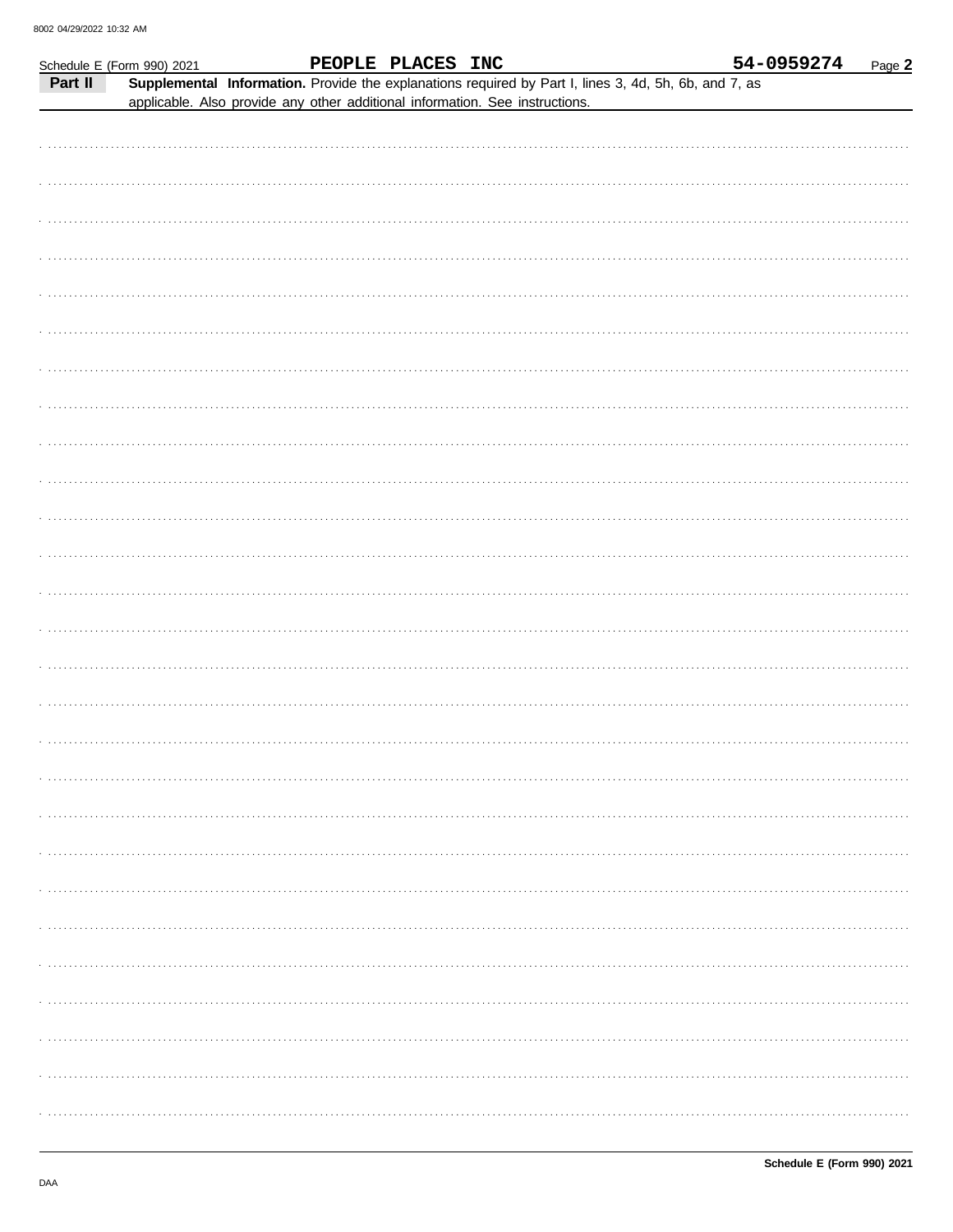|         | Schedule E (Form 990) 2021                                                                            |  | PEOPLE PLACES INC |  |  | 54-0959274 | Page 2 |
|---------|-------------------------------------------------------------------------------------------------------|--|-------------------|--|--|------------|--------|
| Part II | Supplemental Information. Provide the explanations required by Part I, lines 3, 4d, 5h, 6b, and 7, as |  |                   |  |  |            |        |
|         | applicable. Also provide any other additional information. See instructions.                          |  |                   |  |  |            |        |
|         |                                                                                                       |  |                   |  |  |            |        |
|         |                                                                                                       |  |                   |  |  |            |        |
|         |                                                                                                       |  |                   |  |  |            |        |
|         |                                                                                                       |  |                   |  |  |            |        |
|         |                                                                                                       |  |                   |  |  |            |        |
|         |                                                                                                       |  |                   |  |  |            |        |
|         |                                                                                                       |  |                   |  |  |            |        |
|         |                                                                                                       |  |                   |  |  |            |        |
|         |                                                                                                       |  |                   |  |  |            |        |
|         |                                                                                                       |  |                   |  |  |            |        |
|         |                                                                                                       |  |                   |  |  |            |        |
|         |                                                                                                       |  |                   |  |  |            |        |
|         |                                                                                                       |  |                   |  |  |            |        |
|         |                                                                                                       |  |                   |  |  |            |        |
|         |                                                                                                       |  |                   |  |  |            |        |
|         |                                                                                                       |  |                   |  |  |            |        |
|         |                                                                                                       |  |                   |  |  |            |        |
|         |                                                                                                       |  |                   |  |  |            |        |
|         |                                                                                                       |  |                   |  |  |            |        |
|         |                                                                                                       |  |                   |  |  |            |        |
|         |                                                                                                       |  |                   |  |  |            |        |
|         |                                                                                                       |  |                   |  |  |            |        |
|         |                                                                                                       |  |                   |  |  |            |        |
|         |                                                                                                       |  |                   |  |  |            |        |
|         |                                                                                                       |  |                   |  |  |            |        |
|         |                                                                                                       |  |                   |  |  |            |        |
|         |                                                                                                       |  |                   |  |  |            |        |
|         |                                                                                                       |  |                   |  |  |            |        |
|         |                                                                                                       |  |                   |  |  |            |        |
|         |                                                                                                       |  |                   |  |  |            |        |
|         |                                                                                                       |  |                   |  |  |            |        |
|         |                                                                                                       |  |                   |  |  |            |        |
|         |                                                                                                       |  |                   |  |  |            |        |
|         |                                                                                                       |  |                   |  |  |            |        |
|         |                                                                                                       |  |                   |  |  |            |        |
|         |                                                                                                       |  |                   |  |  |            |        |
|         |                                                                                                       |  |                   |  |  |            |        |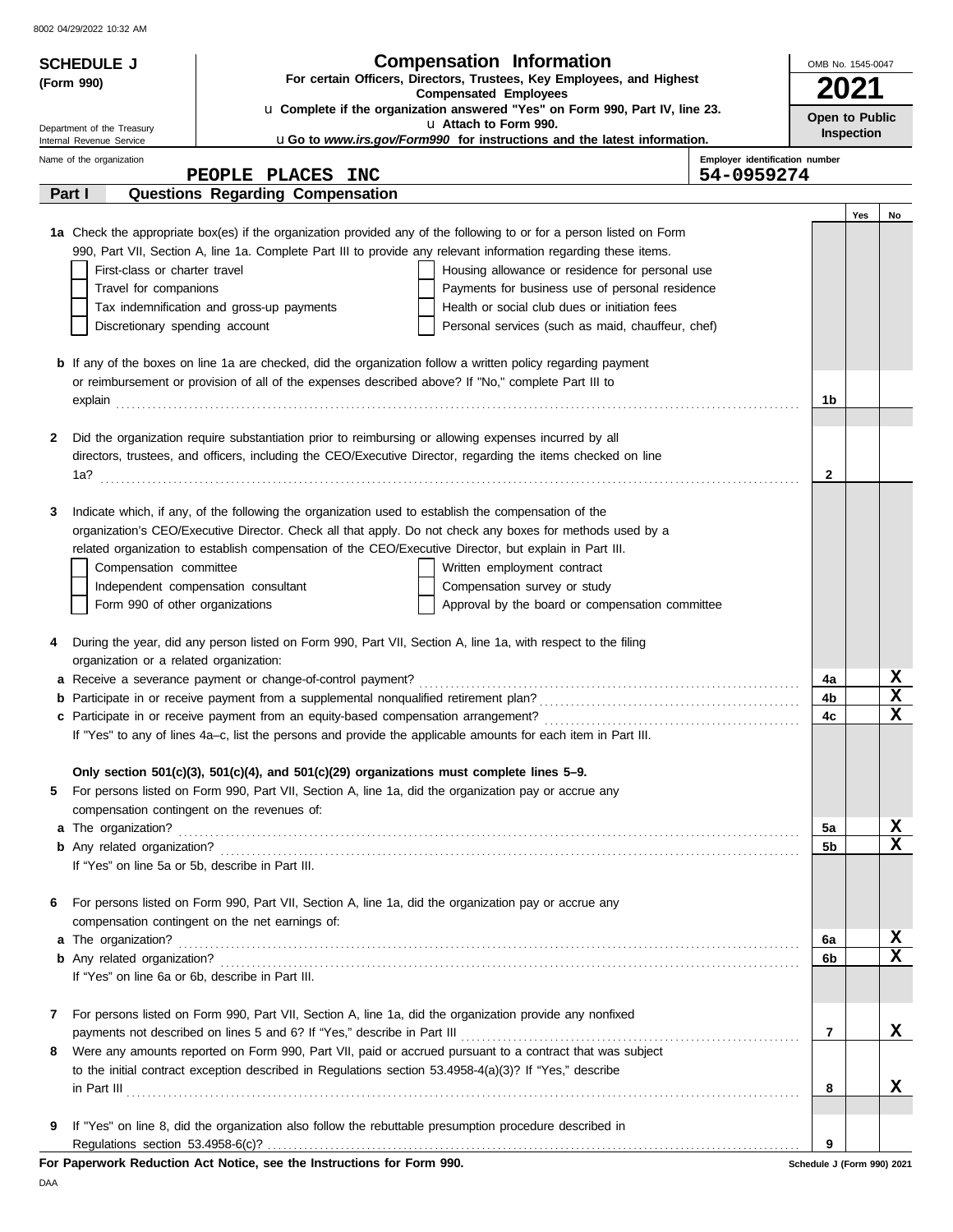| <b>SCHEDULE J</b>                                |                                                                                                     | <b>Compensation Information</b>                                                                                                                                                                                    |                                | OMB No. 1545-0047 |                   |  |
|--------------------------------------------------|-----------------------------------------------------------------------------------------------------|--------------------------------------------------------------------------------------------------------------------------------------------------------------------------------------------------------------------|--------------------------------|-------------------|-------------------|--|
| (Form 990)                                       | For certain Officers, Directors, Trustees, Key Employees, and Highest                               |                                                                                                                                                                                                                    |                                |                   |                   |  |
|                                                  |                                                                                                     | <b>Compensated Employees</b>                                                                                                                                                                                       |                                | 2021              |                   |  |
| Department of the Treasury                       |                                                                                                     | u Complete if the organization answered "Yes" on Form 990, Part IV, line 23.<br>u Attach to Form 990.                                                                                                              |                                | Open to Public    |                   |  |
| Internal Revenue Service                         |                                                                                                     | <b>uGo to www.irs.gov/Form990 for instructions and the latest information.</b>                                                                                                                                     |                                | Inspection        |                   |  |
| Name of the organization                         |                                                                                                     |                                                                                                                                                                                                                    | Employer identification number |                   |                   |  |
| Part I                                           | PEOPLE PLACES INC<br>Questions Regarding Compensation                                               | 54-0959274                                                                                                                                                                                                         |                                |                   |                   |  |
|                                                  |                                                                                                     |                                                                                                                                                                                                                    |                                | Yes               | No                |  |
|                                                  |                                                                                                     | 1a Check the appropriate box(es) if the organization provided any of the following to or for a person listed on Form                                                                                               |                                |                   |                   |  |
|                                                  |                                                                                                     | 990, Part VII, Section A, line 1a. Complete Part III to provide any relevant information regarding these items.                                                                                                    |                                |                   |                   |  |
| First-class or charter travel                    |                                                                                                     | Housing allowance or residence for personal use                                                                                                                                                                    |                                |                   |                   |  |
| Travel for companions                            |                                                                                                     | Payments for business use of personal residence                                                                                                                                                                    |                                |                   |                   |  |
|                                                  | Tax indemnification and gross-up payments                                                           | Health or social club dues or initiation fees                                                                                                                                                                      |                                |                   |                   |  |
| Discretionary spending account                   |                                                                                                     | Personal services (such as maid, chauffeur, chef)                                                                                                                                                                  |                                |                   |                   |  |
|                                                  |                                                                                                     |                                                                                                                                                                                                                    |                                |                   |                   |  |
|                                                  |                                                                                                     | <b>b</b> If any of the boxes on line 1a are checked, did the organization follow a written policy regarding payment                                                                                                |                                |                   |                   |  |
|                                                  |                                                                                                     | or reimbursement or provision of all of the expenses described above? If "No," complete Part III to                                                                                                                |                                |                   |                   |  |
|                                                  |                                                                                                     |                                                                                                                                                                                                                    | 1b                             |                   |                   |  |
| 2                                                |                                                                                                     | Did the organization require substantiation prior to reimbursing or allowing expenses incurred by all                                                                                                              |                                |                   |                   |  |
|                                                  |                                                                                                     | directors, trustees, and officers, including the CEO/Executive Director, regarding the items checked on line                                                                                                       |                                |                   |                   |  |
|                                                  |                                                                                                     |                                                                                                                                                                                                                    | 2                              |                   |                   |  |
|                                                  |                                                                                                     |                                                                                                                                                                                                                    |                                |                   |                   |  |
| 3                                                | Indicate which, if any, of the following the organization used to establish the compensation of the |                                                                                                                                                                                                                    |                                |                   |                   |  |
|                                                  |                                                                                                     | organization's CEO/Executive Director. Check all that apply. Do not check any boxes for methods used by a                                                                                                          |                                |                   |                   |  |
|                                                  |                                                                                                     | related organization to establish compensation of the CEO/Executive Director, but explain in Part III.                                                                                                             |                                |                   |                   |  |
| Compensation committee                           |                                                                                                     | Written employment contract                                                                                                                                                                                        |                                |                   |                   |  |
|                                                  | Independent compensation consultant                                                                 | Compensation survey or study                                                                                                                                                                                       |                                |                   |                   |  |
| Form 990 of other organizations                  |                                                                                                     | Approval by the board or compensation committee                                                                                                                                                                    |                                |                   |                   |  |
| 4                                                |                                                                                                     | During the year, did any person listed on Form 990, Part VII, Section A, line 1a, with respect to the filing                                                                                                       |                                |                   |                   |  |
| organization or a related organization:          |                                                                                                     |                                                                                                                                                                                                                    |                                |                   |                   |  |
|                                                  | a Receive a severance payment or change-of-control payment?                                         |                                                                                                                                                                                                                    | 4a                             |                   | X                 |  |
| b                                                |                                                                                                     |                                                                                                                                                                                                                    | 4b                             |                   | X                 |  |
|                                                  |                                                                                                     |                                                                                                                                                                                                                    | 4c                             |                   | X                 |  |
|                                                  |                                                                                                     | If "Yes" to any of lines 4a-c, list the persons and provide the applicable amounts for each item in Part III.                                                                                                      |                                |                   |                   |  |
|                                                  |                                                                                                     |                                                                                                                                                                                                                    |                                |                   |                   |  |
|                                                  | Only section $501(c)(3)$ , $501(c)(4)$ , and $501(c)(29)$ organizations must complete lines 5–9.    |                                                                                                                                                                                                                    |                                |                   |                   |  |
| 5                                                |                                                                                                     | For persons listed on Form 990, Part VII, Section A, line 1a, did the organization pay or accrue any                                                                                                               |                                |                   |                   |  |
|                                                  | compensation contingent on the revenues of:                                                         |                                                                                                                                                                                                                    |                                |                   |                   |  |
|                                                  |                                                                                                     |                                                                                                                                                                                                                    | 5a<br>5b                       |                   | X<br>$\mathbf{x}$ |  |
| If "Yes" on line 5a or 5b, describe in Part III. |                                                                                                     |                                                                                                                                                                                                                    |                                |                   |                   |  |
|                                                  |                                                                                                     |                                                                                                                                                                                                                    |                                |                   |                   |  |
| 6                                                |                                                                                                     | For persons listed on Form 990, Part VII, Section A, line 1a, did the organization pay or accrue any                                                                                                               |                                |                   |                   |  |
|                                                  | compensation contingent on the net earnings of:                                                     |                                                                                                                                                                                                                    |                                |                   |                   |  |
|                                                  |                                                                                                     |                                                                                                                                                                                                                    | 6a                             |                   | X                 |  |
|                                                  |                                                                                                     |                                                                                                                                                                                                                    | 6b                             |                   | $\mathbf x$       |  |
| If "Yes" on line 6a or 6b, describe in Part III. |                                                                                                     |                                                                                                                                                                                                                    |                                |                   |                   |  |
|                                                  |                                                                                                     |                                                                                                                                                                                                                    |                                |                   |                   |  |
| 7                                                |                                                                                                     | For persons listed on Form 990, Part VII, Section A, line 1a, did the organization provide any nonfixed                                                                                                            |                                |                   |                   |  |
|                                                  |                                                                                                     |                                                                                                                                                                                                                    | 7                              |                   | X                 |  |
| 8                                                |                                                                                                     | Were any amounts reported on Form 990, Part VII, paid or accrued pursuant to a contract that was subject<br>to the initial contract exception described in Regulations section 53.4958-4(a)(3)? If "Yes," describe |                                |                   |                   |  |
|                                                  |                                                                                                     |                                                                                                                                                                                                                    | 8                              |                   | х                 |  |
|                                                  |                                                                                                     | $\ $ n Part III $\ $                                                                                                                                                                                               |                                |                   |                   |  |
| 9                                                |                                                                                                     | If "Yes" on line 8, did the organization also follow the rebuttable presumption procedure described in                                                                                                             |                                |                   |                   |  |
|                                                  |                                                                                                     |                                                                                                                                                                                                                    | 9                              |                   |                   |  |
|                                                  | For Paperwork Reduction Act Notice, see the Instructions for Form 990.                              |                                                                                                                                                                                                                    | Schedule J (Form 990) 2021     |                   |                   |  |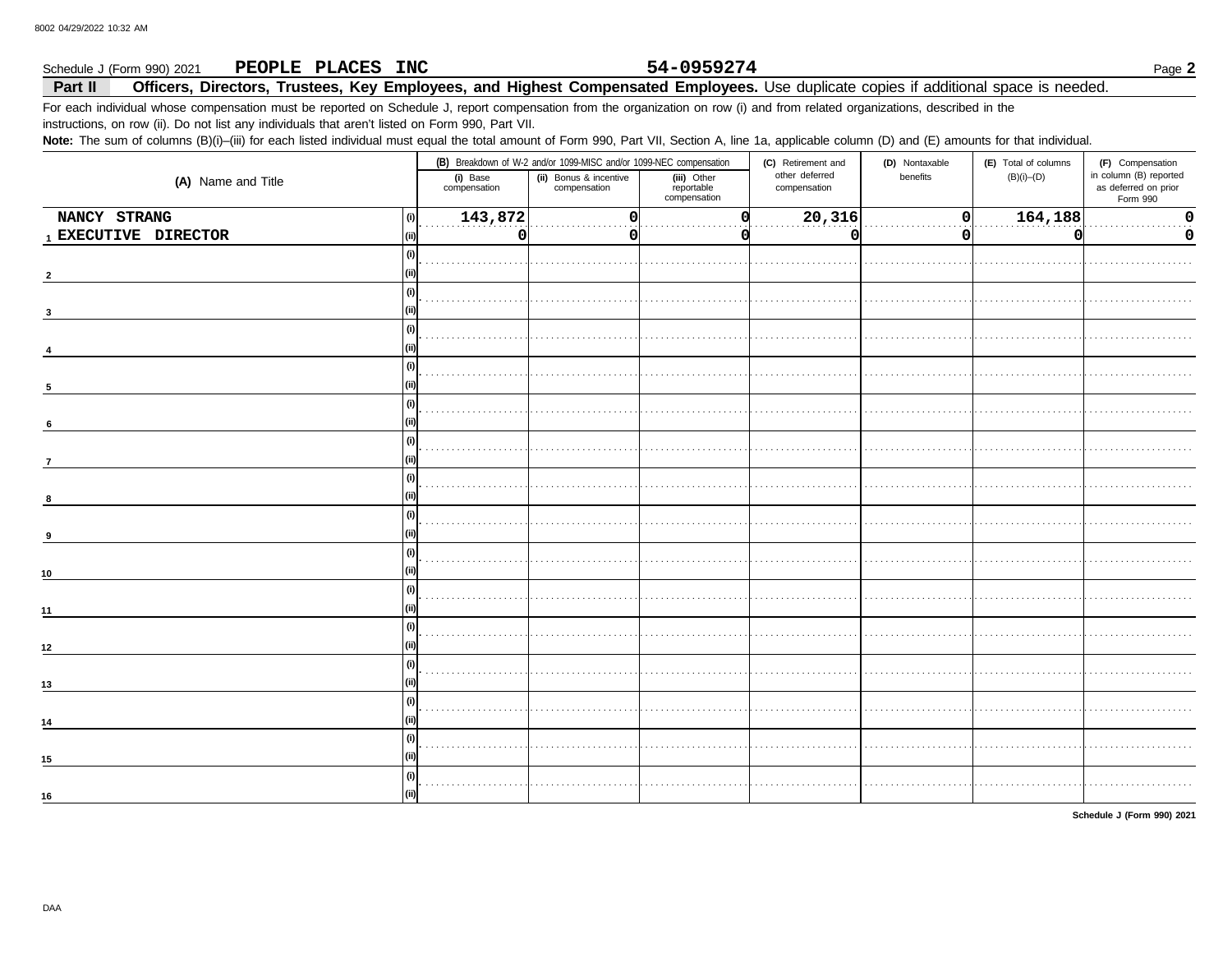|         | Schedule J (Form 990) 2021 | PEOPLE PLACES INC | 54-0959274                                                                                                                                                                   | Page 2 |
|---------|----------------------------|-------------------|------------------------------------------------------------------------------------------------------------------------------------------------------------------------------|--------|
| Part II |                            |                   | Officers, Directors, Trustees, Key Employees, and Highest Compensated Employees. Use duplicate copies if additional space is needed.                                         |        |
|         |                            |                   | For each individual whose compensation must be reported on Schedule J, report compensation from the organization on row (i) and from related organizations, described in the |        |

For each individual writes compensation must be reported on Schedule 3, report compensionstructions, on row (ii). Do not list any individuals that aren't listed on Form 990, Part VII.

Note: The sum of columns (B)(i)-(iii) for each listed individual must equal the total amount of Form 990, Part VII, Section A, line 1a, applicable column (D) and (E) amounts for that individual.

|                             |                          | (B) Breakdown of W-2 and/or 1099-MISC and/or 1099-NEC compensation |                                           | (C) Retirement and             | (D) Nontaxable | (E) Total of columns | (F) Compensation<br>in column (B) reported<br>as deferred on prior<br>Form 990 |  |
|-----------------------------|--------------------------|--------------------------------------------------------------------|-------------------------------------------|--------------------------------|----------------|----------------------|--------------------------------------------------------------------------------|--|
| (A) Name and Title          | (i) Base<br>compensation | (ii) Bonus & incentive<br>compensation                             | (iii) Other<br>reportable<br>compensation | other deferred<br>compensation | benefits       | $(B)(i)$ - $(D)$     |                                                                                |  |
| NANCY STRANG<br>(i)         | 143,872                  | $\Omega$                                                           |                                           | 20, 316                        | 0l             | 164, 188             | 0                                                                              |  |
| 1 EXECUTIVE DIRECTOR<br>(i) | 0                        | n                                                                  |                                           | 0                              | οl             | O                    | 0                                                                              |  |
| (i)                         |                          |                                                                    |                                           |                                |                |                      |                                                                                |  |
| (ii)<br>$\overline{2}$      |                          |                                                                    |                                           |                                |                |                      |                                                                                |  |
| (i)                         |                          |                                                                    |                                           |                                |                |                      |                                                                                |  |
|                             |                          |                                                                    |                                           |                                |                |                      |                                                                                |  |
| (i)                         |                          |                                                                    |                                           |                                |                |                      |                                                                                |  |
|                             |                          |                                                                    |                                           |                                |                |                      |                                                                                |  |
| (i)                         |                          |                                                                    |                                           |                                |                |                      |                                                                                |  |
| 5                           |                          |                                                                    |                                           |                                |                |                      |                                                                                |  |
| (i)                         |                          |                                                                    |                                           |                                |                |                      |                                                                                |  |
| $\bf 6$                     |                          |                                                                    |                                           |                                |                |                      |                                                                                |  |
| (i)                         |                          |                                                                    |                                           |                                |                |                      |                                                                                |  |
| $\overline{7}$              |                          |                                                                    |                                           |                                |                |                      |                                                                                |  |
| (i)                         |                          |                                                                    |                                           |                                |                |                      |                                                                                |  |
| (ii)<br>8                   |                          |                                                                    |                                           |                                |                |                      |                                                                                |  |
| (i)                         |                          |                                                                    |                                           |                                |                |                      |                                                                                |  |
| 9                           |                          |                                                                    |                                           |                                |                |                      |                                                                                |  |
| (i)                         |                          |                                                                    |                                           |                                |                |                      |                                                                                |  |
| (iii)<br>10                 |                          |                                                                    |                                           |                                |                |                      |                                                                                |  |
| (i)                         |                          |                                                                    |                                           |                                |                |                      |                                                                                |  |
| 11                          |                          |                                                                    |                                           |                                |                |                      |                                                                                |  |
| (i)                         |                          |                                                                    |                                           |                                |                |                      |                                                                                |  |
| 12<br>(ii)                  |                          |                                                                    |                                           |                                |                |                      |                                                                                |  |
| (i)                         |                          |                                                                    |                                           |                                |                |                      |                                                                                |  |
| 13                          |                          |                                                                    |                                           |                                |                |                      |                                                                                |  |
| (i)                         |                          |                                                                    |                                           |                                |                |                      |                                                                                |  |
| 14                          |                          |                                                                    |                                           |                                |                |                      |                                                                                |  |
| (i)                         |                          |                                                                    |                                           |                                |                |                      |                                                                                |  |
| 15                          |                          |                                                                    |                                           |                                |                |                      |                                                                                |  |
| (i)                         |                          |                                                                    |                                           |                                |                |                      |                                                                                |  |
| (ii)<br>16                  |                          |                                                                    |                                           |                                |                |                      |                                                                                |  |

Schedule J (Form 990) 2021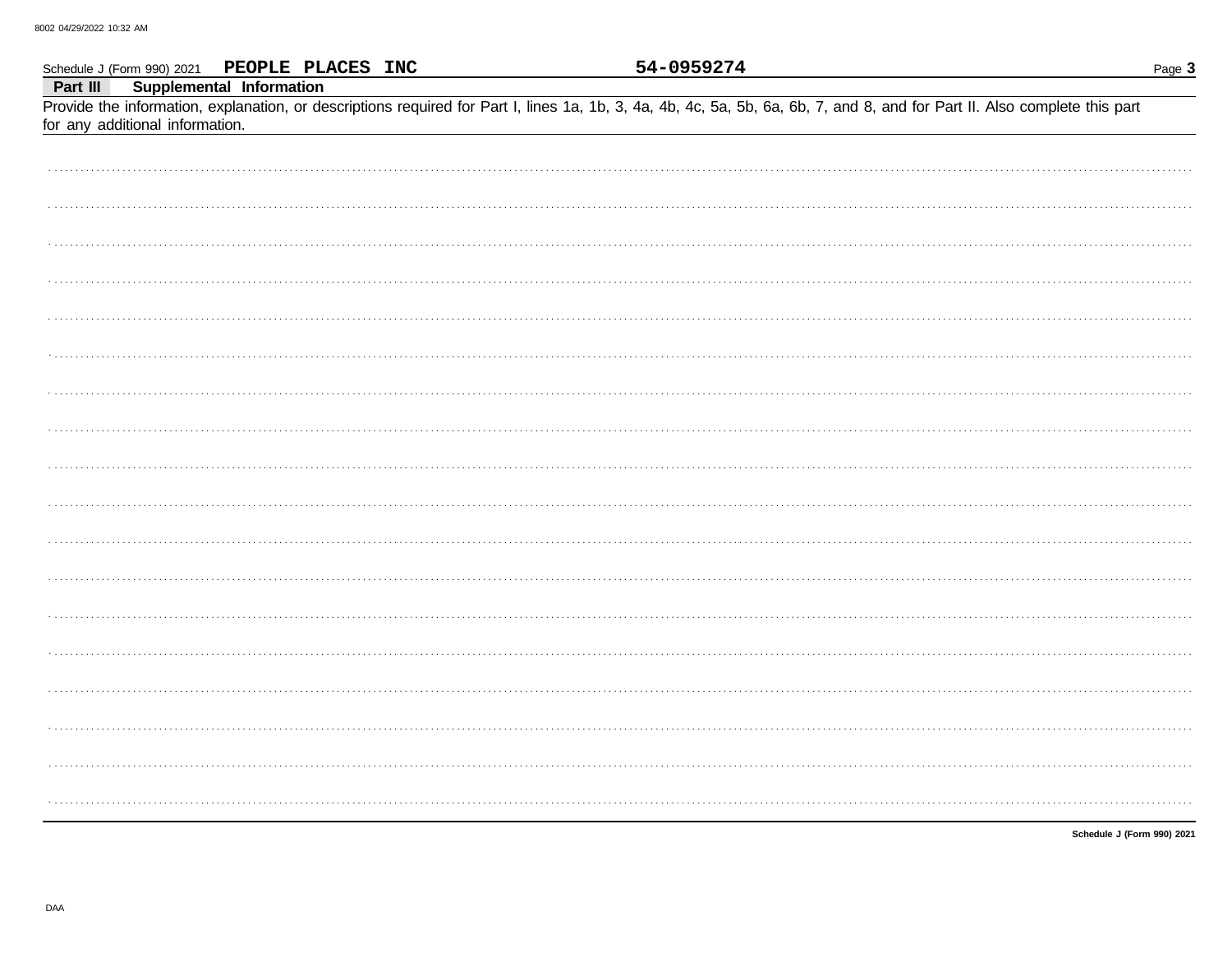|          |                                 |                                 | Schedule J (Form 990) 2021  PEOPLE PLACES INC |  | 54-0959274                                                                                                                                                                 |  | Page 3                     |
|----------|---------------------------------|---------------------------------|-----------------------------------------------|--|----------------------------------------------------------------------------------------------------------------------------------------------------------------------------|--|----------------------------|
| Part III | for any additional information. | <b>Supplemental Information</b> |                                               |  | Provide the information, explanation, or descriptions required for Part I, lines 1a, 1b, 3, 4a, 4b, 4c, 5a, 5b, 6a, 6b, 7, and 8, and for Part II. Also complete this part |  |                            |
|          |                                 |                                 |                                               |  |                                                                                                                                                                            |  |                            |
|          |                                 |                                 |                                               |  |                                                                                                                                                                            |  |                            |
|          |                                 |                                 |                                               |  |                                                                                                                                                                            |  |                            |
|          |                                 |                                 |                                               |  |                                                                                                                                                                            |  |                            |
|          |                                 |                                 |                                               |  |                                                                                                                                                                            |  |                            |
|          |                                 |                                 |                                               |  |                                                                                                                                                                            |  |                            |
|          |                                 |                                 |                                               |  |                                                                                                                                                                            |  |                            |
|          |                                 |                                 |                                               |  |                                                                                                                                                                            |  |                            |
|          |                                 |                                 |                                               |  |                                                                                                                                                                            |  |                            |
|          |                                 |                                 |                                               |  |                                                                                                                                                                            |  |                            |
|          |                                 |                                 |                                               |  |                                                                                                                                                                            |  |                            |
|          |                                 |                                 |                                               |  |                                                                                                                                                                            |  |                            |
|          |                                 |                                 |                                               |  |                                                                                                                                                                            |  |                            |
|          |                                 |                                 |                                               |  |                                                                                                                                                                            |  |                            |
|          |                                 |                                 |                                               |  |                                                                                                                                                                            |  |                            |
|          |                                 |                                 |                                               |  |                                                                                                                                                                            |  |                            |
|          |                                 |                                 |                                               |  |                                                                                                                                                                            |  |                            |
|          |                                 |                                 |                                               |  |                                                                                                                                                                            |  |                            |
|          |                                 |                                 |                                               |  |                                                                                                                                                                            |  |                            |
|          |                                 |                                 |                                               |  |                                                                                                                                                                            |  |                            |
|          |                                 |                                 |                                               |  |                                                                                                                                                                            |  |                            |
|          |                                 |                                 |                                               |  |                                                                                                                                                                            |  |                            |
|          |                                 |                                 |                                               |  |                                                                                                                                                                            |  |                            |
|          |                                 |                                 |                                               |  |                                                                                                                                                                            |  | Schedule J (Form 990) 2021 |